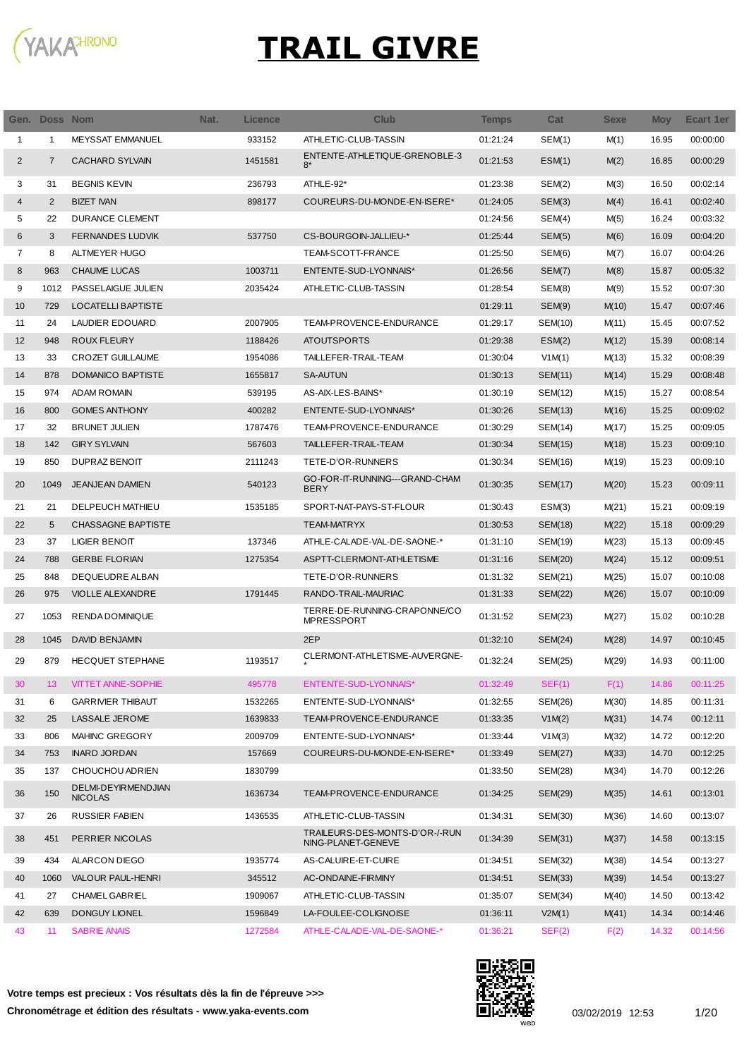

Ī

|                | Gen. Doss Nom  |                                       | Nat. | Licence | <b>Club</b>                                          | <b>Temps</b> | Cat            | <b>Sexe</b> | <b>Moy</b> | Ecart 1er |
|----------------|----------------|---------------------------------------|------|---------|------------------------------------------------------|--------------|----------------|-------------|------------|-----------|
| 1              | 1              | <b>MEYSSAT EMMANUEL</b>               |      | 933152  | ATHLETIC-CLUB-TASSIN                                 | 01:21:24     | SEM(1)         | M(1)        | 16.95      | 00:00:00  |
| $\overline{2}$ | $\overline{7}$ | <b>CACHARD SYLVAIN</b>                |      | 1451581 | ENTENTE-ATHLETIQUE-GRENOBLE-3<br>$8*$                | 01:21:53     | ESM(1)         | M(2)        | 16.85      | 00:00:29  |
| 3              | 31             | <b>BEGNIS KEVIN</b>                   |      | 236793  | ATHLE-92*                                            | 01:23:38     | SEM(2)         | M(3)        | 16.50      | 00:02:14  |
| 4              | 2              | <b>BIZET IVAN</b>                     |      | 898177  | COUREURS-DU-MONDE-EN-ISERE*                          | 01:24:05     | SEM(3)         | M(4)        | 16.41      | 00:02:40  |
| 5              | 22             | <b>DURANCE CLEMENT</b>                |      |         |                                                      | 01:24:56     | SEM(4)         | M(5)        | 16.24      | 00:03:32  |
| 6              | 3              | <b>FERNANDES LUDVIK</b>               |      | 537750  | CS-BOURGOIN-JALLIEU-*                                | 01:25:44     | SEM(5)         | M(6)        | 16.09      | 00:04:20  |
| 7              | 8              | ALTMEYER HUGO                         |      |         | TEAM-SCOTT-FRANCE                                    | 01:25:50     | SEM(6)         | M(7)        | 16.07      | 00:04:26  |
| 8              | 963            | <b>CHAUME LUCAS</b>                   |      | 1003711 | ENTENTE-SUD-LYONNAIS*                                | 01:26:56     | SEM(7)         | M(8)        | 15.87      | 00:05:32  |
| 9              | 1012           | PASSELAIGUE JULIEN                    |      | 2035424 | ATHLETIC-CLUB-TASSIN                                 | 01:28:54     | SEM(8)         | M(9)        | 15.52      | 00:07:30  |
| 10             | 729            | LOCATELLI BAPTISTE                    |      |         |                                                      | 01:29:11     | SEM(9)         | M(10)       | 15.47      | 00:07:46  |
| 11             | 24             | LAUDIER EDOUARD                       |      | 2007905 | TEAM-PROVENCE-ENDURANCE                              | 01:29:17     | SEM(10)        | M(11)       | 15.45      | 00:07:52  |
| 12             | 948            | <b>ROUX FLEURY</b>                    |      | 1188426 | <b>ATOUTSPORTS</b>                                   | 01:29:38     | ESM(2)         | M(12)       | 15.39      | 00:08:14  |
| 13             | 33             | <b>CROZET GUILLAUME</b>               |      | 1954086 | TAILLEFER-TRAIL-TEAM                                 | 01:30:04     | V1M(1)         | M(13)       | 15.32      | 00:08:39  |
| 14             | 878            | <b>DOMANICO BAPTISTE</b>              |      | 1655817 | <b>SA-AUTUN</b>                                      | 01:30:13     | SEM(11)        | M(14)       | 15.29      | 00:08:48  |
| 15             | 974            | <b>ADAM ROMAIN</b>                    |      | 539195  | AS-AIX-LES-BAINS*                                    | 01:30:19     | SEM(12)        | M(15)       | 15.27      | 00:08:54  |
| 16             | 800            | <b>GOMES ANTHONY</b>                  |      | 400282  | ENTENTE-SUD-LYONNAIS*                                | 01:30:26     | SEM(13)        | M(16)       | 15.25      | 00:09:02  |
| 17             | 32             | <b>BRUNET JULIEN</b>                  |      | 1787476 | TEAM-PROVENCE-ENDURANCE                              | 01:30:29     | SEM(14)        | M(17)       | 15.25      | 00:09:05  |
| 18             | 142            | <b>GIRY SYLVAIN</b>                   |      | 567603  | TAILLEFER-TRAIL-TEAM                                 | 01:30:34     | SEM(15)        | M(18)       | 15.23      | 00:09:10  |
| 19             | 850            | DUPRAZ BENOIT                         |      | 2111243 | TETE-D'OR-RUNNERS                                    | 01:30:34     | SEM(16)        | M(19)       | 15.23      | 00:09:10  |
| 20             | 1049           | <b>JEANJEAN DAMIEN</b>                |      | 540123  | GO-FOR-IT-RUNNING---GRAND-CHAM<br><b>BERY</b>        | 01:30:35     | <b>SEM(17)</b> | M(20)       | 15.23      | 00:09:11  |
| 21             | 21             | <b>DELPEUCH MATHIEU</b>               |      | 1535185 | SPORT-NAT-PAYS-ST-FLOUR                              | 01:30:43     | ESM(3)         | M(21)       | 15.21      | 00:09:19  |
| 22             | 5              | <b>CHASSAGNE BAPTISTE</b>             |      |         | <b>TEAM-MATRYX</b>                                   | 01:30:53     | SEM(18)        | M(22)       | 15.18      | 00:09:29  |
| 23             | 37             | LIGIER BENOIT                         |      | 137346  | ATHLE-CALADE-VAL-DE-SAONE-*                          | 01:31:10     | SEM(19)        | M(23)       | 15.13      | 00:09:45  |
| 24             | 788            | <b>GERBE FLORIAN</b>                  |      | 1275354 | ASPTT-CLERMONT-ATHLETISME                            | 01:31:16     | SEM(20)        | M(24)       | 15.12      | 00:09:51  |
| 25             | 848            | DEQUEUDRE ALBAN                       |      |         | TETE-D'OR-RUNNERS                                    | 01:31:32     | SEM(21)        | M(25)       | 15.07      | 00:10:08  |
| 26             | 975            | <b>VIOLLE ALEXANDRE</b>               |      | 1791445 | RANDO-TRAIL-MAURIAC                                  | 01:31:33     | SEM(22)        | M(26)       | 15.07      | 00:10:09  |
| 27             | 1053           | RENDA DOMINIQUE                       |      |         | TERRE-DE-RUNNING-CRAPONNE/CO<br><b>MPRESSPORT</b>    | 01:31:52     | SEM(23)        | M(27)       | 15.02      | 00:10:28  |
| 28             | 1045           | <b>DAVID BENJAMIN</b>                 |      |         | 2EP                                                  | 01:32:10     | SEM(24)        | M(28)       | 14.97      | 00:10:45  |
| 29             | 879            | <b>HECQUET STEPHANE</b>               |      | 1193517 | CLERMONT-ATHLETISME-AUVERGNE-                        | 01:32:24     | SEM(25)        | M(29)       | 14.93      | 00:11:00  |
| 30             | 13             | <b>VITTET ANNE-SOPHIE</b>             |      | 495778  | ENTENTE-SUD-LYONNAIS*                                | 01:32:49     | SEF(1)         | F(1)        | 14.86      | 00:11:25  |
| 31             | 6              | <b>GARRIVIER THIBAUT</b>              |      | 1532265 | ENTENTE-SUD-LYONNAIS*                                | 01:32:55     | SEM(26)        | M(30)       | 14.85      | 00:11:31  |
| 32             | 25             | LASSALE JEROME                        |      | 1639833 | TEAM-PROVENCE-ENDURANCE                              | 01:33:35     | V1M(2)         | M(31)       | 14.74      | 00:12:11  |
| 33             | 806            | MAHINC GREGORY                        |      | 2009709 | ENTENTE-SUD-LYONNAIS*                                | 01:33:44     | V1M(3)         | M(32)       | 14.72      | 00:12:20  |
| 34             | 753            | <b>INARD JORDAN</b>                   |      | 157669  | COUREURS-DU-MONDE-EN-ISERE*                          | 01:33:49     | SEM(27)        | M(33)       | 14.70      | 00:12:25  |
| 35             | 137            | CHOUCHOU ADRIEN                       |      | 1830799 |                                                      | 01:33:50     | SEM(28)        | M(34)       | 14.70      | 00:12:26  |
| 36             | 150            | DELMI-DEYIRMENDJIAN<br><b>NICOLAS</b> |      | 1636734 | TEAM-PROVENCE-ENDURANCE                              | 01:34:25     | SEM(29)        | M(35)       | 14.61      | 00:13:01  |
| 37             | 26             | <b>RUSSIER FABIEN</b>                 |      | 1436535 | ATHLETIC-CLUB-TASSIN                                 | 01:34:31     | SEM(30)        | M(36)       | 14.60      | 00:13:07  |
| 38             | 451            | PERRIER NICOLAS                       |      |         | TRAILEURS-DES-MONTS-D'OR-/-RUN<br>NING-PLANET-GENEVE | 01:34:39     | SEM(31)        | M(37)       | 14.58      | 00:13:15  |
| 39             | 434            | ALARCON DIEGO                         |      | 1935774 | AS-CALUIRE-ET-CUIRE                                  | 01:34:51     | SEM(32)        | M(38)       | 14.54      | 00:13:27  |
| 40             | 1060           | VALOUR PAUL-HENRI                     |      | 345512  | AC-ONDAINE-FIRMINY                                   | 01:34:51     | SEM(33)        | M(39)       | 14.54      | 00:13:27  |
| 41             | 27             | CHAMEL GABRIEL                        |      | 1909067 | ATHLETIC-CLUB-TASSIN                                 | 01:35:07     | SEM(34)        | M(40)       | 14.50      | 00:13:42  |
| 42             | 639            | DONGUY LIONEL                         |      | 1596849 | LA-FOULEE-COLIGNOISE                                 | 01:36:11     | V2M(1)         | M(41)       | 14.34      | 00:14:46  |
| 43             | 11             | <b>SABRIE ANAIS</b>                   |      | 1272584 | ATHLE-CALADE-VAL-DE-SAONE-*                          | 01:36:21     | SEF(2)         | F(2)        | 14.32      | 00:14:56  |

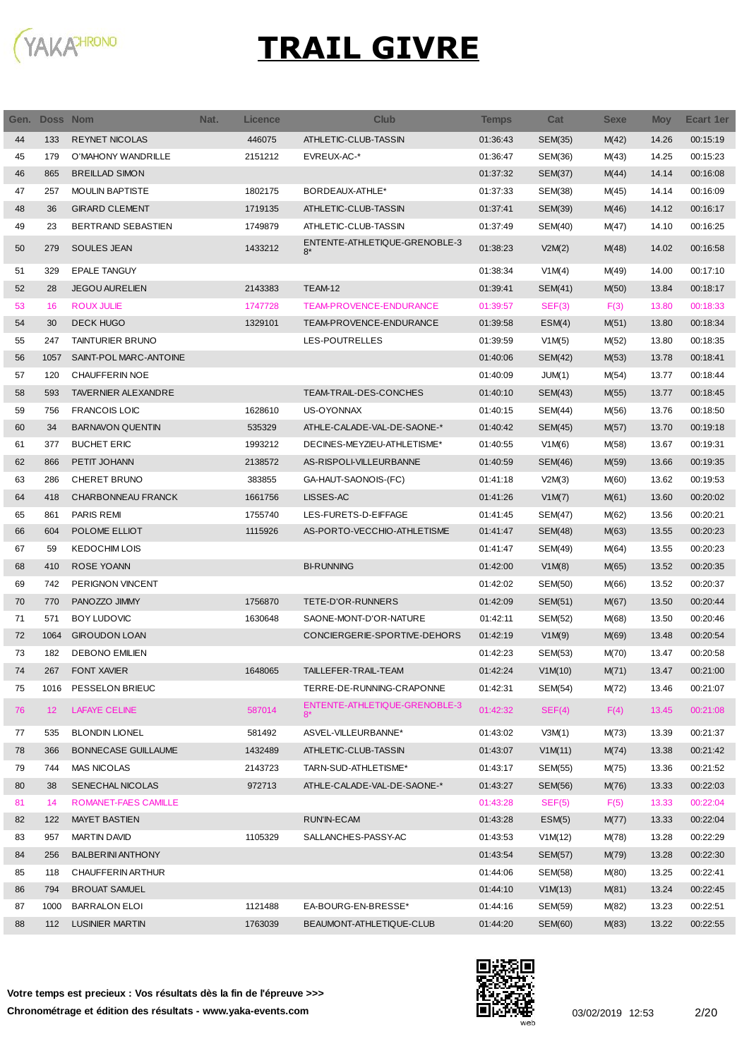

| Gen. | <b>Doss Nom</b> |                            | Nat. | <b>Licence</b> | <b>Club</b>                           | <b>Temps</b> | Cat            | <b>Sexe</b> | <b>Moy</b> | <b>Ecart 1er</b> |
|------|-----------------|----------------------------|------|----------------|---------------------------------------|--------------|----------------|-------------|------------|------------------|
| 44   | 133             | <b>REYNET NICOLAS</b>      |      | 446075         | ATHLETIC-CLUB-TASSIN                  | 01:36:43     | SEM(35)        | M(42)       | 14.26      | 00:15:19         |
| 45   | 179             | O'MAHONY WANDRILLE         |      | 2151212        | EVREUX-AC-*                           | 01:36:47     | SEM(36)        | M(43)       | 14.25      | 00:15:23         |
| 46   | 865             | <b>BREILLAD SIMON</b>      |      |                |                                       | 01:37:32     | <b>SEM(37)</b> | M(44)       | 14.14      | 00:16:08         |
| 47   | 257             | <b>MOULIN BAPTISTE</b>     |      | 1802175        | BORDEAUX-ATHLE*                       | 01:37:33     | SEM(38)        | M(45)       | 14.14      | 00:16:09         |
| 48   | 36              | <b>GIRARD CLEMENT</b>      |      | 1719135        | ATHLETIC-CLUB-TASSIN                  | 01:37:41     | SEM(39)        | M(46)       | 14.12      | 00:16:17         |
| 49   | 23              | BERTRAND SEBASTIEN         |      | 1749879        | ATHLETIC-CLUB-TASSIN                  | 01:37:49     | SEM(40)        | M(47)       | 14.10      | 00:16:25         |
| 50   | 279             | <b>SOULES JEAN</b>         |      | 1433212        | ENTENTE-ATHLETIQUE-GRENOBLE-3<br>$8*$ | 01:38:23     | V2M(2)         | M(48)       | 14.02      | 00:16:58         |
| 51   | 329             | <b>EPALE TANGUY</b>        |      |                |                                       | 01:38:34     | V1M(4)         | M(49)       | 14.00      | 00:17:10         |
| 52   | 28              | <b>JEGOU AURELIEN</b>      |      | 2143383        | TEAM-12                               | 01:39:41     | SEM(41)        | M(50)       | 13.84      | 00:18:17         |
| 53   | 16              | <b>ROUX JULIE</b>          |      | 1747728        | TEAM-PROVENCE-ENDURANCE               | 01:39:57     | SEF(3)         | F(3)        | 13.80      | 00:18:33         |
| 54   | 30              | <b>DECK HUGO</b>           |      | 1329101        | TEAM-PROVENCE-ENDURANCE               | 01:39:58     | ESM(4)         | M(51)       | 13.80      | 00:18:34         |
| 55   | 247             | TAINTURIER BRUNO           |      |                | LES-POUTRELLES                        | 01:39:59     | V1M(5)         | M(52)       | 13.80      | 00:18:35         |
| 56   | 1057            | SAINT-POL MARC-ANTOINE     |      |                |                                       | 01:40:06     | <b>SEM(42)</b> | M(53)       | 13.78      | 00:18:41         |
| 57   | 120             | <b>CHAUFFERIN NOE</b>      |      |                |                                       | 01:40:09     | JUM(1)         | M(54)       | 13.77      | 00:18:44         |
| 58   | 593             | <b>TAVERNIER ALEXANDRE</b> |      |                | TEAM-TRAIL-DES-CONCHES                | 01:40:10     | SEM(43)        | M(55)       | 13.77      | 00:18:45         |
| 59   | 756             | <b>FRANCOIS LOIC</b>       |      | 1628610        | US-OYONNAX                            | 01:40:15     | SEM(44)        | M(56)       | 13.76      | 00:18:50         |
| 60   | 34              | <b>BARNAVON QUENTIN</b>    |      | 535329         | ATHLE-CALADE-VAL-DE-SAONE-*           | 01:40:42     | SEM(45)        | M(57)       | 13.70      | 00:19:18         |
| 61   | 377             | <b>BUCHET ERIC</b>         |      | 1993212        | DECINES-MEYZIEU-ATHLETISME*           | 01:40:55     | V1M(6)         | M(58)       | 13.67      | 00:19:31         |
| 62   | 866             | PETIT JOHANN               |      | 2138572        | AS-RISPOLI-VILLEURBANNE               | 01:40:59     | SEM(46)        | M(59)       | 13.66      | 00:19:35         |
| 63   | 286             | <b>CHERET BRUNO</b>        |      | 383855         | GA-HAUT-SAONOIS-(FC)                  | 01:41:18     | V2M(3)         | M(60)       | 13.62      | 00:19:53         |
| 64   | 418             | CHARBONNEAU FRANCK         |      | 1661756        | LISSES-AC                             | 01:41:26     | V1M(7)         | M(61)       | 13.60      | 00:20:02         |
| 65   | 861             | PARIS REMI                 |      | 1755740        | LES-FURETS-D-EIFFAGE                  | 01:41:45     | SEM(47)        | M(62)       | 13.56      | 00:20:21         |
| 66   | 604             | POLOME ELLIOT              |      | 1115926        | AS-PORTO-VECCHIO-ATHLETISME           | 01:41:47     | SEM(48)        | M(63)       | 13.55      | 00:20:23         |
| 67   | 59              | <b>KEDOCHIM LOIS</b>       |      |                |                                       | 01:41:47     | SEM(49)        | M(64)       | 13.55      | 00:20:23         |
| 68   | 410             | ROSE YOANN                 |      |                | <b>BI-RUNNING</b>                     | 01:42:00     | V1M(8)         | M(65)       | 13.52      | 00:20:35         |
| 69   | 742             | PERIGNON VINCENT           |      |                |                                       | 01:42:02     | SEM(50)        | M(66)       | 13.52      | 00:20:37         |
| 70   | 770             | PANOZZO JIMMY              |      | 1756870        | TETE-D'OR-RUNNERS                     | 01:42:09     | SEM(51)        | M(67)       | 13.50      | 00:20:44         |
| 71   | 571             | <b>BOY LUDOVIC</b>         |      | 1630648        | SAONE-MONT-D'OR-NATURE                | 01:42:11     | SEM(52)        | M(68)       | 13.50      | 00:20:46         |
| 72   | 1064            | <b>GIROUDON LOAN</b>       |      |                | CONCIERGERIE-SPORTIVE-DEHORS          | 01:42:19     | V1M(9)         | M(69)       | 13.48      | 00:20:54         |
| 73   | 182             | <b>DEBONO EMILIEN</b>      |      |                |                                       | 01:42:23     | SEM(53)        | M(70)       | 13.47      | 00:20:58         |
| 74   | 267             | <b>FONT XAVIER</b>         |      | 1648065        | TAILLEFER-TRAIL-TEAM                  | 01:42:24     | V1M(10)        | M(71)       | 13.47      | 00:21:00         |
| 75   | 1016            | PESSELON BRIEUC            |      |                | TERRE-DE-RUNNING-CRAPONNE             | 01:42:31     | SEM(54)        | M(72)       | 13.46      | 00:21:07         |
| 76   | 12 <sup>2</sup> | <b>LAFAYE CELINE</b>       |      | 587014         | ENTENTE-ATHLETIQUE-GRENOBLE-3<br>$8*$ | 01:42:32     | SEF(4)         | F(4)        | 13.45      | 00:21:08         |
| 77   | 535             | <b>BLONDIN LIONEL</b>      |      | 581492         | ASVEL-VILLEURBANNE*                   | 01:43:02     | V3M(1)         | M(73)       | 13.39      | 00:21:37         |
| 78   | 366             | <b>BONNECASE GUILLAUME</b> |      | 1432489        | ATHLETIC-CLUB-TASSIN                  | 01:43:07     | V1M(11)        | M(74)       | 13.38      | 00:21:42         |
| 79   | 744             | <b>MAS NICOLAS</b>         |      | 2143723        | TARN-SUD-ATHLETISME*                  | 01:43:17     | SEM(55)        | M(75)       | 13.36      | 00:21:52         |
| 80   | 38              | <b>SENECHAL NICOLAS</b>    |      | 972713         | ATHLE-CALADE-VAL-DE-SAONE-*           | 01:43:27     | SEM(56)        | M(76)       | 13.33      | 00:22:03         |
| 81   | 14              | ROMANET-FAES CAMILLE       |      |                |                                       | 01:43:28     | SEF(5)         | F(5)        | 13.33      | 00:22:04         |
| 82   | 122             | <b>MAYET BASTIEN</b>       |      |                | RUN'IN-ECAM                           | 01:43:28     | ESM(5)         | M(77)       | 13.33      | 00:22:04         |
| 83   | 957             | <b>MARTIN DAVID</b>        |      | 1105329        | SALLANCHES-PASSY-AC                   | 01:43:53     | V1M(12)        | M(78)       | 13.28      | 00:22:29         |
| 84   | 256             | <b>BALBERINI ANTHONY</b>   |      |                |                                       | 01:43:54     | SEM(57)        | M(79)       | 13.28      | 00:22:30         |
| 85   | 118             | CHAUFFERIN ARTHUR          |      |                |                                       | 01:44:06     | SEM(58)        | M(80)       | 13.25      | 00:22:41         |
| 86   | 794             | <b>BROUAT SAMUEL</b>       |      |                |                                       | 01:44:10     | V1M(13)        | M(81)       | 13.24      | 00:22:45         |
| 87   | 1000            | <b>BARRALON ELOI</b>       |      | 1121488        | EA-BOURG-EN-BRESSE*                   | 01:44:16     | SEM(59)        | M(82)       | 13.23      | 00:22:51         |
| 88   | 112             | LUSINIER MARTIN            |      | 1763039        | BEAUMONT-ATHLETIQUE-CLUB              | 01:44:20     | SEM(60)        | M(83)       | 13.22      | 00:22:55         |

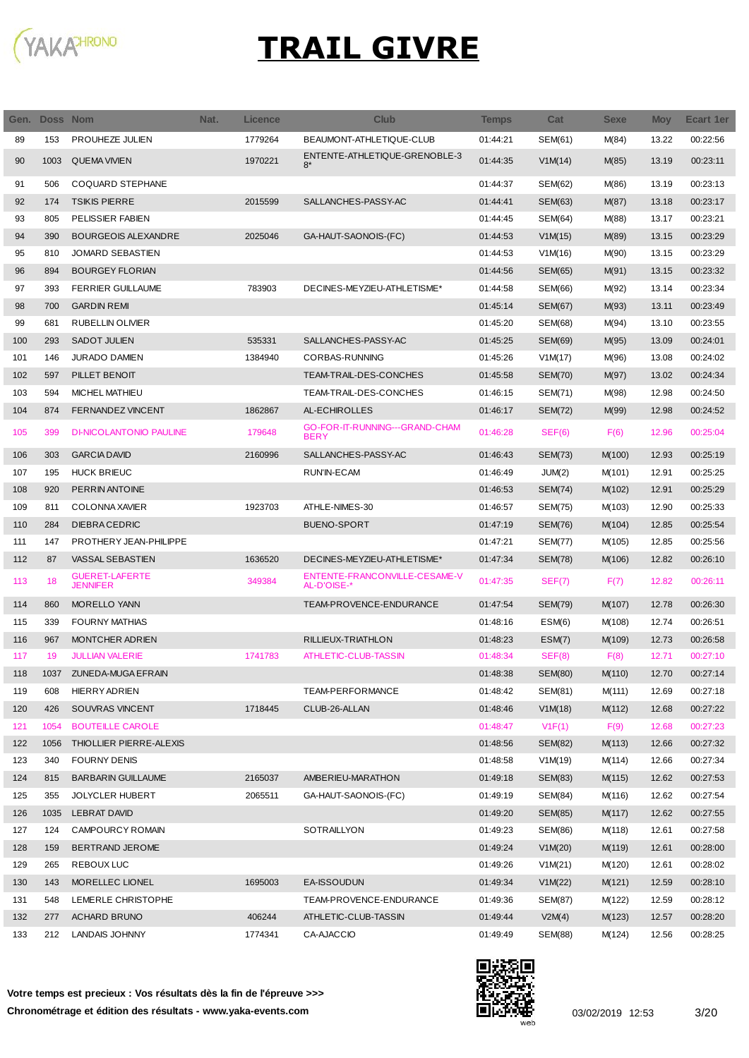

| Gen. | Doss Nom |                                          | Nat. | <b>Licence</b> | <b>Club</b>                                   | <b>Temps</b> | Cat            | <b>Sexe</b> | <b>Moy</b> | Ecart 1er |
|------|----------|------------------------------------------|------|----------------|-----------------------------------------------|--------------|----------------|-------------|------------|-----------|
| 89   | 153      | <b>PROUHEZE JULIEN</b>                   |      | 1779264        | BEAUMONT-ATHLETIQUE-CLUB                      | 01:44:21     | SEM(61)        | M(84)       | 13.22      | 00:22:56  |
| 90   | 1003     | <b>QUEMA VIVIEN</b>                      |      | 1970221        | ENTENTE-ATHLETIQUE-GRENOBLE-3<br>$8*$         | 01:44:35     | V1M(14)        | M(85)       | 13.19      | 00:23:11  |
| 91   | 506      | COQUARD STEPHANE                         |      |                |                                               | 01:44:37     | <b>SEM(62)</b> | M(86)       | 13.19      | 00:23:13  |
| 92   | 174      | <b>TSIKIS PIERRE</b>                     |      | 2015599        | SALLANCHES-PASSY-AC                           | 01:44:41     | SEM(63)        | M(87)       | 13.18      | 00:23:17  |
| 93   | 805      | PELISSIER FABIEN                         |      |                |                                               | 01:44:45     | SEM(64)        | M(88)       | 13.17      | 00:23:21  |
| 94   | 390      | <b>BOURGEOIS ALEXANDRE</b>               |      | 2025046        | GA-HAUT-SAONOIS-(FC)                          | 01:44:53     | V1M(15)        | M(89)       | 13.15      | 00:23:29  |
| 95   | 810      | <b>JOMARD SEBASTIEN</b>                  |      |                |                                               | 01:44:53     | V1M(16)        | M(90)       | 13.15      | 00:23:29  |
| 96   | 894      | <b>BOURGEY FLORIAN</b>                   |      |                |                                               | 01:44:56     | <b>SEM(65)</b> | M(91)       | 13.15      | 00:23:32  |
| 97   | 393      | <b>FERRIER GUILLAUME</b>                 |      | 783903         | DECINES-MEYZIEU-ATHLETISME*                   | 01:44:58     | <b>SEM(66)</b> | M(92)       | 13.14      | 00:23:34  |
| 98   | 700      | <b>GARDIN REMI</b>                       |      |                |                                               | 01:45:14     | <b>SEM(67)</b> | M(93)       | 13.11      | 00:23:49  |
| 99   | 681      | <b>RUBELLIN OLIVIER</b>                  |      |                |                                               | 01:45:20     | SEM(68)        | M(94)       | 13.10      | 00:23:55  |
| 100  | 293      | <b>SADOT JULIEN</b>                      |      | 535331         | SALLANCHES-PASSY-AC                           | 01:45:25     | <b>SEM(69)</b> | M(95)       | 13.09      | 00:24:01  |
| 101  | 146      | <b>JURADO DAMIEN</b>                     |      | 1384940        | CORBAS-RUNNING                                | 01:45:26     | V1M(17)        | M(96)       | 13.08      | 00:24:02  |
| 102  | 597      | PILLET BENOIT                            |      |                | TEAM-TRAIL-DES-CONCHES                        | 01:45:58     | <b>SEM(70)</b> | M(97)       | 13.02      | 00:24:34  |
| 103  | 594      | MICHEL MATHIEU                           |      |                | TEAM-TRAIL-DES-CONCHES                        | 01:46:15     | SEM(71)        | M(98)       | 12.98      | 00:24:50  |
| 104  | 874      | <b>FERNANDEZ VINCENT</b>                 |      | 1862867        | AL-ECHIROLLES                                 | 01:46:17     | <b>SEM(72)</b> | M(99)       | 12.98      | 00:24:52  |
| 105  | 399      | <b>DI-NICOLANTONIO PAULINE</b>           |      | 179648         | GO-FOR-IT-RUNNING---GRAND-CHAM<br><b>BERY</b> | 01:46:28     | SEF(6)         | F(6)        | 12.96      | 00:25:04  |
| 106  | 303      | <b>GARCIA DAVID</b>                      |      | 2160996        | SALLANCHES-PASSY-AC                           | 01:46:43     | <b>SEM(73)</b> | M(100)      | 12.93      | 00:25:19  |
| 107  | 195      | <b>HUCK BRIEUC</b>                       |      |                | RUN'IN-ECAM                                   | 01:46:49     | JUM(2)         | M(101)      | 12.91      | 00:25:25  |
| 108  | 920      | PERRIN ANTOINE                           |      |                |                                               | 01:46:53     | <b>SEM(74)</b> | M(102)      | 12.91      | 00:25:29  |
| 109  | 811      | <b>COLONNA XAVIER</b>                    |      | 1923703        | ATHLE-NIMES-30                                | 01:46:57     | <b>SEM(75)</b> | M(103)      | 12.90      | 00:25:33  |
| 110  | 284      | <b>DIEBRACEDRIC</b>                      |      |                | <b>BUENO-SPORT</b>                            | 01:47:19     | <b>SEM(76)</b> | M(104)      | 12.85      | 00:25:54  |
| 111  | 147      | PROTHERY JEAN-PHILIPPE                   |      |                |                                               | 01:47:21     | <b>SEM(77)</b> | M(105)      | 12.85      | 00:25:56  |
| 112  | 87       | VASSAL SEBASTIEN                         |      | 1636520        | DECINES-MEYZIEU-ATHLETISME*                   | 01:47:34     | <b>SEM(78)</b> | M(106)      | 12.82      | 00:26:10  |
| 113  | 18       | <b>GUERET-LAFERTE</b><br><b>JENNIFER</b> |      | 349384         | ENTENTE-FRANCONVILLE-CESAME-V<br>AL-D'OISE-*  | 01:47:35     | SEF(7)         | F(7)        | 12.82      | 00:26:11  |
| 114  | 860      | <b>MORELLO YANN</b>                      |      |                | TEAM-PROVENCE-ENDURANCE                       | 01:47:54     | <b>SEM(79)</b> | M(107)      | 12.78      | 00:26:30  |
| 115  | 339      | <b>FOURNY MATHIAS</b>                    |      |                |                                               | 01:48:16     | ESM(6)         | M(108)      | 12.74      | 00:26:51  |
| 116  | 967      | <b>MONTCHER ADRIEN</b>                   |      |                | RILLIEUX-TRIATHLON                            | 01:48:23     | ESM(7)         | M(109)      | 12.73      | 00:26:58  |
| 117  | 19       | <b>JULLIAN VALERIE</b>                   |      | 1741783        | ATHLETIC-CLUB-TASSIN                          | 01:48:34     | SEF(8)         | F(8)        | 12.71      | 00:27:10  |
| 118  |          | 1037 ZUNEDA-MUGA EFRAIN                  |      |                |                                               | 01:48:38     | <b>SEM(80)</b> | M(110)      | 12.70      | 00:27:14  |
| 119  | 608      | <b>HIERRY ADRIEN</b>                     |      |                | TEAM-PERFORMANCE                              | 01:48:42     | SEM(81)        | M(111)      | 12.69      | 00:27:18  |
| 120  | 426      | SOUVRAS VINCENT                          |      | 1718445        | CLUB-26-ALLAN                                 | 01:48:46     | V1M(18)        | M(112)      | 12.68      | 00:27:22  |
| 121  | 1054     | <b>BOUTEILLE CAROLE</b>                  |      |                |                                               | 01:48:47     | V1F(1)         | F(9)        | 12.68      | 00:27:23  |
| 122  | 1056     | THIOLLIER PIERRE-ALEXIS                  |      |                |                                               | 01:48:56     | SEM(82)        | M(113)      | 12.66      | 00:27:32  |
| 123  | 340      | <b>FOURNY DENIS</b>                      |      |                |                                               | 01:48:58     | V1M(19)        | M(114)      | 12.66      | 00:27:34  |
| 124  | 815      | <b>BARBARIN GUILLAUME</b>                |      | 2165037        | AMBERIEU-MARATHON                             | 01:49:18     | SEM(83)        | M(115)      | 12.62      | 00:27:53  |
| 125  | 355      | <b>JOLYCLER HUBERT</b>                   |      | 2065511        | GA-HAUT-SAONOIS-(FC)                          | 01:49:19     | SEM(84)        | M(116)      | 12.62      | 00:27:54  |
| 126  | 1035     | <b>LEBRAT DAVID</b>                      |      |                |                                               | 01:49:20     | <b>SEM(85)</b> | M(117)      | 12.62      | 00:27:55  |
| 127  | 124      | <b>CAMPOURCY ROMAIN</b>                  |      |                | SOTRAILLYON                                   | 01:49:23     | <b>SEM(86)</b> | M(118)      | 12.61      | 00:27:58  |
| 128  | 159      | BERTRAND JEROME                          |      |                |                                               | 01:49:24     | V1M(20)        | M(119)      | 12.61      | 00:28:00  |
| 129  | 265      | REBOUX LUC                               |      |                |                                               | 01:49:26     | V1M(21)        | M(120)      | 12.61      | 00:28:02  |
| 130  | 143      | MORELLEC LIONEL                          |      | 1695003        | EA-ISSOUDUN                                   | 01:49:34     | V1M(22)        | M(121)      | 12.59      | 00:28:10  |
| 131  | 548      | LEMERLE CHRISTOPHE                       |      |                | TEAM-PROVENCE-ENDURANCE                       | 01:49:36     | SEM(87)        | M(122)      | 12.59      | 00:28:12  |
| 132  | 277      | <b>ACHARD BRUNO</b>                      |      | 406244         | ATHLETIC-CLUB-TASSIN                          | 01:49:44     | V2M(4)         | M(123)      | 12.57      | 00:28:20  |
| 133  | 212      | LANDAIS JOHNNY                           |      | 1774341        | CA-AJACCIO                                    | 01:49:49     | <b>SEM(88)</b> | M(124)      | 12.56      | 00:28:25  |

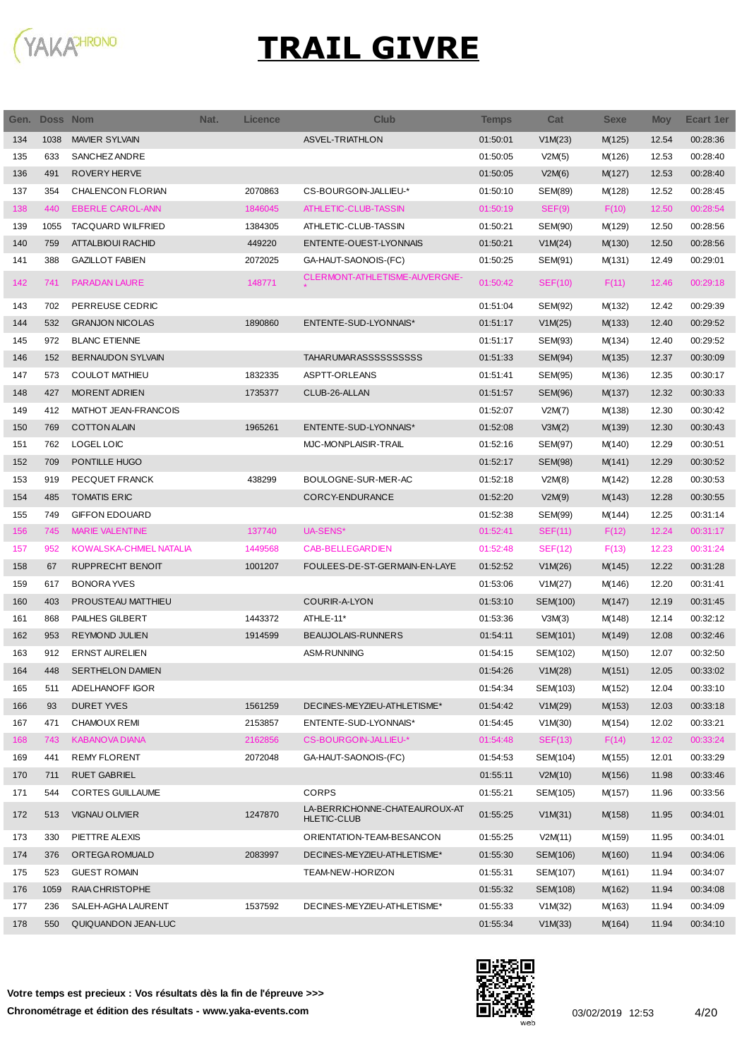

| Gen. | Doss Nom |                          | Nat. | <b>Licence</b> | <b>Club</b>                                         | <b>Temps</b> | Cat      | <b>Sexe</b> | <b>Moy</b> | Ecart 1er |
|------|----------|--------------------------|------|----------------|-----------------------------------------------------|--------------|----------|-------------|------------|-----------|
| 134  | 1038     | <b>MAVIER SYLVAIN</b>    |      |                | <b>ASVEL-TRIATHLON</b>                              | 01:50:01     | V1M(23)  | M(125)      | 12.54      | 00:28:36  |
| 135  | 633      | <b>SANCHEZ ANDRE</b>     |      |                |                                                     | 01:50:05     | V2M(5)   | M(126)      | 12.53      | 00:28:40  |
| 136  | 491      | <b>ROVERY HERVE</b>      |      |                |                                                     | 01:50:05     | V2M(6)   | M(127)      | 12.53      | 00:28:40  |
| 137  | 354      | CHALENCON FLORIAN        |      | 2070863        | CS-BOURGOIN-JALLIEU-*                               | 01:50:10     | SEM(89)  | M(128)      | 12.52      | 00:28:45  |
| 138  | 440      | <b>EBERLE CAROL-ANN</b>  |      | 1846045        | ATHLETIC-CLUB-TASSIN                                | 01:50:19     | SEF(9)   | F(10)       | 12.50      | 00:28:54  |
| 139  | 1055     | <b>TACQUARD WILFRIED</b> |      | 1384305        | ATHLETIC-CLUB-TASSIN                                | 01:50:21     | SEM(90)  | M(129)      | 12.50      | 00:28:56  |
| 140  | 759      | ATTALBIOUI RACHID        |      | 449220         | ENTENTE-OUEST-LYONNAIS                              | 01:50:21     | V1M(24)  | M(130)      | 12.50      | 00:28:56  |
| 141  | 388      | <b>GAZILLOT FABIEN</b>   |      | 2072025        | GA-HAUT-SAONOIS-(FC)                                | 01:50:25     | SEM(91)  | M(131)      | 12.49      | 00:29:01  |
| 142  | 741      | PARADAN LAURE            |      | 148771         | CLERMONT-ATHLETISME-AUVERGNE-                       | 01:50:42     | SEF(10)  | F(11)       | 12.46      | 00:29:18  |
| 143  | 702      | PERREUSE CEDRIC          |      |                |                                                     | 01:51:04     | SEM(92)  | M(132)      | 12.42      | 00:29:39  |
| 144  | 532      | <b>GRANJON NICOLAS</b>   |      | 1890860        | ENTENTE-SUD-LYONNAIS*                               | 01:51:17     | V1M(25)  | M(133)      | 12.40      | 00:29:52  |
| 145  | 972      | <b>BLANC ETIENNE</b>     |      |                |                                                     | 01:51:17     | SEM(93)  | M(134)      | 12.40      | 00:29:52  |
| 146  | 152      | <b>BERNAUDON SYLVAIN</b> |      |                | <b>TAHARUMARASSSSSSSSSSS</b>                        | 01:51:33     | SEM(94)  | M(135)      | 12.37      | 00:30:09  |
| 147  | 573      | <b>COULOT MATHIEU</b>    |      | 1832335        | ASPTT-ORLEANS                                       | 01:51:41     | SEM(95)  | M(136)      | 12.35      | 00:30:17  |
| 148  | 427      | <b>MORENT ADRIEN</b>     |      | 1735377        | CLUB-26-ALLAN                                       | 01:51:57     | SEM(96)  | M(137)      | 12.32      | 00:30:33  |
| 149  | 412      | MATHOT JEAN-FRANCOIS     |      |                |                                                     | 01:52:07     | V2M(7)   | M(138)      | 12.30      | 00:30:42  |
| 150  | 769      | <b>COTTON ALAIN</b>      |      | 1965261        | ENTENTE-SUD-LYONNAIS*                               | 01:52:08     | V3M(2)   | M(139)      | 12.30      | 00:30:43  |
| 151  | 762      | <b>LOGEL LOIC</b>        |      |                | MJC-MONPLAISIR-TRAIL                                | 01:52:16     | SEM(97)  | M(140)      | 12.29      | 00:30:51  |
| 152  | 709      | PONTILLE HUGO            |      |                |                                                     | 01:52:17     | SEM(98)  | M(141)      | 12.29      | 00:30:52  |
| 153  | 919      | PECQUET FRANCK           |      | 438299         | BOULOGNE-SUR-MER-AC                                 | 01:52:18     | V2M(8)   | M(142)      | 12.28      | 00:30:53  |
| 154  | 485      | <b>TOMATIS ERIC</b>      |      |                | <b>CORCY-ENDURANCE</b>                              | 01:52:20     | V2M(9)   | M(143)      | 12.28      | 00:30:55  |
| 155  | 749      | <b>GIFFON EDOUARD</b>    |      |                |                                                     | 01:52:38     | SEM(99)  | M(144)      | 12.25      | 00:31:14  |
| 156  | 745      | <b>MARIE VALENTINE</b>   |      | 137740         | UA-SENS*                                            | 01:52:41     | SEF(11)  | F(12)       | 12.24      | 00:31:17  |
| 157  | 952      | KOWALSKA-CHMIEL NATALIA  |      | 1449568        | CAB-BELLEGARDIEN                                    | 01:52:48     | SEF(12)  | F(13)       | 12.23      | 00:31:24  |
| 158  | 67       | <b>RUPPRECHT BENOIT</b>  |      | 1001207        | FOULEES-DE-ST-GERMAIN-EN-LAYE                       | 01:52:52     | V1M(26)  | M(145)      | 12.22      | 00:31:28  |
| 159  | 617      | <b>BONORA YVES</b>       |      |                |                                                     | 01:53:06     | V1M(27)  | M(146)      | 12.20      | 00:31:41  |
| 160  | 403      | PROUSTEAU MATTHIEU       |      |                | COURIR-A-LYON                                       | 01:53:10     | SEM(100) | M(147)      | 12.19      | 00:31:45  |
| 161  | 868      | PAILHES GILBERT          |      | 1443372        | ATHLE-11*                                           | 01:53:36     | V3M(3)   | M(148)      | 12.14      | 00:32:12  |
| 162  | 953      | <b>REYMOND JULIEN</b>    |      | 1914599        | <b>BEAUJOLAIS-RUNNERS</b>                           | 01:54:11     | SEM(101) | M(149)      | 12.08      | 00:32:46  |
| 163  | 912      | <b>ERNST AURELIEN</b>    |      |                | <b>ASM-RUNNING</b>                                  | 01:54:15     | SEM(102) | M(150)      | 12.07      | 00:32:50  |
| 164  | 448      | <b>SERTHELON DAMIEN</b>  |      |                |                                                     | 01:54:26     | V1M(28)  | M(151)      | 12.05      | 00:33:02  |
| 165  | 511      | ADELHANOFF IGOR          |      |                |                                                     | 01:54:34     | SEM(103) | M(152)      | 12.04      | 00:33:10  |
| 166  | 93       | <b>DURET YVES</b>        |      | 1561259        | DECINES-MEYZIEU-ATHLETISME*                         | 01:54:42     | V1M(29)  | M(153)      | 12.03      | 00:33:18  |
| 167  | 471      | <b>CHAMOUX REMI</b>      |      | 2153857        | ENTENTE-SUD-LYONNAIS*                               | 01:54:45     | V1M(30)  | M(154)      | 12.02      | 00:33:21  |
| 168  | 743      | <b>KABANOVA DIANA</b>    |      | 2162856        | CS-BOURGOIN-JALLIEU-*                               | 01:54:48     | SEF(13)  | F(14)       | 12.02      | 00:33:24  |
| 169  | 441      | <b>REMY FLORENT</b>      |      | 2072048        | GA-HAUT-SAONOIS-(FC)                                | 01:54:53     | SEM(104) | M(155)      | 12.01      | 00:33:29  |
| 170  | 711      | <b>RUET GABRIEL</b>      |      |                |                                                     | 01:55:11     | V2M(10)  | M(156)      | 11.98      | 00:33:46  |
| 171  | 544      | <b>CORTES GUILLAUME</b>  |      |                | <b>CORPS</b>                                        | 01:55:21     | SEM(105) | M(157)      | 11.96      | 00:33:56  |
| 172  | 513      | <b>VIGNAU OLIVIER</b>    |      | 1247870        | LA-BERRICHONNE-CHATEAUROUX-AT<br><b>HLETIC-CLUB</b> | 01:55:25     | V1M(31)  | M(158)      | 11.95      | 00:34:01  |
| 173  | 330      | PIETTRE ALEXIS           |      |                | ORIENTATION-TEAM-BESANCON                           | 01:55:25     | V2M(11)  | M(159)      | 11.95      | 00:34:01  |
| 174  | 376      | ORTEGA ROMUALD           |      | 2083997        | DECINES-MEYZIEU-ATHLETISME*                         | 01:55:30     | SEM(106) | M(160)      | 11.94      | 00:34:06  |
| 175  | 523      | <b>GUEST ROMAIN</b>      |      |                | TEAM-NEW-HORIZON                                    | 01:55:31     | SEM(107) | M(161)      | 11.94      | 00:34:07  |
| 176  | 1059     | RAIA CHRISTOPHE          |      |                |                                                     | 01:55:32     | SEM(108) | M(162)      | 11.94      | 00:34:08  |
| 177  | 236      | SALEH-AGHA LAURENT       |      | 1537592        | DECINES-MEYZIEU-ATHLETISME*                         | 01:55:33     | V1M(32)  | M(163)      | 11.94      | 00:34:09  |
| 178  | 550      | QUIQUANDON JEAN-LUC      |      |                |                                                     | 01:55:34     | V1M(33)  | M(164)      | 11.94      | 00:34:10  |

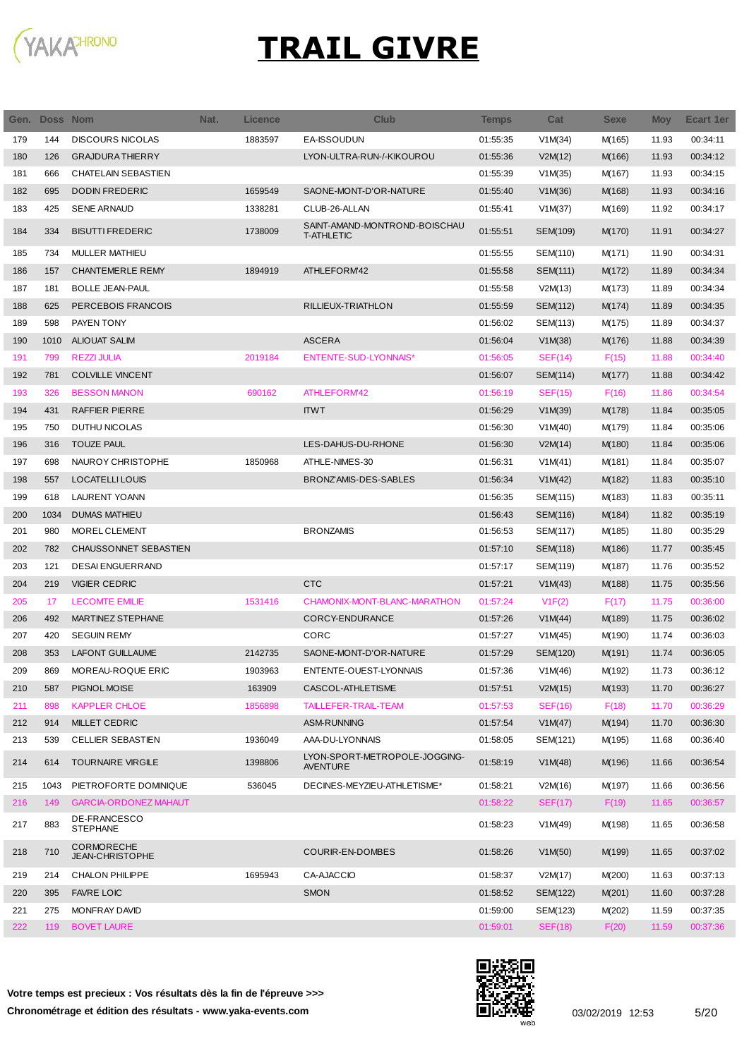

I

| Gen. | Doss Nom |                                             | Nat. | Licence | <b>Club</b>                                        | <b>Temps</b> | Cat            | <b>Sexe</b> | <b>Moy</b> | Ecart 1er |
|------|----------|---------------------------------------------|------|---------|----------------------------------------------------|--------------|----------------|-------------|------------|-----------|
| 179  | 144      | <b>DISCOURS NICOLAS</b>                     |      | 1883597 | EA-ISSOUDUN                                        | 01:55:35     | V1M(34)        | M(165)      | 11.93      | 00:34:11  |
| 180  | 126      | <b>GRAJDURA THIERRY</b>                     |      |         | LYON-ULTRA-RUN-/-KIKOUROU                          | 01:55:36     | V2M(12)        | M(166)      | 11.93      | 00:34:12  |
| 181  | 666      | CHATELAIN SEBASTIEN                         |      |         |                                                    | 01:55:39     | V1M(35)        | M(167)      | 11.93      | 00:34:15  |
| 182  | 695      | <b>DODIN FREDERIC</b>                       |      | 1659549 | SAONE-MONT-D'OR-NATURE                             | 01:55:40     | V1M(36)        | M(168)      | 11.93      | 00:34:16  |
| 183  | 425      | <b>SENE ARNAUD</b>                          |      | 1338281 | CLUB-26-ALLAN                                      | 01:55:41     | V1M(37)        | M(169)      | 11.92      | 00:34:17  |
| 184  | 334      | <b>BISUTTI FREDERIC</b>                     |      | 1738009 | SAINT-AMAND-MONTROND-BOISCHAU<br><b>T-ATHLETIC</b> | 01:55:51     | SEM(109)       | M(170)      | 11.91      | 00:34:27  |
| 185  | 734      | <b>MULLER MATHIEU</b>                       |      |         |                                                    | 01:55:55     | SEM(110)       | M(171)      | 11.90      | 00:34:31  |
| 186  | 157      | <b>CHANTEMERLE REMY</b>                     |      | 1894919 | ATHLEFORM'42                                       | 01:55:58     | SEM(111)       | M(172)      | 11.89      | 00:34:34  |
| 187  | 181      | <b>BOLLE JEAN-PAUL</b>                      |      |         |                                                    | 01:55:58     | V2M(13)        | M(173)      | 11.89      | 00:34:34  |
| 188  | 625      | PERCEBOIS FRANCOIS                          |      |         | RILLIEUX-TRIATHLON                                 | 01:55:59     | SEM(112)       | M(174)      | 11.89      | 00:34:35  |
| 189  | 598      | PAYEN TONY                                  |      |         |                                                    | 01:56:02     | SEM(113)       | M(175)      | 11.89      | 00:34:37  |
| 190  | 1010     | <b>ALIOUAT SALIM</b>                        |      |         | <b>ASCERA</b>                                      | 01:56:04     | V1M(38)        | M(176)      | 11.88      | 00:34:39  |
| 191  | 799      | <b>REZZI JULIA</b>                          |      | 2019184 | <b>ENTENTE-SUD-LYONNAIS*</b>                       | 01:56:05     | SEF(14)        | F(15)       | 11.88      | 00:34:40  |
| 192  | 781      | <b>COLVILLE VINCENT</b>                     |      |         |                                                    | 01:56:07     | SEM(114)       | M(177)      | 11.88      | 00:34:42  |
| 193  | 326      | <b>BESSON MANON</b>                         |      | 690162  | ATHLEFORM42                                        | 01:56:19     | SEF(15)        | F(16)       | 11.86      | 00:34:54  |
| 194  | 431      | <b>RAFFIER PIERRE</b>                       |      |         | <b>ITWT</b>                                        | 01:56:29     | V1M(39)        | M(178)      | 11.84      | 00:35:05  |
| 195  | 750      | <b>DUTHU NICOLAS</b>                        |      |         |                                                    | 01:56:30     | V1M(40)        | M(179)      | 11.84      | 00:35:06  |
| 196  | 316      | <b>TOUZE PAUL</b>                           |      |         | LES-DAHUS-DU-RHONE                                 | 01:56:30     | V2M(14)        | M(180)      | 11.84      | 00:35:06  |
| 197  | 698      | NAUROY CHRISTOPHE                           |      | 1850968 | ATHLE-NIMES-30                                     | 01:56:31     | V1M(41)        | M(181)      | 11.84      | 00:35:07  |
| 198  | 557      | LOCATELLI LOUIS                             |      |         | BRONZAMIS-DES-SABLES                               | 01:56:34     | V1M(42)        | M(182)      | 11.83      | 00:35:10  |
| 199  | 618      | <b>LAURENT YOANN</b>                        |      |         |                                                    | 01:56:35     | SEM(115)       | M(183)      | 11.83      | 00:35:11  |
| 200  | 1034     | <b>DUMAS MATHIEU</b>                        |      |         |                                                    | 01:56:43     | SEM(116)       | M(184)      | 11.82      | 00:35:19  |
| 201  | 980      | MOREL CLEMENT                               |      |         | <b>BRONZAMIS</b>                                   | 01:56:53     | SEM(117)       | M(185)      | 11.80      | 00:35:29  |
| 202  | 782      | CHAUSSONNET SEBASTIEN                       |      |         |                                                    | 01:57:10     | SEM(118)       | M(186)      | 11.77      | 00:35:45  |
| 203  | 121      | <b>DESAI ENGUERRAND</b>                     |      |         |                                                    | 01:57:17     | SEM(119)       | M(187)      | 11.76      | 00:35:52  |
| 204  | 219      | <b>VIGIER CEDRIC</b>                        |      |         | <b>CTC</b>                                         | 01:57:21     | V1M(43)        | M(188)      | 11.75      | 00:35:56  |
| 205  | 17       | <b>LECOMTE EMILIE</b>                       |      | 1531416 | CHAMONIX-MONT-BLANC-MARATHON                       | 01:57:24     | V1F(2)         | F(17)       | 11.75      | 00:36:00  |
| 206  | 492      | <b>MARTINEZ STEPHANE</b>                    |      |         | CORCY-ENDURANCE                                    | 01:57:26     | V1M(44)        | M(189)      | 11.75      | 00:36:02  |
| 207  | 420      | <b>SEGUIN REMY</b>                          |      |         | CORC                                               | 01:57:27     | V1M(45)        | M(190)      | 11.74      | 00:36:03  |
| 208  | 353      | <b>LAFONT GUILLAUME</b>                     |      | 2142735 | SAONE-MONT-D'OR-NATURE                             | 01:57:29     | SEM(120)       | M(191)      | 11.74      | 00:36:05  |
| 209  | 869      | MOREAU-ROQUE ERIC                           |      | 1903963 | ENTENTE-OUEST-LYONNAIS                             | 01:57:36     | V1M(46)        | M(192)      | 11.73      | 00:36:12  |
| 210  | 587      | PIGNOL MOISE                                |      | 163909  | CASCOL-ATHLETISME                                  | 01:57:51     | V2M(15)        | M(193)      | 11.70      | 00:36:27  |
| 211  | 898      | <b>KAPPLER CHLOE</b>                        |      | 1856898 | TAILLEFER-TRAIL-TEAM                               | 01:57:53     | <b>SEF(16)</b> | F(18)       | 11.70      | 00:36:29  |
| 212  | 914      | <b>MILLET CEDRIC</b>                        |      |         | ASM-RUNNING                                        | 01:57:54     | V1M(47)        | M(194)      | 11.70      | 00:36:30  |
| 213  | 539      | <b>CELLIER SEBASTIEN</b>                    |      | 1936049 | AAA-DU-LYONNAIS                                    | 01:58:05     | SEM(121)       | M(195)      | 11.68      | 00:36:40  |
| 214  | 614      | <b>TOURNAIRE VIRGILE</b>                    |      | 1398806 | LYON-SPORT-METROPOLE-JOGGING-<br><b>AVENTURE</b>   | 01:58:19     | V1M(48)        | M(196)      | 11.66      | 00:36:54  |
| 215  | 1043     | PIETROFORTE DOMINIQUE                       |      | 536045  | DECINES-MEYZIEU-ATHLETISME*                        | 01:58:21     | V2M(16)        | M(197)      | 11.66      | 00:36:56  |
| 216  | 149      | <b>GARCIA-ORDONEZ MAHAUT</b>                |      |         |                                                    | 01:58:22     | SEF(17)        | F(19)       | 11.65      | 00:36:57  |
| 217  | 883      | DE-FRANCESCO<br><b>STEPHANE</b>             |      |         |                                                    | 01:58:23     | V1M(49)        | M(198)      | 11.65      | 00:36:58  |
| 218  | 710      | <b>CORMORECHE</b><br><b>JEAN-CHRISTOPHE</b> |      |         | COURIR-EN-DOMBES                                   | 01:58:26     | V1M(50)        | M(199)      | 11.65      | 00:37:02  |
| 219  | 214      | <b>CHALON PHILIPPE</b>                      |      | 1695943 | CA-AJACCIO                                         | 01:58:37     | V2M(17)        | M(200)      | 11.63      | 00:37:13  |
| 220  | 395      | <b>FAVRE LOIC</b>                           |      |         | <b>SMON</b>                                        | 01:58:52     | SEM(122)       | M(201)      | 11.60      | 00:37:28  |
| 221  | 275      | MONFRAY DAVID                               |      |         |                                                    | 01:59:00     | SEM(123)       | M(202)      | 11.59      | 00:37:35  |
| 222  | 119      | <b>BOVET LAURE</b>                          |      |         |                                                    | 01:59:01     | <b>SEF(18)</b> | F(20)       | 11.59      | 00:37:36  |

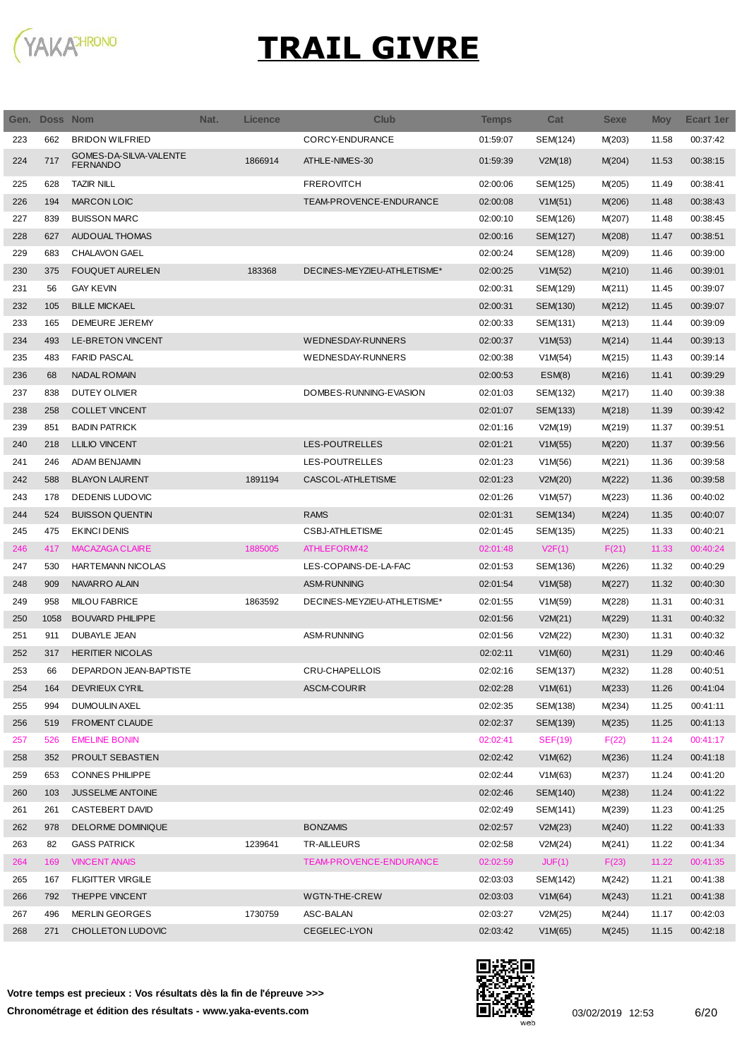

| Gen. | <b>Doss Nom</b> |                                           | Nat. | <b>Licence</b> | <b>Club</b>                 | Temps    | Cat            | <b>Sexe</b> | <b>Moy</b> | Ecart 1er |
|------|-----------------|-------------------------------------------|------|----------------|-----------------------------|----------|----------------|-------------|------------|-----------|
| 223  | 662             | <b>BRIDON WILFRIED</b>                    |      |                | CORCY-ENDURANCE             | 01:59:07 | SEM(124)       | M(203)      | 11.58      | 00:37:42  |
| 224  | 717             | GOMES-DA-SILVA-VALENTE<br><b>FERNANDO</b> |      | 1866914        | ATHLE-NIMES-30              | 01:59:39 | V2M(18)        | M(204)      | 11.53      | 00:38:15  |
| 225  | 628             | <b>TAZIR NILL</b>                         |      |                | <b>FREROVITCH</b>           | 02:00:06 | SEM(125)       | M(205)      | 11.49      | 00:38:41  |
| 226  | 194             | MARCON LOIC                               |      |                | TEAM-PROVENCE-ENDURANCE     | 02:00:08 | V1M(51)        | M(206)      | 11.48      | 00:38:43  |
| 227  | 839             | <b>BUISSON MARC</b>                       |      |                |                             | 02:00:10 | SEM(126)       | M(207)      | 11.48      | 00:38:45  |
| 228  | 627             | AUDOUAL THOMAS                            |      |                |                             | 02:00:16 | SEM(127)       | M(208)      | 11.47      | 00:38:51  |
| 229  | 683             | <b>CHALAVON GAEL</b>                      |      |                |                             | 02:00:24 | SEM(128)       | M(209)      | 11.46      | 00:39:00  |
| 230  | 375             | <b>FOUQUET AURELIEN</b>                   |      | 183368         | DECINES-MEYZIEU-ATHLETISME* | 02:00:25 | V1M(52)        | M(210)      | 11.46      | 00:39:01  |
| 231  | 56              | <b>GAY KEVIN</b>                          |      |                |                             | 02:00:31 | SEM(129)       | M(211)      | 11.45      | 00:39:07  |
| 232  | 105             | <b>BILLE MICKAEL</b>                      |      |                |                             | 02:00:31 | SEM(130)       | M(212)      | 11.45      | 00:39:07  |
| 233  | 165             | DEMEURE JEREMY                            |      |                |                             | 02:00:33 | SEM(131)       | M(213)      | 11.44      | 00:39:09  |
| 234  | 493             | LE-BRETON VINCENT                         |      |                | <b>WEDNESDAY-RUNNERS</b>    | 02:00:37 | V1M(53)        | M(214)      | 11.44      | 00:39:13  |
| 235  | 483             | <b>FARID PASCAL</b>                       |      |                | WEDNESDAY-RUNNERS           | 02:00:38 | V1M(54)        | M(215)      | 11.43      | 00:39:14  |
| 236  | 68              | <b>NADAL ROMAIN</b>                       |      |                |                             | 02:00:53 | ESM(8)         | M(216)      | 11.41      | 00:39:29  |
| 237  | 838             | <b>DUTEY OLIVIER</b>                      |      |                | DOMBES-RUNNING-EVASION      | 02:01:03 | SEM(132)       | M(217)      | 11.40      | 00:39:38  |
| 238  | 258             | <b>COLLET VINCENT</b>                     |      |                |                             | 02:01:07 | SEM(133)       | M(218)      | 11.39      | 00:39:42  |
| 239  | 851             | <b>BADIN PATRICK</b>                      |      |                |                             | 02:01:16 | V2M(19)        | M(219)      | 11.37      | 00:39:51  |
| 240  | 218             | <b>LLILIO VINCENT</b>                     |      |                | LES-POUTRELLES              | 02:01:21 | V1M(55)        | M(220)      | 11.37      | 00:39:56  |
| 241  | 246             | <b>ADAM BENJAMIN</b>                      |      |                | LES-POUTRELLES              | 02:01:23 | V1M(56)        | M(221)      | 11.36      | 00:39:58  |
| 242  | 588             | <b>BLAYON LAURENT</b>                     |      | 1891194        | CASCOL-ATHLETISME           | 02:01:23 | V2M(20)        | M(222)      | 11.36      | 00:39:58  |
| 243  | 178             | DEDENIS LUDOVIC                           |      |                |                             | 02:01:26 | V1M(57)        | M(223)      | 11.36      | 00:40:02  |
| 244  | 524             | <b>BUISSON QUENTIN</b>                    |      |                | <b>RAMS</b>                 | 02:01:31 | SEM(134)       | M(224)      | 11.35      | 00:40:07  |
| 245  | 475             | <b>EKINCI DENIS</b>                       |      |                | <b>CSBJ-ATHLETISME</b>      | 02:01:45 | SEM(135)       | M(225)      | 11.33      | 00:40:21  |
| 246  | 417             | <b>MACAZAGA CLAIRE</b>                    |      | 1885005        | ATHLEFORM42                 | 02:01:48 | V2F(1)         | F(21)       | 11.33      | 00:40:24  |
| 247  | 530             | HARTEMANN NICOLAS                         |      |                | LES-COPAINS-DE-LA-FAC       | 02:01:53 | SEM(136)       | M(226)      | 11.32      | 00:40:29  |
| 248  | 909             | NAVARRO ALAIN                             |      |                | ASM-RUNNING                 | 02:01:54 | V1M(58)        | M(227)      | 11.32      | 00:40:30  |
| 249  | 958             | <b>MILOU FABRICE</b>                      |      | 1863592        | DECINES-MEYZIEU-ATHLETISME* | 02:01:55 | V1M(59)        | M(228)      | 11.31      | 00:40:31  |
| 250  | 1058            | <b>BOUVARD PHILIPPE</b>                   |      |                |                             | 02:01:56 | V2M(21)        | M(229)      | 11.31      | 00:40:32  |
| 251  | 911             | DUBAYLE JEAN                              |      |                | <b>ASM-RUNNING</b>          | 02:01:56 | V2M(22)        | M(230)      | 11.31      | 00:40:32  |
| 252  | 317             | <b>HERITIER NICOLAS</b>                   |      |                |                             | 02:02:11 | V1M(60)        | M(231)      | 11.29      | 00:40:46  |
| 253  | 66              | DEPARDON JEAN-BAPTISTE                    |      |                | CRU-CHAPELLOIS              | 02:02:16 | SEM(137)       | M(232)      | 11.28      | 00:40:51  |
| 254  | 164             | <b>DEVRIEUX CYRIL</b>                     |      |                | <b>ASCM-COURIR</b>          | 02:02:28 | V1M(61)        | M(233)      | 11.26      | 00:41:04  |
| 255  | 994             | <b>DUMOULIN AXEL</b>                      |      |                |                             | 02:02:35 | SEM(138)       | M(234)      | 11.25      | 00:41:11  |
| 256  | 519             | FROMENT CLAUDE                            |      |                |                             | 02:02:37 | SEM(139)       | M(235)      | 11.25      | 00:41:13  |
| 257  | 526             | <b>EMELINE BONIN</b>                      |      |                |                             | 02:02:41 | <b>SEF(19)</b> | F(22)       | 11.24      | 00:41:17  |
| 258  | 352             | PROULT SEBASTIEN                          |      |                |                             | 02:02:42 | V1M(62)        | M(236)      | 11.24      | 00:41:18  |
| 259  | 653             | <b>CONNES PHILIPPE</b>                    |      |                |                             | 02:02:44 | V1M(63)        | M(237)      | 11.24      | 00:41:20  |
| 260  | 103             | <b>JUSSELME ANTOINE</b>                   |      |                |                             | 02:02:46 | SEM(140)       | M(238)      | 11.24      | 00:41:22  |
| 261  | 261             | CASTEBERT DAVID                           |      |                |                             | 02:02:49 | SEM(141)       | M(239)      | 11.23      | 00:41:25  |
| 262  | 978             | DELORME DOMINIQUE                         |      |                | <b>BONZAMIS</b>             | 02:02:57 | V2M(23)        | M(240)      | 11.22      | 00:41:33  |
| 263  | 82              | <b>GASS PATRICK</b>                       |      | 1239641        | TR-AILLEURS                 | 02:02:58 | V2M(24)        | M(241)      | 11.22      | 00:41:34  |
| 264  | 169             | <b>VINCENT ANAIS</b>                      |      |                | TEAM-PROVENCE-ENDURANCE     | 02:02:59 | JUF(1)         | F(23)       | 11.22      | 00:41:35  |
| 265  | 167             | <b>FLIGITTER VIRGILE</b>                  |      |                |                             | 02:03:03 | SEM(142)       | M(242)      | 11.21      | 00:41:38  |
| 266  | 792             | THEPPE VINCENT                            |      |                | WGTN-THE-CREW               | 02:03:03 | V1M(64)        | M(243)      | 11.21      | 00:41:38  |
| 267  | 496             | <b>MERLIN GEORGES</b>                     |      | 1730759        | ASC-BALAN                   | 02:03:27 | V2M(25)        | M(244)      | 11.17      | 00:42:03  |
| 268  | 271             | CHOLLETON LUDOVIC                         |      |                | CEGELEC-LYON                | 02:03:42 | V1M(65)        | M(245)      | 11.15      | 00:42:18  |

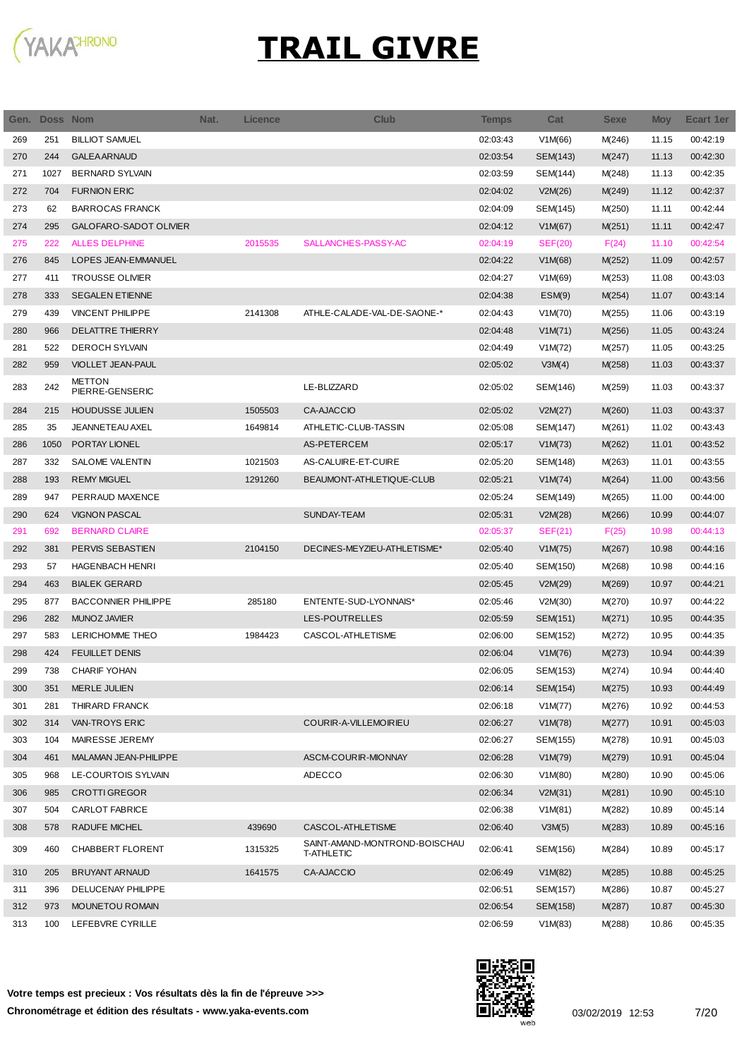

| Gen. | <b>Doss Nom</b> |                            | Nat. | <b>Licence</b> | Club                          | <b>Temps</b> | Cat            | <b>Sexe</b> | <b>Moy</b> | <b>Ecart 1er</b> |
|------|-----------------|----------------------------|------|----------------|-------------------------------|--------------|----------------|-------------|------------|------------------|
| 269  | 251             | <b>BILLIOT SAMUEL</b>      |      |                |                               | 02:03:43     | V1M(66)        | M(246)      | 11.15      | 00:42:19         |
| 270  | 244             | <b>GALEA ARNAUD</b>        |      |                |                               | 02:03:54     | SEM(143)       | M(247)      | 11.13      | 00:42:30         |
| 271  | 1027            | <b>BERNARD SYLVAIN</b>     |      |                |                               | 02:03:59     | SEM(144)       | M(248)      | 11.13      | 00:42:35         |
| 272  | 704             | <b>FURNION ERIC</b>        |      |                |                               | 02:04:02     | V2M(26)        | M(249)      | 11.12      | 00:42:37         |
| 273  | 62              | <b>BARROCAS FRANCK</b>     |      |                |                               | 02:04:09     | SEM(145)       | M(250)      | 11.11      | 00:42:44         |
| 274  | 295             | GALOFARO-SADOT OLIVIER     |      |                |                               | 02:04:12     | V1M(67)        | M(251)      | 11.11      | 00:42:47         |
| 275  | 222             | <b>ALLES DELPHINE</b>      |      | 2015535        | SALLANCHES-PASSY-AC           | 02:04:19     | <b>SEF(20)</b> | F(24)       | 11.10      | 00:42:54         |
| 276  | 845             | LOPES JEAN-EMMANUEL        |      |                |                               | 02:04:22     | V1M(68)        | M(252)      | 11.09      | 00:42:57         |
| 277  | 411             | <b>TROUSSE OLIVIER</b>     |      |                |                               | 02:04:27     | V1M(69)        | M(253)      | 11.08      | 00:43:03         |
| 278  | 333             | <b>SEGALEN ETIENNE</b>     |      |                |                               | 02:04:38     | ESM(9)         | M(254)      | 11.07      | 00:43:14         |
| 279  | 439             | <b>VINCENT PHILIPPE</b>    |      | 2141308        | ATHLE-CALADE-VAL-DE-SAONE-*   | 02:04:43     | V1M(70)        | M(255)      | 11.06      | 00:43:19         |
| 280  | 966             | <b>DELATTRE THIERRY</b>    |      |                |                               | 02:04:48     | V1M(71)        | M(256)      | 11.05      | 00:43:24         |
| 281  | 522             | <b>DEROCH SYLVAIN</b>      |      |                |                               | 02:04:49     | V1M(72)        | M(257)      | 11.05      | 00:43:25         |
| 282  | 959             | VIOLLET JEAN-PAUL          |      |                |                               | 02:05:02     | V3M(4)         | M(258)      | 11.03      | 00:43:37         |
|      |                 | <b>METTON</b>              |      |                |                               |              |                |             |            |                  |
| 283  | 242             | PIERRE-GENSERIC            |      |                | LE-BLIZZARD                   | 02:05:02     | SEM(146)       | M(259)      | 11.03      | 00:43:37         |
| 284  | 215             | <b>HOUDUSSE JULIEN</b>     |      | 1505503        | CA-AJACCIO                    | 02:05:02     | V2M(27)        | M(260)      | 11.03      | 00:43:37         |
| 285  | 35              | JEANNETEAU AXEL            |      | 1649814        | ATHLETIC-CLUB-TASSIN          | 02:05:08     | SEM(147)       | M(261)      | 11.02      | 00:43:43         |
| 286  | 1050            | PORTAY LIONEL              |      |                | AS-PETERCEM                   | 02:05:17     | V1M(73)        | M(262)      | 11.01      | 00:43:52         |
| 287  | 332             | SALOME VALENTIN            |      | 1021503        | AS-CALUIRE-ET-CUIRE           | 02:05:20     | SEM(148)       | M(263)      | 11.01      | 00:43:55         |
| 288  | 193             | <b>REMY MIGUEL</b>         |      | 1291260        | BEAUMONT-ATHLETIQUE-CLUB      | 02:05:21     | V1M(74)        | M(264)      | 11.00      | 00:43:56         |
| 289  | 947             | PERRAUD MAXENCE            |      |                |                               | 02:05:24     | SEM(149)       | M(265)      | 11.00      | 00:44:00         |
| 290  | 624             | <b>VIGNON PASCAL</b>       |      |                | SUNDAY-TEAM                   | 02:05:31     | V2M(28)        | M(266)      | 10.99      | 00:44:07         |
| 291  | 692             | <b>BERNARD CLAIRE</b>      |      |                |                               | 02:05:37     | SEF(21)        | F(25)       | 10.98      | 00:44:13         |
| 292  | 381             | PERVIS SEBASTIEN           |      | 2104150        | DECINES-MEYZIEU-ATHLETISME*   | 02:05:40     | V1M(75)        | M(267)      | 10.98      | 00:44:16         |
| 293  | 57              | <b>HAGENBACH HENRI</b>     |      |                |                               | 02:05:40     | SEM(150)       | M(268)      | 10.98      | 00:44:16         |
| 294  | 463             | <b>BIALEK GERARD</b>       |      |                |                               | 02:05:45     | V2M(29)        | M(269)      | 10.97      | 00:44:21         |
| 295  | 877             | <b>BACCONNIER PHILIPPE</b> |      | 285180         | ENTENTE-SUD-LYONNAIS*         | 02:05:46     | V2M(30)        | M(270)      | 10.97      | 00:44:22         |
| 296  | 282             | <b>MUNOZ JAVIER</b>        |      |                | LES-POUTRELLES                | 02:05:59     | SEM(151)       | M(271)      | 10.95      | 00:44:35         |
| 297  | 583             | LERICHOMME THEO            |      | 1984423        | CASCOL-ATHLETISME             | 02:06:00     | SEM(152)       | M(272)      | 10.95      | 00:44:35         |
| 298  | 424             | <b>FEUILLET DENIS</b>      |      |                |                               | 02:06:04     | V1M(76)        | M(273)      | 10.94      | 00:44:39         |
| 299  | 738             | CHARIF YOHAN               |      |                |                               | 02:06:05     | SEM(153)       | M(274)      | 10.94      | 00:44:40         |
| 300  | 351             | <b>MERLE JULIEN</b>        |      |                |                               | 02:06:14     | SEM(154)       | M(275)      | 10.93      | 00:44:49         |
| 301  | 281             | THIRARD FRANCK             |      |                |                               | 02:06:18     | V1M(77)        | M(276)      | 10.92      | 00:44:53         |
| 302  | 314             | VAN-TROYS ERIC             |      |                | COURIR-A-VILLEMOIRIEU         | 02:06:27     | V1M(78)        | M(277)      | 10.91      | 00:45:03         |
| 303  | 104             | MAIRESSE JEREMY            |      |                |                               | 02:06:27     | SEM(155)       | M(278)      | 10.91      | 00:45:03         |
| 304  | 461             | MALAMAN JEAN-PHILIPPE      |      |                | ASCM-COURIR-MIONNAY           | 02:06:28     | V1M(79)        | M(279)      | 10.91      | 00:45:04         |
| 305  | 968             | LE-COURTOIS SYLVAIN        |      |                | ADECCO                        | 02:06:30     | V1M(80)        | M(280)      | 10.90      | 00:45:06         |
| 306  | 985             | <b>CROTTI GREGOR</b>       |      |                |                               | 02:06:34     | V2M(31)        | M(281)      | 10.90      | 00:45:10         |
| 307  | 504             | CARLOT FABRICE             |      |                |                               | 02:06:38     | V1M(81)        | M(282)      | 10.89      | 00:45:14         |
| 308  | 578             | RADUFE MICHEL              |      | 439690         | CASCOL-ATHLETISME             | 02:06:40     | V3M(5)         | M(283)      | 10.89      | 00:45:16         |
|      |                 |                            |      |                | SAINT-AMAND-MONTROND-BOISCHAU |              |                |             |            |                  |
| 309  | 460             | CHABBERT FLORENT           |      | 1315325        | <b>T-ATHLETIC</b>             | 02:06:41     | SEM(156)       | M(284)      | 10.89      | 00:45:17         |
| 310  | 205             | <b>BRUYANT ARNAUD</b>      |      | 1641575        | CA-AJACCIO                    | 02:06:49     | V1M(82)        | M(285)      | 10.88      | 00:45:25         |
| 311  | 396             | DELUCENAY PHILIPPE         |      |                |                               | 02:06:51     | SEM(157)       | M(286)      | 10.87      | 00:45:27         |
| 312  | 973             | <b>MOUNETOU ROMAIN</b>     |      |                |                               | 02:06:54     | SEM(158)       | M(287)      | 10.87      | 00:45:30         |
| 313  | 100             | LEFEBVRE CYRILLE           |      |                |                               | 02:06:59     | V1M(83)        | M(288)      | 10.86      | 00:45:35         |

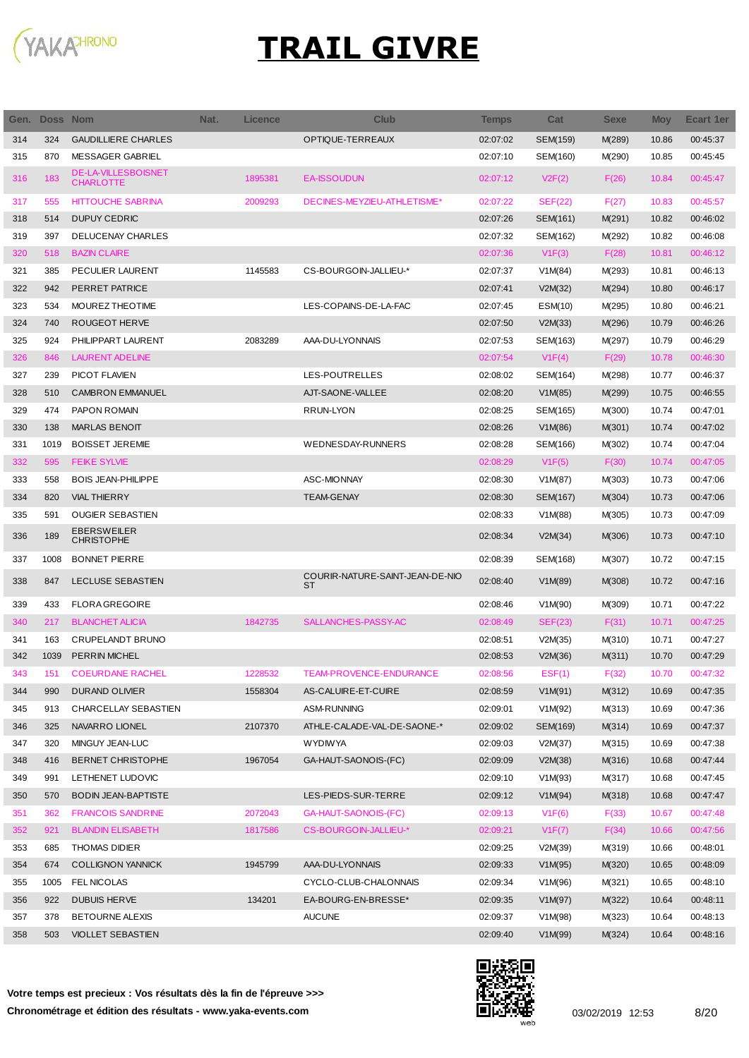

| Gen. | Doss Nom |                                                | Nat. | Licence | <b>Club</b>                                  | <b>Temps</b> | Cat            | <b>Sexe</b> | <b>Moy</b> | <b>Ecart 1er</b> |
|------|----------|------------------------------------------------|------|---------|----------------------------------------------|--------------|----------------|-------------|------------|------------------|
| 314  | 324      | <b>GAUDILLIERE CHARLES</b>                     |      |         | OPTIQUE-TERREAUX                             | 02:07:02     | SEM(159)       | M(289)      | 10.86      | 00:45:37         |
| 315  | 870      | MESSAGER GABRIEL                               |      |         |                                              | 02:07:10     | SEM(160)       | M(290)      | 10.85      | 00:45:45         |
| 316  | 183      | <b>DE-LA-VILLESBOISNET</b><br><b>CHARLOTTE</b> |      | 1895381 | <b>EA-ISSOUDUN</b>                           | 02:07:12     | V2F(2)         | F(26)       | 10.84      | 00:45:47         |
| 317  | 555      | <b>HITTOUCHE SABRINA</b>                       |      | 2009293 | DECINES-MEYZIEU-ATHLETISME*                  | 02:07:22     | <b>SEF(22)</b> | F(27)       | 10.83      | 00:45:57         |
| 318  | 514      | <b>DUPUY CEDRIC</b>                            |      |         |                                              | 02:07:26     | SEM(161)       | M(291)      | 10.82      | 00:46:02         |
| 319  | 397      | <b>DELUCENAY CHARLES</b>                       |      |         |                                              | 02:07:32     | SEM(162)       | M(292)      | 10.82      | 00:46:08         |
| 320  | 518      | <b>BAZIN CLAIRE</b>                            |      |         |                                              | 02:07:36     | V1F(3)         | F(28)       | 10.81      | 00:46:12         |
| 321  | 385      | PECULIER LAURENT                               |      | 1145583 | CS-BOURGOIN-JALLIEU-*                        | 02:07:37     | V1M(84)        | M(293)      | 10.81      | 00:46:13         |
| 322  | 942      | PERRET PATRICE                                 |      |         |                                              | 02:07:41     | V2M(32)        | M(294)      | 10.80      | 00:46:17         |
| 323  | 534      | MOUREZ THEOTIME                                |      |         | LES-COPAINS-DE-LA-FAC                        | 02:07:45     | ESM(10)        | M(295)      | 10.80      | 00:46:21         |
| 324  | 740      | <b>ROUGEOT HERVE</b>                           |      |         |                                              | 02:07:50     | V2M(33)        | M(296)      | 10.79      | 00:46:26         |
| 325  | 924      | PHILIPPART LAURENT                             |      | 2083289 | AAA-DU-LYONNAIS                              | 02:07:53     | SEM(163)       | M(297)      | 10.79      | 00:46:29         |
| 326  | 846      | <b>LAURENT ADELINE</b>                         |      |         |                                              | 02:07:54     | V1F(4)         | F(29)       | 10.78      | 00:46:30         |
| 327  | 239      | <b>PICOT FLAVIEN</b>                           |      |         | LES-POUTRELLES                               | 02:08:02     | SEM(164)       | M(298)      | 10.77      | 00:46:37         |
| 328  | 510      | <b>CAMBRON EMMANUEL</b>                        |      |         | AJT-SAONE-VALLEE                             | 02:08:20     | V1M(85)        | M(299)      | 10.75      | 00:46:55         |
| 329  | 474      | PAPON ROMAIN                                   |      |         | <b>RRUN-LYON</b>                             | 02:08:25     | SEM(165)       | M(300)      | 10.74      | 00:47:01         |
| 330  | 138      | <b>MARLAS BENOIT</b>                           |      |         |                                              | 02:08:26     | V1M(86)        | M(301)      | 10.74      | 00:47:02         |
| 331  | 1019     | <b>BOISSET JEREMIE</b>                         |      |         | WEDNESDAY-RUNNERS                            | 02:08:28     | SEM(166)       | M(302)      | 10.74      | 00:47:04         |
| 332  | 595      | <b>FEIKE SYLVIE</b>                            |      |         |                                              | 02:08:29     | V1F(5)         | F(30)       | 10.74      | 00:47:05         |
| 333  | 558      | <b>BOIS JEAN-PHILIPPE</b>                      |      |         | <b>ASC-MIONNAY</b>                           | 02:08:30     | V1M(87)        | M(303)      | 10.73      | 00:47:06         |
| 334  | 820      | <b>VIAL THIERRY</b>                            |      |         | <b>TEAM-GENAY</b>                            | 02:08:30     | SEM(167)       | M(304)      | 10.73      | 00:47:06         |
| 335  | 591      | <b>OUGIER SEBASTIEN</b>                        |      |         |                                              | 02:08:33     | V1M(88)        | M(305)      | 10.73      | 00:47:09         |
| 336  | 189      | <b>EBERSWEILER</b><br><b>CHRISTOPHE</b>        |      |         |                                              | 02:08:34     | V2M(34)        | M(306)      | 10.73      | 00:47:10         |
| 337  | 1008     | <b>BONNET PIERRE</b>                           |      |         |                                              | 02:08:39     | SEM(168)       | M(307)      | 10.72      | 00:47:15         |
| 338  | 847      | <b>LECLUSE SEBASTIEN</b>                       |      |         | COURIR-NATURE-SAINT-JEAN-DE-NIO<br><b>ST</b> | 02:08:40     | V1M(89)        | M(308)      | 10.72      | 00:47:16         |
| 339  | 433      | <b>FLORA GREGOIRE</b>                          |      |         |                                              | 02:08:46     | V1M(90)        | M(309)      | 10.71      | 00:47:22         |
| 340  | 217      | <b>BLANCHET ALICIA</b>                         |      | 1842735 | SALLANCHES-PASSY-AC                          | 02:08:49     | <b>SEF(23)</b> | F(31)       | 10.71      | 00:47:25         |
| 341  | 163      | CRUPELANDT BRUNO                               |      |         |                                              | 02:08:51     | V2M(35)        | M(310)      | 10.71      | 00:47:27         |
| 342  | 1039     | PERRIN MICHEL                                  |      |         |                                              | 02:08:53     | V2M(36)        | M(311)      | 10.70      | 00:47:29         |
| 343  | 151      | <b>COEURDANE RACHEL</b>                        |      | 1228532 | TEAM-PROVENCE-ENDURANCE                      | 02:08:56     | EST(1)         | F(32)       | 10.70      | 00:47:32         |
| 344  | 990      | DURAND OLIVIER                                 |      | 1558304 | AS-CALUIRE-ET-CUIRE                          | 02:08:59     | V1M(91)        | M(312)      | 10.69      | 00:47:35         |
| 345  | 913      | CHARCELLAY SEBASTIEN                           |      |         | ASM-RUNNING                                  | 02:09:01     | V1M(92)        | M(313)      | 10.69      | 00:47:36         |
| 346  | 325      | NAVARRO LIONEL                                 |      | 2107370 | ATHLE-CALADE-VAL-DE-SAONE-*                  | 02:09:02     | SEM(169)       | M(314)      | 10.69      | 00:47:37         |
| 347  | 320      | MINGUY JEAN-LUC                                |      |         | <b>WYDIWYA</b>                               | 02:09:03     | V2M(37)        | M(315)      | 10.69      | 00:47:38         |
| 348  | 416      | <b>BERNET CHRISTOPHE</b>                       |      | 1967054 | GA-HAUT-SAONOIS-(FC)                         | 02:09:09     | V2M(38)        | M(316)      | 10.68      | 00:47:44         |
| 349  | 991      | LETHENET LUDOVIC                               |      |         |                                              | 02:09:10     | V1M(93)        | M(317)      | 10.68      | 00:47:45         |
| 350  | 570      | <b>BODIN JEAN-BAPTISTE</b>                     |      |         | LES-PIEDS-SUR-TERRE                          | 02:09:12     | V1M(94)        | M(318)      | 10.68      | 00:47:47         |
| 351  | 362      | <b>FRANCOIS SANDRINE</b>                       |      | 2072043 | GA-HAUT-SAONOIS-(FC)                         | 02:09:13     | V1F(6)         | F(33)       | 10.67      | 00:47:48         |
| 352  | 921      | <b>BLANDIN ELISABETH</b>                       |      | 1817586 | CS-BOURGOIN-JALLIEU-*                        | 02:09:21     | V1F(7)         | F(34)       | 10.66      | 00:47:56         |
| 353  | 685      | <b>THOMAS DIDIER</b>                           |      |         |                                              | 02:09:25     | V2M(39)        | M(319)      | 10.66      | 00:48:01         |
| 354  | 674      | <b>COLLIGNON YANNICK</b>                       |      | 1945799 | AAA-DU-LYONNAIS                              | 02:09:33     | V1M(95)        | M(320)      | 10.65      | 00:48:09         |
| 355  | 1005     | <b>FEL NICOLAS</b>                             |      |         | CYCLO-CLUB-CHALONNAIS                        | 02:09:34     | V1M(96)        | M(321)      | 10.65      | 00:48:10         |
| 356  | 922      | <b>DUBUIS HERVE</b>                            |      | 134201  | EA-BOURG-EN-BRESSE*                          | 02:09:35     | V1M(97)        | M(322)      | 10.64      | 00:48:11         |
| 357  | 378      | <b>BETOURNE ALEXIS</b>                         |      |         | <b>AUCUNE</b>                                | 02:09:37     | V1M(98)        | M(323)      | 10.64      | 00:48:13         |
| 358  | 503      | <b>VIOLLET SEBASTIEN</b>                       |      |         |                                              | 02:09:40     | V1M(99)        | M(324)      | 10.64      | 00:48:16         |

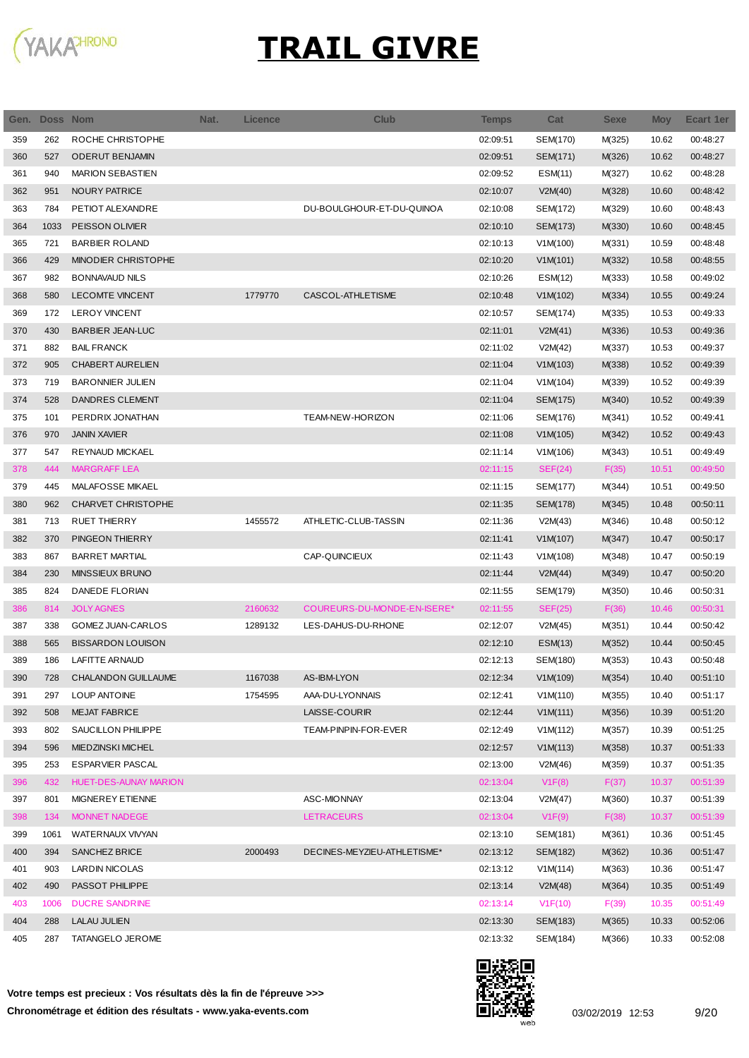

| Gen. | Doss Nom |                              | Nat. | <b>Licence</b> | <b>Club</b>                 | <b>Temps</b> | Cat      | <b>Sexe</b> | <b>Moy</b> | Ecart 1er |
|------|----------|------------------------------|------|----------------|-----------------------------|--------------|----------|-------------|------------|-----------|
| 359  | 262      | ROCHE CHRISTOPHE             |      |                |                             | 02:09:51     | SEM(170) | M(325)      | 10.62      | 00:48:27  |
| 360  | 527      | <b>ODERUT BENJAMIN</b>       |      |                |                             | 02:09:51     | SEM(171) | M(326)      | 10.62      | 00:48:27  |
| 361  | 940      | <b>MARION SEBASTIEN</b>      |      |                |                             | 02:09:52     | ESM(11)  | M(327)      | 10.62      | 00:48:28  |
| 362  | 951      | <b>NOURY PATRICE</b>         |      |                |                             | 02:10:07     | V2M(40)  | M(328)      | 10.60      | 00:48:42  |
| 363  | 784      | PETIOT ALEXANDRE             |      |                | DU-BOULGHOUR-ET-DU-QUINOA   | 02:10:08     | SEM(172) | M(329)      | 10.60      | 00:48:43  |
| 364  | 1033     | PEISSON OLIVIER              |      |                |                             | 02:10:10     | SEM(173) | M(330)      | 10.60      | 00:48:45  |
| 365  | 721      | <b>BARBIER ROLAND</b>        |      |                |                             | 02:10:13     | V1M(100) | M(331)      | 10.59      | 00:48:48  |
| 366  | 429      | <b>MINODIER CHRISTOPHE</b>   |      |                |                             | 02:10:20     | V1M(101) | M(332)      | 10.58      | 00:48:55  |
| 367  | 982      | <b>BONNAVAUD NILS</b>        |      |                |                             | 02:10:26     | ESM(12)  | M(333)      | 10.58      | 00:49:02  |
| 368  | 580      | <b>LECOMTE VINCENT</b>       |      | 1779770        | CASCOL-ATHLETISME           | 02:10:48     | V1M(102) | M(334)      | 10.55      | 00:49:24  |
| 369  | 172      | <b>LEROY VINCENT</b>         |      |                |                             | 02:10:57     | SEM(174) | M(335)      | 10.53      | 00:49:33  |
| 370  | 430      | <b>BARBIER JEAN-LUC</b>      |      |                |                             | 02:11:01     | V2M(41)  | M(336)      | 10.53      | 00:49:36  |
| 371  | 882      | <b>BAIL FRANCK</b>           |      |                |                             | 02:11:02     | V2M(42)  | M(337)      | 10.53      | 00:49:37  |
| 372  | 905      | CHABERT AURELIEN             |      |                |                             | 02:11:04     | V1M(103) | M(338)      | 10.52      | 00:49:39  |
| 373  | 719      | <b>BARONNIER JULIEN</b>      |      |                |                             | 02:11:04     | V1M(104) | M(339)      | 10.52      | 00:49:39  |
| 374  | 528      | <b>DANDRES CLEMENT</b>       |      |                |                             | 02:11:04     | SEM(175) | M(340)      | 10.52      | 00:49:39  |
| 375  | 101      | PERDRIX JONATHAN             |      |                | TEAM-NEW-HORIZON            | 02:11:06     | SEM(176) | M(341)      | 10.52      | 00:49:41  |
| 376  | 970      | <b>JANIN XAVIER</b>          |      |                |                             | 02:11:08     | V1M(105) | M(342)      | 10.52      | 00:49:43  |
| 377  | 547      | <b>REYNAUD MICKAEL</b>       |      |                |                             | 02:11:14     | V1M(106) | M(343)      | 10.51      | 00:49:49  |
| 378  | 444      | <b>MARGRAFF LEA</b>          |      |                |                             | 02:11:15     | SEF(24)  | F(35)       | 10.51      | 00:49:50  |
| 379  | 445      | MALAFOSSE MIKAEL             |      |                |                             | 02:11:15     | SEM(177) | M(344)      | 10.51      | 00:49:50  |
| 380  | 962      | CHARVET CHRISTOPHE           |      |                |                             | 02:11:35     | SEM(178) | M(345)      | 10.48      | 00:50:11  |
| 381  | 713      | <b>RUET THIERRY</b>          |      | 1455572        | ATHLETIC-CLUB-TASSIN        | 02:11:36     | V2M(43)  | M(346)      | 10.48      | 00:50:12  |
| 382  | 370      | PINGEON THIERRY              |      |                |                             | 02:11:41     | V1M(107) | M(347)      | 10.47      | 00:50:17  |
| 383  | 867      | <b>BARRET MARTIAL</b>        |      |                | CAP-QUINCIEUX               | 02:11:43     | V1M(108) | M(348)      | 10.47      | 00:50:19  |
| 384  | 230      | MINSSIEUX BRUNO              |      |                |                             | 02:11:44     | V2M(44)  | M(349)      | 10.47      | 00:50:20  |
| 385  | 824      | DANEDE FLORIAN               |      |                |                             | 02:11:55     | SEM(179) | M(350)      | 10.46      | 00:50:31  |
| 386  | 814      | <b>JOLY AGNES</b>            |      | 2160632        | COUREURS-DU-MONDE-EN-ISERE* | 02:11:55     | SEF(25)  | F(36)       | 10.46      | 00:50:31  |
| 387  | 338      | GOMEZ JUAN-CARLOS            |      | 1289132        | LES-DAHUS-DU-RHONE          | 02:12:07     | V2M(45)  | M(351)      | 10.44      | 00:50:42  |
| 388  | 565      | <b>BISSARDON LOUISON</b>     |      |                |                             | 02:12:10     | ESM(13)  | M(352)      | 10.44      | 00:50:45  |
| 389  | 186      | LAFITTE ARNAUD               |      |                |                             | 02:12:13     | SEM(180) | M(353)      | 10.43      | 00:50:48  |
| 390  | 728      | CHALANDON GUILLAUME          |      | 1167038        | AS-IBM-LYON                 | 02:12:34     | V1M(109) | M(354)      | 10.40      | 00:51:10  |
| 391  | 297      | LOUP ANTOINE                 |      | 1754595        | AAA-DU-LYONNAIS             | 02:12:41     | V1M(110) | M(355)      | 10.40      | 00:51:17  |
| 392  | 508      | <b>MEJAT FABRICE</b>         |      |                | LAISSE-COURIR               | 02:12:44     | V1M(111) | M(356)      | 10.39      | 00:51:20  |
| 393  | 802      | SAUCILLON PHILIPPE           |      |                | TEAM-PINPIN-FOR-EVER        | 02:12:49     | V1M(112) | M(357)      | 10.39      | 00:51:25  |
| 394  | 596      | MIEDZINSKI MICHEL            |      |                |                             | 02:12:57     | V1M(113) | M(358)      | 10.37      | 00:51:33  |
| 395  | 253      | <b>ESPARVIER PASCAL</b>      |      |                |                             | 02:13:00     | V2M(46)  | M(359)      | 10.37      | 00:51:35  |
| 396  | 432      | <b>HUET-DES-AUNAY MARION</b> |      |                |                             | 02:13:04     | V1F(8)   | F(37)       | 10.37      | 00:51:39  |
| 397  | 801      | MIGNEREY ETIENNE             |      |                | ASC-MIONNAY                 | 02:13:04     | V2M(47)  | M(360)      | 10.37      | 00:51:39  |
| 398  | 134      | MONNET NADEGE                |      |                | <b>LETRACEURS</b>           | 02:13:04     | V1F(9)   | F(38)       | 10.37      | 00:51:39  |
| 399  | 1061     | WATERNAUX VIVYAN             |      |                |                             | 02:13:10     | SEM(181) | M(361)      | 10.36      | 00:51:45  |
| 400  | 394      | SANCHEZ BRICE                |      | 2000493        | DECINES-MEYZIEU-ATHLETISME* | 02:13:12     | SEM(182) | M(362)      | 10.36      | 00:51:47  |
| 401  | 903      | <b>LARDIN NICOLAS</b>        |      |                |                             | 02:13:12     | V1M(114) | M(363)      | 10.36      | 00:51:47  |
| 402  | 490      | PASSOT PHILIPPE              |      |                |                             | 02:13:14     | V2M(48)  | M(364)      | 10.35      | 00:51:49  |
| 403  | 1006     | <b>DUCRE SANDRINE</b>        |      |                |                             | 02:13:14     | V1F(10)  | F(39)       | 10.35      | 00:51:49  |
| 404  | 288      | <b>LALAU JULIEN</b>          |      |                |                             | 02:13:30     | SEM(183) | M(365)      | 10.33      | 00:52:06  |
| 405  | 287      | TATANGELO JEROME             |      |                |                             | 02:13:32     | SEM(184) | M(366)      | 10.33      | 00:52:08  |

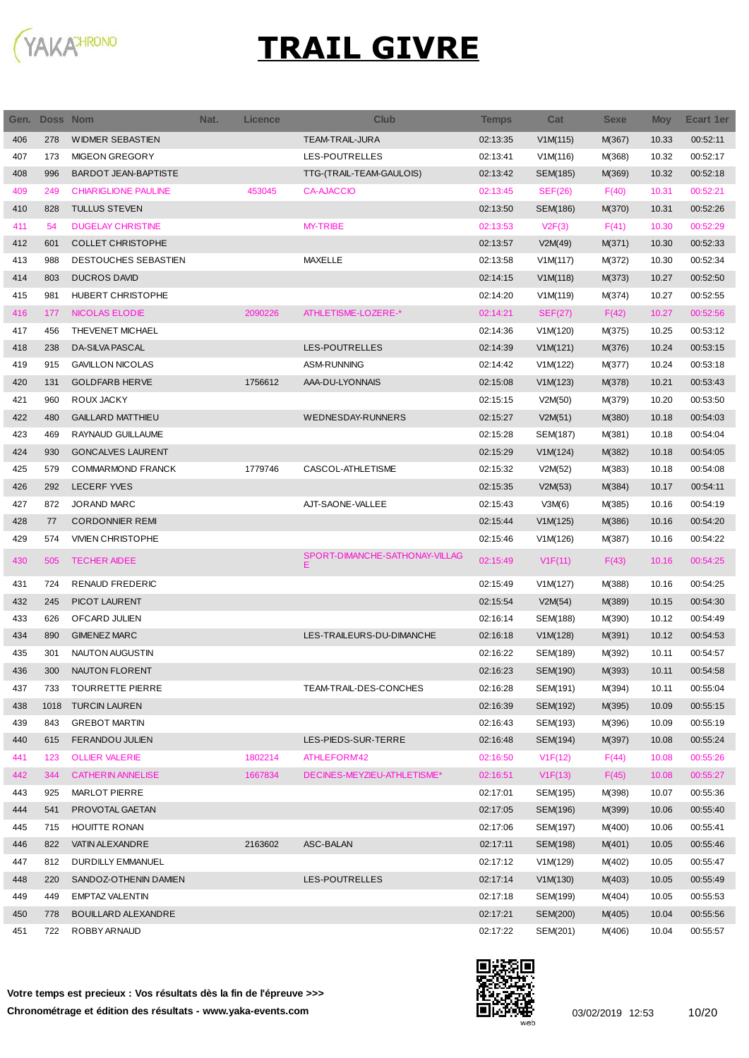

| Gen. | Doss Nom |                             | Nat. | <b>Licence</b> | Club                                | <b>Temps</b> | Cat             | <b>Sexe</b> | <b>Moy</b> | Ecart 1er |
|------|----------|-----------------------------|------|----------------|-------------------------------------|--------------|-----------------|-------------|------------|-----------|
| 406  | 278      | <b>WIDMER SEBASTIEN</b>     |      |                | <b>TEAM-TRAIL-JURA</b>              | 02:13:35     | V1M(115)        | M(367)      | 10.33      | 00:52:11  |
| 407  | 173      | <b>MIGEON GREGORY</b>       |      |                | LES-POUTRELLES                      | 02:13:41     | V1M(116)        | M(368)      | 10.32      | 00:52:17  |
| 408  | 996      | <b>BARDOT JEAN-BAPTISTE</b> |      |                | TTG-(TRAIL-TEAM-GAULOIS)            | 02:13:42     | SEM(185)        | M(369)      | 10.32      | 00:52:18  |
| 409  | 249      | <b>CHIARIGLIONE PAULINE</b> |      | 453045         | <b>CA-AJACCIO</b>                   | 02:13:45     | SEF(26)         | F(40)       | 10.31      | 00:52:21  |
| 410  | 828      | <b>TULLUS STEVEN</b>        |      |                |                                     | 02:13:50     | SEM(186)        | M(370)      | 10.31      | 00:52:26  |
| 411  | 54       | <b>DUGELAY CHRISTINE</b>    |      |                | <b>MY-TRIBE</b>                     | 02:13:53     | V2F(3)          | F(41)       | 10.30      | 00:52:29  |
| 412  | 601      | <b>COLLET CHRISTOPHE</b>    |      |                |                                     | 02:13:57     | V2M(49)         | M(371)      | 10.30      | 00:52:33  |
| 413  | 988      | DESTOUCHES SEBASTIEN        |      |                | <b>MAXELLE</b>                      | 02:13:58     | V1M(117)        | M(372)      | 10.30      | 00:52:34  |
| 414  | 803      | <b>DUCROS DAVID</b>         |      |                |                                     | 02:14:15     | V1M(118)        | M(373)      | 10.27      | 00:52:50  |
| 415  | 981      | HUBERT CHRISTOPHE           |      |                |                                     | 02:14:20     | V1M(119)        | M(374)      | 10.27      | 00:52:55  |
| 416  | 177      | NICOLAS ELODIE              |      | 2090226        | ATHLETISME-LOZERE-*                 | 02:14:21     | SEF(27)         | F(42)       | 10.27      | 00:52:56  |
| 417  | 456      | THEVENET MICHAEL            |      |                |                                     | 02:14:36     | V1M(120)        | M(375)      | 10.25      | 00:53:12  |
| 418  | 238      | <b>DA-SILVA PASCAL</b>      |      |                | LES-POUTRELLES                      | 02:14:39     | V1M(121)        | M(376)      | 10.24      | 00:53:15  |
| 419  | 915      | <b>GAVILLON NICOLAS</b>     |      |                | <b>ASM-RUNNING</b>                  | 02:14:42     | V1M(122)        | M(377)      | 10.24      | 00:53:18  |
| 420  | 131      | <b>GOLDFARB HERVE</b>       |      | 1756612        | AAA-DU-LYONNAIS                     | 02:15:08     | V1M(123)        | M(378)      | 10.21      | 00:53:43  |
| 421  | 960      | ROUX JACKY                  |      |                |                                     | 02:15:15     | V2M(50)         | M(379)      | 10.20      | 00:53:50  |
| 422  | 480      | <b>GAILLARD MATTHIEU</b>    |      |                | <b>WEDNESDAY-RUNNERS</b>            | 02:15:27     | V2M(51)         | M(380)      | 10.18      | 00:54:03  |
| 423  | 469      | RAYNAUD GUILLAUME           |      |                |                                     | 02:15:28     | SEM(187)        | M(381)      | 10.18      | 00:54:04  |
| 424  | 930      | <b>GONCALVES LAURENT</b>    |      |                |                                     | 02:15:29     | V1M(124)        | M(382)      | 10.18      | 00:54:05  |
| 425  | 579      | <b>COMMARMOND FRANCK</b>    |      | 1779746        | CASCOL-ATHLETISME                   | 02:15:32     | V2M(52)         | M(383)      | 10.18      | 00:54:08  |
| 426  | 292      | <b>LECERF YVES</b>          |      |                |                                     | 02:15:35     | V2M(53)         | M(384)      | 10.17      | 00:54:11  |
| 427  | 872      | <b>JORAND MARC</b>          |      |                | AJT-SAONE-VALLEE                    | 02:15:43     | V3M(6)          | M(385)      | 10.16      | 00:54:19  |
| 428  | 77       | <b>CORDONNIER REMI</b>      |      |                |                                     | 02:15:44     | V1M(125)        | M(386)      | 10.16      | 00:54:20  |
| 429  | 574      | <b>VIVIEN CHRISTOPHE</b>    |      |                |                                     | 02:15:46     | V1M(126)        | M(387)      | 10.16      | 00:54:22  |
| 430  | 505      | <b>TECHER AIDEE</b>         |      |                | SPORT-DIMANCHE-SATHONAY-VILLAG<br>Е | 02:15:49     | V1F(11)         | F(43)       | 10.16      | 00:54:25  |
| 431  | 724      | <b>RENAUD FREDERIC</b>      |      |                |                                     | 02:15:49     | V1M(127)        | M(388)      | 10.16      | 00:54:25  |
| 432  | 245      | PICOT LAURENT               |      |                |                                     | 02:15:54     | V2M(54)         | M(389)      | 10.15      | 00:54:30  |
| 433  | 626      | OFCARD JULIEN               |      |                |                                     | 02:16:14     | <b>SEM(188)</b> | M(390)      | 10.12      | 00:54:49  |
| 434  | 890      | <b>GIMENEZ MARC</b>         |      |                | LES-TRAILEURS-DU-DIMANCHE           | 02:16:18     | V1M(128)        | M(391)      | 10.12      | 00:54:53  |
| 435  | 301      | NAUTON AUGUSTIN             |      |                |                                     | 02:16:22     | SEM(189)        | M(392)      | 10.11      | 00:54:57  |
| 436  | 300      | NAUTON FLORENT              |      |                |                                     | 02:16:23     | <b>SEM(190)</b> | M(393)      | 10.11      | 00:54:58  |
| 437  | 733      | <b>TOURRETTE PIERRE</b>     |      |                | TEAM-TRAIL-DES-CONCHES              | 02:16:28     | SEM(191)        | M(394)      | 10.11      | 00:55:04  |
| 438  | 1018     | <b>TURCIN LAUREN</b>        |      |                |                                     | 02:16:39     | SEM(192)        | M(395)      | 10.09      | 00:55:15  |
| 439  | 843      | <b>GREBOT MARTIN</b>        |      |                |                                     | 02:16:43     | SEM(193)        | M(396)      | 10.09      | 00:55:19  |
| 440  | 615      | FERANDOU JULIEN             |      |                | LES-PIEDS-SUR-TERRE                 | 02:16:48     | SEM(194)        | M(397)      | 10.08      | 00:55:24  |
| 441  | 123      | <b>OLLIER VALERIE</b>       |      | 1802214        | ATHLEFORM42                         | 02:16:50     | V1F(12)         | F(44)       | 10.08      | 00:55:26  |
| 442  | 344      | <b>CATHERIN ANNELISE</b>    |      | 1667834        | DECINES-MEYZIEU-ATHLETISME*         | 02:16:51     | V1F(13)         | F(45)       | 10.08      | 00:55:27  |
| 443  | 925      | MARLOT PIERRE               |      |                |                                     | 02:17:01     | SEM(195)        | M(398)      | 10.07      | 00:55:36  |
| 444  | 541      | PROVOTAL GAETAN             |      |                |                                     | 02:17:05     | SEM(196)        | M(399)      | 10.06      | 00:55:40  |
| 445  | 715      | HOUITTE RONAN               |      |                |                                     | 02:17:06     | SEM(197)        | M(400)      | 10.06      | 00:55:41  |
| 446  | 822      | VATIN ALEXANDRE             |      | 2163602        | ASC-BALAN                           | 02:17:11     | SEM(198)        | M(401)      | 10.05      | 00:55:46  |
| 447  | 812      | DURDILLY EMMANUEL           |      |                |                                     | 02:17:12     | V1M(129)        | M(402)      | 10.05      | 00:55:47  |
| 448  | 220      | SANDOZ-OTHENIN DAMIEN       |      |                | LES-POUTRELLES                      | 02:17:14     | V1M(130)        | M(403)      | 10.05      | 00:55:49  |
| 449  | 449      | <b>EMPTAZ VALENTIN</b>      |      |                |                                     | 02:17:18     | SEM(199)        | M(404)      | 10.05      | 00:55:53  |
| 450  | 778      | <b>BOUILLARD ALEXANDRE</b>  |      |                |                                     | 02:17:21     | SEM(200)        | M(405)      | 10.04      | 00:55:56  |
| 451  | 722      | ROBBY ARNAUD                |      |                |                                     | 02:17:22     | SEM(201)        | M(406)      | 10.04      | 00:55:57  |

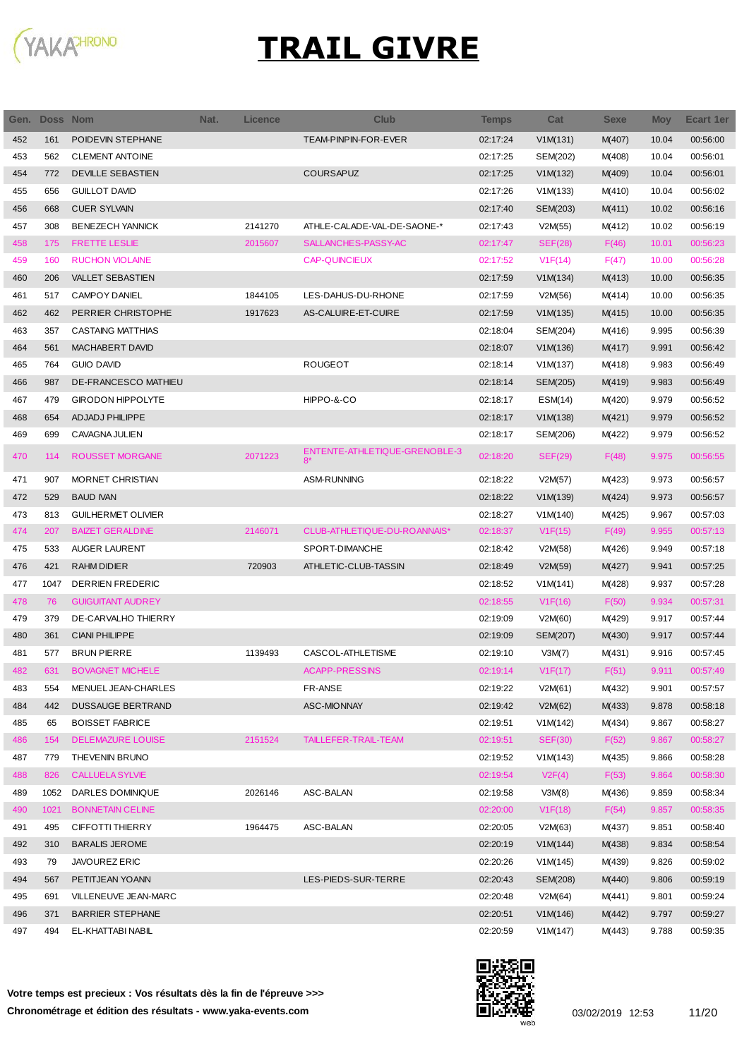

| Gen. | <b>Doss Nom</b> |                           | Nat. | <b>Licence</b> | <b>Club</b>                           | Temps    | Cat            | <b>Sexe</b> | <b>Moy</b> | Ecart 1er |
|------|-----------------|---------------------------|------|----------------|---------------------------------------|----------|----------------|-------------|------------|-----------|
| 452  | 161             | POIDEVIN STEPHANE         |      |                | TEAM-PINPIN-FOR-EVER                  | 02:17:24 | V1M(131)       | M(407)      | 10.04      | 00:56:00  |
| 453  | 562             | <b>CLEMENT ANTOINE</b>    |      |                |                                       | 02:17:25 | SEM(202)       | M(408)      | 10.04      | 00:56:01  |
| 454  | 772             | <b>DEVILLE SEBASTIEN</b>  |      |                | <b>COURSAPUZ</b>                      | 02:17:25 | V1M(132)       | M(409)      | 10.04      | 00:56:01  |
| 455  | 656             | <b>GUILLOT DAVID</b>      |      |                |                                       | 02:17:26 | V1M(133)       | M(410)      | 10.04      | 00:56:02  |
| 456  | 668             | <b>CUER SYLVAIN</b>       |      |                |                                       | 02:17:40 | SEM(203)       | M(411)      | 10.02      | 00:56:16  |
| 457  | 308             | <b>BENEZECH YANNICK</b>   |      | 2141270        | ATHLE-CALADE-VAL-DE-SAONE-*           | 02:17:43 | V2M(55)        | M(412)      | 10.02      | 00:56:19  |
| 458  | 175             | <b>FRETTE LESLIE</b>      |      | 2015607        | SALLANCHES-PASSY-AC                   | 02:17:47 | <b>SEF(28)</b> | F(46)       | 10.01      | 00:56:23  |
| 459  | 160             | <b>RUCHON VIOLAINE</b>    |      |                | CAP-QUINCIEUX                         | 02:17:52 | V1F(14)        | F(47)       | 10.00      | 00:56:28  |
| 460  | 206             | <b>VALLET SEBASTIEN</b>   |      |                |                                       | 02:17:59 | V1M(134)       | M(413)      | 10.00      | 00:56:35  |
| 461  | 517             | <b>CAMPOY DANIEL</b>      |      | 1844105        | LES-DAHUS-DU-RHONE                    | 02:17:59 | V2M(56)        | M(414)      | 10.00      | 00:56:35  |
| 462  | 462             | PERRIER CHRISTOPHE        |      | 1917623        | AS-CALUIRE-ET-CUIRE                   | 02:17:59 | V1M(135)       | M(415)      | 10.00      | 00:56:35  |
| 463  | 357             | <b>CASTAING MATTHIAS</b>  |      |                |                                       | 02:18:04 | SEM(204)       | M(416)      | 9.995      | 00:56:39  |
| 464  | 561             | MACHABERT DAVID           |      |                |                                       | 02:18:07 | V1M(136)       | M(417)      | 9.991      | 00:56:42  |
| 465  | 764             | <b>GUIO DAVID</b>         |      |                | <b>ROUGEOT</b>                        | 02:18:14 | V1M(137)       | M(418)      | 9.983      | 00:56:49  |
| 466  | 987             | DE-FRANCESCO MATHIEU      |      |                |                                       | 02:18:14 | SEM(205)       | M(419)      | 9.983      | 00:56:49  |
| 467  | 479             | <b>GIRODON HIPPOLYTE</b>  |      |                | HIPPO-&-CO                            | 02:18:17 | ESM(14)        | M(420)      | 9.979      | 00:56:52  |
| 468  | 654             | <b>ADJADJ PHILIPPE</b>    |      |                |                                       | 02:18:17 | V1M(138)       | M(421)      | 9.979      | 00:56:52  |
| 469  | 699             | CAVAGNA JULIEN            |      |                |                                       | 02:18:17 | SEM(206)       | M(422)      | 9.979      | 00:56:52  |
| 470  | 114             | <b>ROUSSET MORGANE</b>    |      | 2071223        | ENTENTE-ATHLETIQUE-GRENOBLE-3<br>$8*$ | 02:18:20 | <b>SEF(29)</b> | F(48)       | 9.975      | 00:56:55  |
| 471  | 907             | MORNET CHRISTIAN          |      |                | ASM-RUNNING                           | 02:18:22 | V2M(57)        | M(423)      | 9.973      | 00:56:57  |
| 472  | 529             | <b>BAUD IVAN</b>          |      |                |                                       | 02:18:22 | V1M(139)       | M(424)      | 9.973      | 00:56:57  |
| 473  | 813             | <b>GUILHERMET OLIVIER</b> |      |                |                                       | 02:18:27 | V1M(140)       | M(425)      | 9.967      | 00:57:03  |
| 474  | 207             | <b>BAIZET GERALDINE</b>   |      | 2146071        | CLUB-ATHLETIQUE-DU-ROANNAIS*          | 02:18:37 | V1F(15)        | F(49)       | 9.955      | 00:57:13  |
| 475  | 533             | <b>AUGER LAURENT</b>      |      |                | SPORT-DIMANCHE                        | 02:18:42 | V2M(58)        | M(426)      | 9.949      | 00:57:18  |
| 476  | 421             | <b>RAHM DIDIER</b>        |      | 720903         | ATHLETIC-CLUB-TASSIN                  | 02:18:49 | V2M(59)        | M(427)      | 9.941      | 00:57:25  |
| 477  | 1047            | <b>DERRIEN FREDERIC</b>   |      |                |                                       | 02:18:52 | V1M(141)       | M(428)      | 9.937      | 00:57:28  |
| 478  | 76              | <b>GUIGUITANT AUDREY</b>  |      |                |                                       | 02:18:55 | V1F(16)        | F(50)       | 9.934      | 00:57:31  |
| 479  | 379             | DE-CARVALHO THIERRY       |      |                |                                       | 02:19:09 | V2M(60)        | M(429)      | 9.917      | 00:57:44  |
| 480  | 361             | <b>CIANI PHILIPPE</b>     |      |                |                                       | 02:19:09 | SEM(207)       | M(430)      | 9.917      | 00:57:44  |
| 481  | 577             | <b>BRUN PIERRE</b>        |      | 1139493        | CASCOL-ATHLETISME                     | 02:19:10 | V3M(7)         | M(431)      | 9.916      | 00:57:45  |
| 482  | 631             | <b>BOVAGNET MICHELE</b>   |      |                | <b>ACAPP-PRESSINS</b>                 | 02:19:14 | V1F(17)        | F(51)       | 9.911      | 00:57:49  |
| 483  | 554             | MENUEL JEAN-CHARLES       |      |                | FR-ANSE                               | 02:19:22 | V2M(61)        | M(432)      | 9.901      | 00:57:57  |
| 484  | 442             | <b>DUSSAUGE BERTRAND</b>  |      |                | ASC-MIONNAY                           | 02:19:42 | V2M(62)        | M(433)      | 9.878      | 00:58:18  |
| 485  | 65              | <b>BOISSET FABRICE</b>    |      |                |                                       | 02:19:51 | V1M(142)       | M(434)      | 9.867      | 00:58:27  |
| 486  | 154             | <b>DELEMAZURE LOUISE</b>  |      | 2151524        | TAILLEFER-TRAIL-TEAM                  | 02:19:51 | <b>SEF(30)</b> | F(52)       | 9.867      | 00:58:27  |
| 487  | 779             | THEVENIN BRUNO            |      |                |                                       | 02:19:52 | V1M(143)       | M(435)      | 9.866      | 00:58:28  |
| 488  | 826             | <b>CALLUELA SYLVIE</b>    |      |                |                                       | 02:19:54 | V2F(4)         | F(53)       | 9.864      | 00:58:30  |
| 489  | 1052            | DARLES DOMINIQUE          |      | 2026146        | ASC-BALAN                             | 02:19:58 | V3M(8)         | M(436)      | 9.859      | 00:58:34  |
| 490  | 1021            | <b>BONNETAIN CELINE</b>   |      |                |                                       | 02:20:00 | V1F(18)        | F(54)       | 9.857      | 00:58:35  |
| 491  | 495             | CIFFOTTI THIERRY          |      | 1964475        | ASC-BALAN                             | 02:20:05 | V2M(63)        | M(437)      | 9.851      | 00:58:40  |
| 492  | 310             | <b>BARALIS JEROME</b>     |      |                |                                       | 02:20:19 | V1M(144)       | M(438)      | 9.834      | 00:58:54  |
| 493  | 79              | JAVOUREZ ERIC             |      |                |                                       | 02:20:26 | V1M(145)       | M(439)      | 9.826      | 00:59:02  |
| 494  | 567             | PETITJEAN YOANN           |      |                | LES-PIEDS-SUR-TERRE                   | 02:20:43 | SEM(208)       | M(440)      | 9.806      | 00:59:19  |
| 495  | 691             | VILLENEUVE JEAN-MARC      |      |                |                                       | 02:20:48 | V2M(64)        | M(441)      | 9.801      | 00:59:24  |
| 496  | 371             | <b>BARRIER STEPHANE</b>   |      |                |                                       | 02:20:51 | V1M(146)       | M(442)      | 9.797      | 00:59:27  |
| 497  | 494             | EL-KHATTABI NABIL         |      |                |                                       | 02:20:59 | V1M(147)       | M(443)      | 9.788      | 00:59:35  |

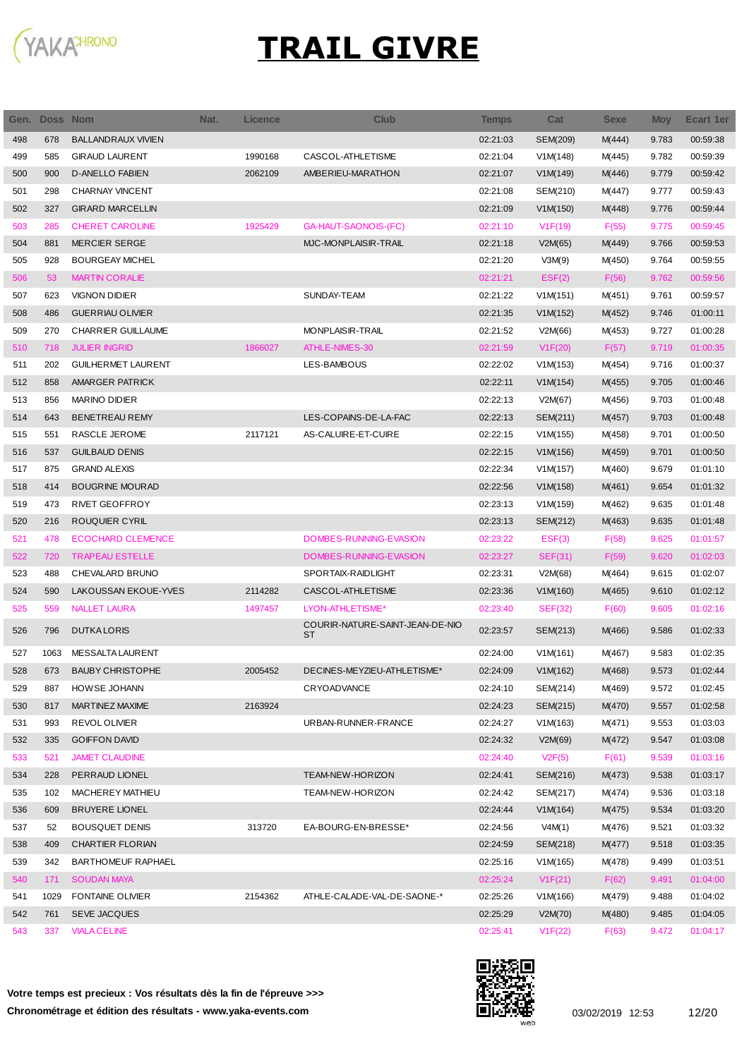

| Gen. | <b>Doss Nom</b> |                           | Nat. | Licence | <b>Club</b>                           | Temps    | Cat             | <b>Sexe</b> | <b>Moy</b> | <b>Ecart 1er</b> |
|------|-----------------|---------------------------|------|---------|---------------------------------------|----------|-----------------|-------------|------------|------------------|
| 498  | 678             | <b>BALLANDRAUX VIVIEN</b> |      |         |                                       | 02:21:03 | <b>SEM(209)</b> | M(444)      | 9.783      | 00:59:38         |
| 499  | 585             | <b>GIRAUD LAURENT</b>     |      | 1990168 | CASCOL-ATHLETISME                     | 02:21:04 | V1M(148)        | M(445)      | 9.782      | 00:59:39         |
| 500  | 900             | <b>D-ANELLO FABIEN</b>    |      | 2062109 | AMBERIEU-MARATHON                     | 02:21:07 | V1M(149)        | M(446)      | 9.779      | 00:59:42         |
| 501  | 298             | <b>CHARNAY VINCENT</b>    |      |         |                                       | 02:21:08 | SEM(210)        | M(447)      | 9.777      | 00:59:43         |
| 502  | 327             | <b>GIRARD MARCELLIN</b>   |      |         |                                       | 02:21:09 | V1M(150)        | M(448)      | 9.776      | 00:59:44         |
| 503  | 285             | <b>CHERET CAROLINE</b>    |      | 1925429 | GA-HAUT-SAONOIS-(FC)                  | 02:21:10 | V1F(19)         | F(55)       | 9.775      | 00:59:45         |
| 504  | 881             | <b>MERCIER SERGE</b>      |      |         | MJC-MONPLAISIR-TRAIL                  | 02:21:18 | V2M(65)         | M(449)      | 9.766      | 00:59:53         |
| 505  | 928             | <b>BOURGEAY MICHEL</b>    |      |         |                                       | 02:21:20 | V3M(9)          | M(450)      | 9.764      | 00:59:55         |
| 506  | 53              | <b>MARTIN CORALIE</b>     |      |         |                                       | 02:21:21 | EST(2)          | F(56)       | 9.762      | 00:59:56         |
| 507  | 623             | <b>VIGNON DIDIER</b>      |      |         | SUNDAY-TEAM                           | 02:21:22 | V1M(151)        | M(451)      | 9.761      | 00:59:57         |
| 508  | 486             | <b>GUERRIAU OLIVIER</b>   |      |         |                                       | 02:21:35 | V1M(152)        | M(452)      | 9.746      | 01:00:11         |
| 509  | 270             | CHARRIER GUILLAUME        |      |         | <b>MONPLAISIR-TRAIL</b>               | 02:21:52 | V2M(66)         | M(453)      | 9.727      | 01:00:28         |
| 510  | 718             | <b>JULIER INGRID</b>      |      | 1866027 | ATHLE-NIMES-30                        | 02:21:59 | V1F(20)         | F(57)       | 9.719      | 01:00:35         |
| 511  | 202             | <b>GUILHERMET LAURENT</b> |      |         | LES-BAMBOUS                           | 02:22:02 | V1M(153)        | M(454)      | 9.716      | 01:00:37         |
| 512  | 858             | <b>AMARGER PATRICK</b>    |      |         |                                       | 02:22:11 | V1M(154)        | M(455)      | 9.705      | 01:00:46         |
| 513  | 856             | <b>MARINO DIDIER</b>      |      |         |                                       | 02:22:13 | V2M(67)         | M(456)      | 9.703      | 01:00:48         |
| 514  | 643             | <b>BENETREAU REMY</b>     |      |         | LES-COPAINS-DE-LA-FAC                 | 02:22:13 | SEM(211)        | M(457)      | 9.703      | 01:00:48         |
| 515  | 551             | <b>RASCLE JEROME</b>      |      | 2117121 | AS-CALUIRE-ET-CUIRE                   | 02:22:15 | V1M(155)        | M(458)      | 9.701      | 01:00:50         |
| 516  | 537             | <b>GUILBAUD DENIS</b>     |      |         |                                       | 02:22:15 | V1M(156)        | M(459)      | 9.701      | 01:00:50         |
| 517  | 875             | <b>GRAND ALEXIS</b>       |      |         |                                       | 02:22:34 | V1M(157)        | M(460)      | 9.679      | 01:01:10         |
| 518  | 414             | <b>BOUGRINE MOURAD</b>    |      |         |                                       | 02:22:56 | V1M(158)        | M(461)      | 9.654      | 01:01:32         |
| 519  | 473             | RIVET GEOFFROY            |      |         |                                       | 02:23:13 | V1M(159)        | M(462)      | 9.635      | 01:01:48         |
| 520  | 216             | ROUQUIER CYRIL            |      |         |                                       | 02:23:13 | SEM(212)        | M(463)      | 9.635      | 01:01:48         |
| 521  | 478             | <b>ECOCHARD CLEMENCE</b>  |      |         | DOMBES-RUNNING-EVASION                | 02:23:22 | EST(3)          | F(58)       | 9.625      | 01:01:57         |
| 522  | 720             | <b>TRAPEAU ESTELLE</b>    |      |         | DOMBES-RUNNING-EVASION                | 02:23:27 | SEF(31)         | F(59)       | 9.620      | 01:02:03         |
| 523  | 488             | CHEVALARD BRUNO           |      |         | SPORTAIX-RAIDLIGHT                    | 02:23:31 | V2M(68)         | M(464)      | 9.615      | 01:02:07         |
| 524  | 590             | LAKOUSSAN EKOUE-YVES      |      | 2114282 | CASCOL-ATHLETISME                     | 02:23:36 | V1M(160)        | M(465)      | 9.610      | 01:02:12         |
| 525  | 559             | <b>NALLET LAURA</b>       |      | 1497457 | LYON-ATHLETISME*                      | 02:23:40 | <b>SEF(32)</b>  | F(60)       | 9.605      | 01:02:16         |
| 526  | 796             | <b>DUTKALORIS</b>         |      |         | COURIR-NATURE-SAINT-JEAN-DE-NIO<br>ST | 02:23:57 | SEM(213)        | M(466)      | 9.586      | 01:02:33         |
| 527  | 1063            | MESSALTA LAURENT          |      |         |                                       | 02:24:00 | V1M(161)        | M(467)      | 9.583      | 01:02:35         |
| 528  | 673             | <b>BAUBY CHRISTOPHE</b>   |      | 2005452 | DECINES-MEYZIEU-ATHLETISME*           | 02:24:09 | V1M(162)        | M(468)      | 9.573      | 01:02:44         |
| 529  | 887             | HOWSE JOHANN              |      |         | CRYOADVANCE                           | 02:24:10 | SEM(214)        | M(469)      | 9.572      | 01:02:45         |
| 530  | 817             | MARTINEZ MAXIME           |      | 2163924 |                                       | 02:24:23 | SEM(215)        | M(470)      | 9.557      | 01:02:58         |
| 531  | 993             | REVOL OLIVIER             |      |         | URBAN-RUNNER-FRANCE                   | 02:24:27 | V1M(163)        | M(471)      | 9.553      | 01:03:03         |
| 532  | 335             | <b>GOIFFON DAVID</b>      |      |         |                                       | 02:24:32 | V2M(69)         | M(472)      | 9.547      | 01:03:08         |
| 533  | 521             | <b>JAMET CLAUDINE</b>     |      |         |                                       | 02:24:40 | V2F(5)          | F(61)       | 9.539      | 01:03:16         |
| 534  | 228             | PERRAUD LIONEL            |      |         | TEAM-NEW-HORIZON                      | 02:24:41 | SEM(216)        | M(473)      | 9.538      | 01:03:17         |
| 535  | 102             | MACHEREY MATHIEU          |      |         | TEAM-NEW-HORIZON                      | 02:24:42 | SEM(217)        | M(474)      | 9.536      | 01:03:18         |
| 536  | 609             | <b>BRUYERE LIONEL</b>     |      |         |                                       | 02:24:44 | V1M(164)        | M(475)      | 9.534      | 01:03:20         |
| 537  | 52              | <b>BOUSQUET DENIS</b>     |      | 313720  | EA-BOURG-EN-BRESSE*                   | 02:24:56 | V4M(1)          | M(476)      | 9.521      | 01:03:32         |
| 538  | 409             | CHARTIER FLORIAN          |      |         |                                       | 02:24:59 | SEM(218)        | M(477)      | 9.518      | 01:03:35         |
| 539  | 342             | <b>BARTHOMEUF RAPHAEL</b> |      |         |                                       | 02:25:16 | V1M(165)        | M(478)      | 9.499      | 01:03:51         |
| 540  | 171             | <b>SOUDAN MAYA</b>        |      |         |                                       | 02:25:24 | V1F(21)         | F(62)       | 9.491      | 01:04:00         |
| 541  | 1029            | <b>FONTAINE OLIVIER</b>   |      | 2154362 | ATHLE-CALADE-VAL-DE-SAONE-*           | 02:25:26 | V1M(166)        | M(479)      | 9.488      | 01:04:02         |
| 542  | 761             | SEVE JACQUES              |      |         |                                       | 02:25:29 | V2M(70)         | M(480)      | 9.485      | 01:04:05         |
| 543  | 337             | <b>VIALA CELINE</b>       |      |         |                                       | 02:25:41 | V1F(22)         | F(63)       | 9.472      | 01:04:17         |

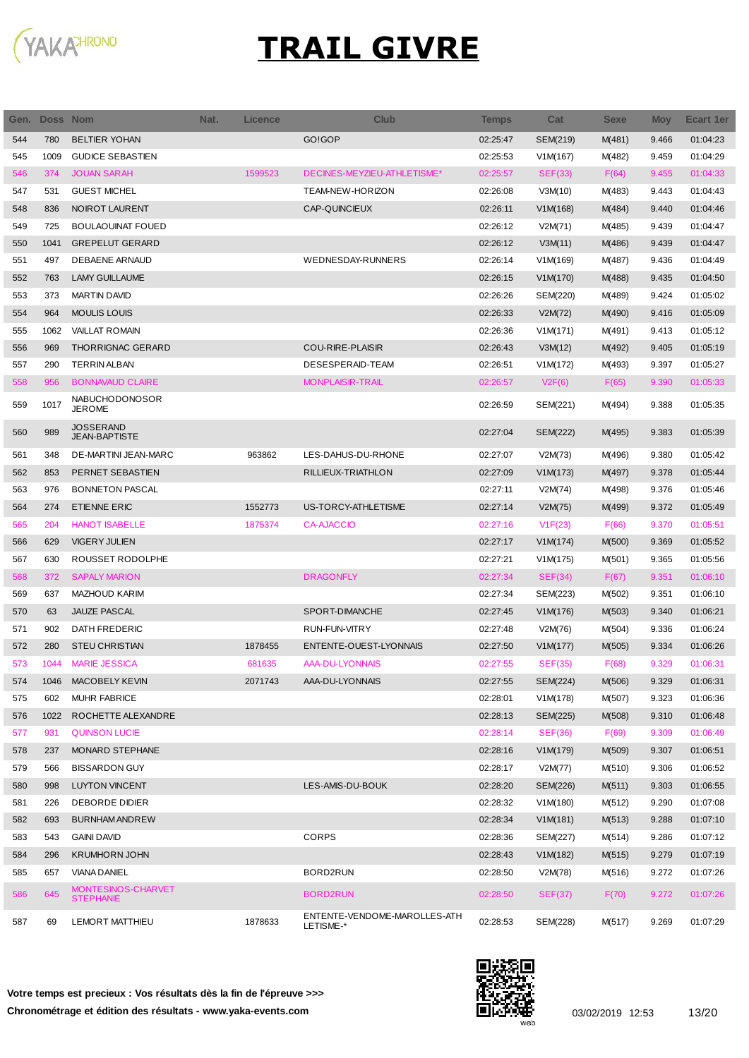

| Gen. | Doss Nom |                                        | Nat. | Licence | <b>Club</b>                               | <b>Temps</b> | Cat             | <b>Sexe</b> | <b>Moy</b> | Ecart 1er |
|------|----------|----------------------------------------|------|---------|-------------------------------------------|--------------|-----------------|-------------|------------|-----------|
| 544  | 780      | <b>BELTIER YOHAN</b>                   |      |         | GO!GOP                                    | 02:25:47     | SEM(219)        | M(481)      | 9.466      | 01:04:23  |
| 545  | 1009     | <b>GUDICE SEBASTIEN</b>                |      |         |                                           | 02:25:53     | V1M(167)        | M(482)      | 9.459      | 01:04:29  |
| 546  | 374      | <b>JOUAN SARAH</b>                     |      | 1599523 | DECINES-MEYZIEU-ATHLETISME*               | 02:25:57     | <b>SEF(33)</b>  | F(64)       | 9.455      | 01:04:33  |
| 547  | 531      | <b>GUEST MICHEL</b>                    |      |         | TEAM-NEW-HORIZON                          | 02:26:08     | V3M(10)         | M(483)      | 9.443      | 01:04:43  |
| 548  | 836      | NOIROT LAURENT                         |      |         | CAP-QUINCIEUX                             | 02:26:11     | V1M(168)        | M(484)      | 9.440      | 01:04:46  |
| 549  | 725      | <b>BOULAOUINAT FOUED</b>               |      |         |                                           | 02:26:12     | V2M(71)         | M(485)      | 9.439      | 01:04:47  |
| 550  | 1041     | <b>GREPELUT GERARD</b>                 |      |         |                                           | 02:26:12     | V3M(11)         | M(486)      | 9.439      | 01:04:47  |
| 551  | 497      | DEBAENE ARNAUD                         |      |         | WEDNESDAY-RUNNERS                         | 02:26:14     | V1M(169)        | M(487)      | 9.436      | 01:04:49  |
| 552  | 763      | <b>LAMY GUILLAUME</b>                  |      |         |                                           | 02:26:15     | V1M(170)        | M(488)      | 9.435      | 01:04:50  |
| 553  | 373      | <b>MARTIN DAVID</b>                    |      |         |                                           | 02:26:26     | SEM(220)        | M(489)      | 9.424      | 01:05:02  |
| 554  | 964      | <b>MOULIS LOUIS</b>                    |      |         |                                           | 02:26:33     | V2M(72)         | M(490)      | 9.416      | 01:05:09  |
| 555  | 1062     | <b>VAILLAT ROMAIN</b>                  |      |         |                                           | 02:26:36     | V1M(171)        | M(491)      | 9.413      | 01:05:12  |
| 556  | 969      | <b>THORRIGNAC GERARD</b>               |      |         | <b>COU-RIRE-PLAISIR</b>                   | 02:26:43     | V3M(12)         | M(492)      | 9.405      | 01:05:19  |
| 557  | 290      | <b>TERRIN ALBAN</b>                    |      |         | DESESPERAID-TEAM                          | 02:26:51     | V1M(172)        | M(493)      | 9.397      | 01:05:27  |
| 558  | 956      | <b>BONNAVAUD CLAIRE</b>                |      |         | <b>MONPLAISIR-TRAIL</b>                   | 02:26:57     | V2F(6)          | F(65)       | 9.390      | 01:05:33  |
| 559  | 1017     | NABUCHODONOSOR<br>JEROME               |      |         |                                           | 02:26:59     | SEM(221)        | M(494)      | 9.388      | 01:05:35  |
| 560  | 989      | JOSSERAND<br><b>JEAN-BAPTISTE</b>      |      |         |                                           | 02:27:04     | <b>SEM(222)</b> | M(495)      | 9.383      | 01:05:39  |
| 561  | 348      | DE-MARTINI JEAN-MARC                   |      | 963862  | LES-DAHUS-DU-RHONE                        | 02:27:07     | V2M(73)         | M(496)      | 9.380      | 01:05:42  |
| 562  | 853      | PERNET SEBASTIEN                       |      |         | RILLIEUX-TRIATHLON                        | 02:27:09     | V1M(173)        | M(497)      | 9.378      | 01:05:44  |
| 563  | 976      | <b>BONNETON PASCAL</b>                 |      |         |                                           | 02:27:11     | V2M(74)         | M(498)      | 9.376      | 01:05:46  |
| 564  | 274      | <b>ETIENNE ERIC</b>                    |      | 1552773 | US-TORCY-ATHLETISME                       | 02:27:14     | V2M(75)         | M(499)      | 9.372      | 01:05:49  |
| 565  | 204      | <b>HANOT ISABELLE</b>                  |      | 1875374 | <b>CA-AJACCIO</b>                         | 02:27:16     | V1F(23)         | F(66)       | 9.370      | 01:05:51  |
| 566  | 629      | <b>VIGERY JULIEN</b>                   |      |         |                                           | 02:27:17     | V1M(174)        | M(500)      | 9.369      | 01:05:52  |
| 567  | 630      | ROUSSET RODOLPHE                       |      |         |                                           | 02:27:21     | V1M(175)        | M(501)      | 9.365      | 01:05:56  |
| 568  | 372      | <b>SAPALY MARION</b>                   |      |         | <b>DRAGONFLY</b>                          | 02:27:34     | SEF(34)         | F(67)       | 9.351      | 01:06:10  |
| 569  | 637      | MAZHOUD KARIM                          |      |         |                                           | 02:27:34     | SEM(223)        | M(502)      | 9.351      | 01:06:10  |
| 570  | 63       | <b>JAUZE PASCAL</b>                    |      |         | SPORT-DIMANCHE                            | 02:27:45     | V1M(176)        | M(503)      | 9.340      | 01:06:21  |
| 571  | 902      | DATH FREDERIC                          |      |         | RUN-FUN-VITRY                             | 02:27:48     | V2M(76)         | M(504)      | 9.336      | 01:06:24  |
| 572  | 280      | <b>STEU CHRISTIAN</b>                  |      | 1878455 | ENTENTE-OUEST-LYONNAIS                    | 02:27:50     | V1M(177)        | M(505)      | 9.334      | 01:06:26  |
| 573  | 1044     | <b>MARIE JESSICA</b>                   |      | 681635  | <b>AAA-DU-LYONNAIS</b>                    | 02:27:55     | <b>SEF(35)</b>  | F(68)       | 9.329      | 01:06:31  |
| 574  | 1046     | MACOBELY KEVIN                         |      | 2071743 | AAA-DU-LYONNAIS                           | 02:27:55     | SEM(224)        | M(506)      | 9.329      | 01:06:31  |
| 575  | 602      | <b>MUHR FABRICE</b>                    |      |         |                                           | 02:28:01     | V1M(178)        | M(507)      | 9.323      | 01:06:36  |
| 576  | 1022     | ROCHETTE ALEXANDRE                     |      |         |                                           | 02:28:13     | SEM(225)        | M(508)      | 9.310      | 01:06:48  |
| 577  | 931      | <b>QUINSON LUCIE</b>                   |      |         |                                           | 02:28:14     | <b>SEF(36)</b>  | F(69)       | 9.309      | 01:06:49  |
| 578  | 237      | MONARD STEPHANE                        |      |         |                                           | 02:28:16     | V1M(179)        | M(509)      | 9.307      | 01:06:51  |
| 579  | 566      | <b>BISSARDON GUY</b>                   |      |         |                                           | 02:28:17     | V2M(77)         | M(510)      | 9.306      | 01:06:52  |
| 580  | 998      | <b>LUYTON VINCENT</b>                  |      |         | LES-AMIS-DU-BOUK                          | 02:28:20     | SEM(226)        | M(511)      | 9.303      | 01:06:55  |
| 581  | 226      | DEBORDE DIDIER                         |      |         |                                           | 02:28:32     | V1M(180)        | M(512)      | 9.290      | 01:07:08  |
| 582  | 693      | <b>BURNHAM ANDREW</b>                  |      |         |                                           | 02:28:34     | V1M(181)        | M(513)      | 9.288      | 01:07:10  |
| 583  | 543      | <b>GAINI DAVID</b>                     |      |         | <b>CORPS</b>                              | 02:28:36     | SEM(227)        | M(514)      | 9.286      | 01:07:12  |
| 584  | 296      | <b>KRUMHORN JOHN</b>                   |      |         |                                           | 02:28:43     | V1M(182)        | M(515)      | 9.279      | 01:07:19  |
| 585  | 657      | <b>VIANA DANIEL</b>                    |      |         | BORD2RUN                                  | 02:28:50     | V2M(78)         | M(516)      | 9.272      | 01:07:26  |
| 586  | 645      | MONTESINOS-CHARVET<br><b>STEPHANIE</b> |      |         | <b>BORD2RUN</b>                           | 02:28:50     | <b>SEF(37)</b>  | F(70)       | 9.272      | 01:07:26  |
| 587  | 69       | LEMORT MATTHIEU                        |      | 1878633 | ENTENTE-VENDOME-MAROLLES-ATH<br>LETISME-* | 02:28:53     | SEM(228)        | M(517)      | 9.269      | 01:07:29  |

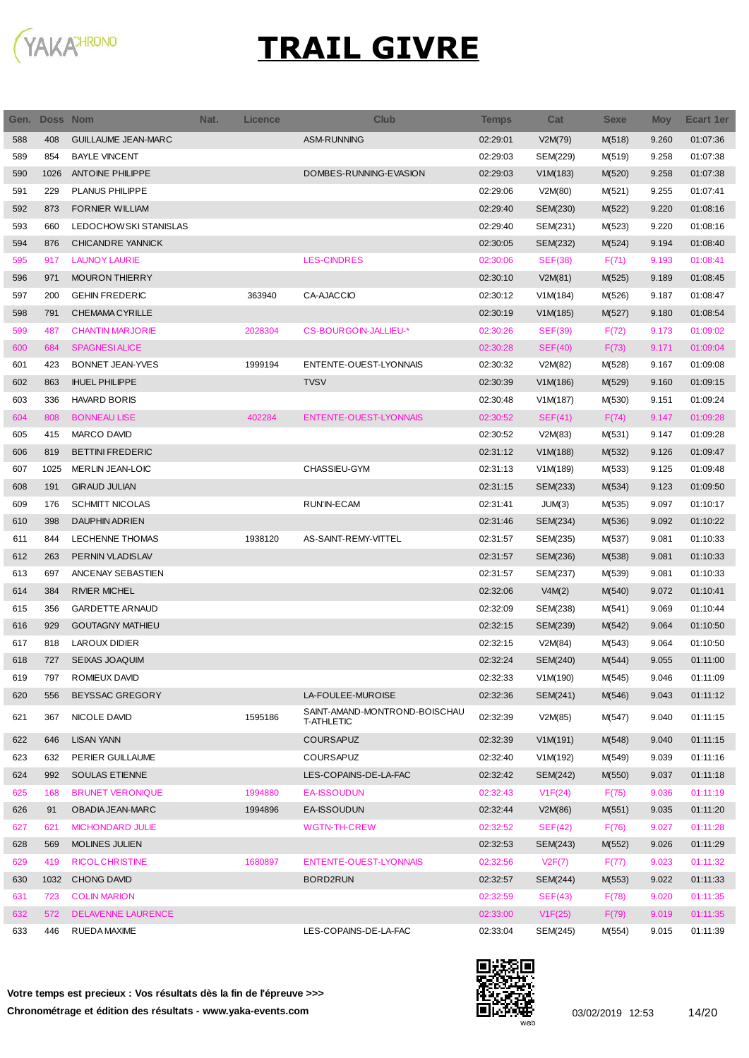

| Gen. | <b>Doss Nom</b> |                            | Nat. | <b>Licence</b> | Club                                               | <b>Temps</b> | Cat            | <b>Sexe</b> | <b>Moy</b> | <b>Ecart 1er</b> |
|------|-----------------|----------------------------|------|----------------|----------------------------------------------------|--------------|----------------|-------------|------------|------------------|
| 588  | 408             | <b>GUILLAUME JEAN-MARC</b> |      |                | ASM-RUNNING                                        | 02:29:01     | V2M(79)        | M(518)      | 9.260      | 01:07:36         |
| 589  | 854             | <b>BAYLE VINCENT</b>       |      |                |                                                    | 02:29:03     | SEM(229)       | M(519)      | 9.258      | 01:07:38         |
| 590  | 1026            | <b>ANTOINE PHILIPPE</b>    |      |                | DOMBES-RUNNING-EVASION                             | 02:29:03     | V1M(183)       | M(520)      | 9.258      | 01:07:38         |
| 591  | 229             | PLANUS PHILIPPE            |      |                |                                                    | 02:29:06     | V2M(80)        | M(521)      | 9.255      | 01:07:41         |
| 592  | 873             | <b>FORNIER WILLIAM</b>     |      |                |                                                    | 02:29:40     | SEM(230)       | M(522)      | 9.220      | 01:08:16         |
| 593  | 660             | LEDOCHOWSKI STANISLAS      |      |                |                                                    | 02:29:40     | SEM(231)       | M(523)      | 9.220      | 01:08:16         |
| 594  | 876             | <b>CHICANDRE YANNICK</b>   |      |                |                                                    | 02:30:05     | SEM(232)       | M(524)      | 9.194      | 01:08:40         |
| 595  | 917             | <b>LAUNOY LAURIE</b>       |      |                | <b>LES-CINDRES</b>                                 | 02:30:06     | <b>SEF(38)</b> | F(71)       | 9.193      | 01:08:41         |
| 596  | 971             | <b>MOURON THIERRY</b>      |      |                |                                                    | 02:30:10     | V2M(81)        | M(525)      | 9.189      | 01:08:45         |
| 597  | 200             | <b>GEHIN FREDERIC</b>      |      | 363940         | CA-AJACCIO                                         | 02:30:12     | V1M(184)       | M(526)      | 9.187      | 01:08:47         |
| 598  | 791             | <b>CHEMAMA CYRILLE</b>     |      |                |                                                    | 02:30:19     | V1M(185)       | M(527)      | 9.180      | 01:08:54         |
| 599  | 487             | <b>CHANTIN MARJORIE</b>    |      | 2028304        | CS-BOURGOIN-JALLIEU-*                              | 02:30:26     | <b>SEF(39)</b> | F(72)       | 9.173      | 01:09:02         |
| 600  | 684             | <b>SPAGNESIALICE</b>       |      |                |                                                    | 02:30:28     | SEF(40)        | F(73)       | 9.171      | 01:09:04         |
| 601  | 423             | <b>BONNET JEAN-YVES</b>    |      | 1999194        | ENTENTE-OUEST-LYONNAIS                             | 02:30:32     | V2M(82)        | M(528)      | 9.167      | 01:09:08         |
| 602  | 863             | <b>IHUEL PHILIPPE</b>      |      |                | <b>TVSV</b>                                        | 02:30:39     | V1M(186)       | M(529)      | 9.160      | 01:09:15         |
| 603  | 336             | <b>HAVARD BORIS</b>        |      |                |                                                    | 02:30:48     | V1M(187)       | M(530)      | 9.151      | 01:09:24         |
| 604  | 808             | <b>BONNEAU LISE</b>        |      | 402284         | ENTENTE-OUEST-LYONNAIS                             | 02:30:52     | SEF(41)        | F(74)       | 9.147      | 01:09:28         |
| 605  | 415             | MARCO DAVID                |      |                |                                                    | 02:30:52     | V2M(83)        | M(531)      | 9.147      | 01:09:28         |
| 606  | 819             | <b>BETTINI FREDERIC</b>    |      |                |                                                    | 02:31:12     | V1M(188)       | M(532)      | 9.126      | 01:09:47         |
| 607  | 1025            | MERLIN JEAN-LOIC           |      |                | CHASSIEU-GYM                                       | 02:31:13     | V1M(189)       | M(533)      | 9.125      | 01:09:48         |
| 608  | 191             | <b>GIRAUD JULIAN</b>       |      |                |                                                    | 02:31:15     | SEM(233)       | M(534)      | 9.123      | 01:09:50         |
| 609  | 176             | <b>SCHMITT NICOLAS</b>     |      |                | RUN'IN-ECAM                                        | 02:31:41     | JUM(3)         | M(535)      | 9.097      | 01:10:17         |
| 610  | 398             | <b>DAUPHIN ADRIEN</b>      |      |                |                                                    | 02:31:46     | SEM(234)       | M(536)      | 9.092      | 01:10:22         |
| 611  | 844             | LECHENNE THOMAS            |      | 1938120        | AS-SAINT-REMY-VITTEL                               | 02:31:57     | SEM(235)       | M(537)      | 9.081      | 01:10:33         |
| 612  | 263             | PERNIN VLADISLAV           |      |                |                                                    | 02:31:57     | SEM(236)       | M(538)      | 9.081      | 01:10:33         |
| 613  | 697             | ANCENAY SEBASTIEN          |      |                |                                                    | 02:31:57     | SEM(237)       | M(539)      | 9.081      | 01:10:33         |
| 614  | 384             | <b>RIVIER MICHEL</b>       |      |                |                                                    | 02:32:06     | V4M(2)         | M(540)      | 9.072      | 01:10:41         |
| 615  | 356             | <b>GARDETTE ARNAUD</b>     |      |                |                                                    | 02:32:09     | SEM(238)       | M(541)      | 9.069      | 01:10:44         |
| 616  | 929             | <b>GOUTAGNY MATHIEU</b>    |      |                |                                                    | 02:32:15     | SEM(239)       | M(542)      | 9.064      | 01:10:50         |
| 617  | 818             | LAROUX DIDIER              |      |                |                                                    | 02:32:15     | V2M(84)        | M(543)      | 9.064      | 01:10:50         |
| 618  | 727             | SEIXAS JOAQUIM             |      |                |                                                    | 02:32:24     | SEM(240)       | M(544)      | 9.055      | 01:11:00         |
| 619  | 797             | ROMIEUX DAVID              |      |                |                                                    | 02:32:33     | V1M(190)       | M(545)      | 9.046      | 01:11:09         |
| 620  | 556             | <b>BEYSSAC GREGORY</b>     |      |                | LA-FOULEE-MUROISE                                  | 02:32:36     | SEM(241)       | M(546)      | 9.043      | 01:11:12         |
| 621  | 367             | NICOLE DAVID               |      | 1595186        | SAINT-AMAND-MONTROND-BOISCHAU<br><b>T-ATHLETIC</b> | 02:32:39     | V2M(85)        | M(547)      | 9.040      | 01:11:15         |
| 622  | 646             | <b>LISAN YANN</b>          |      |                | <b>COURSAPUZ</b>                                   | 02:32:39     | V1M(191)       | M(548)      | 9.040      | 01:11:15         |
| 623  | 632             | PERIER GUILLAUME           |      |                | COURSAPUZ                                          | 02:32:40     | V1M(192)       | M(549)      | 9.039      | 01:11:16         |
| 624  | 992             | <b>SOULAS ETIENNE</b>      |      |                | LES-COPAINS-DE-LA-FAC                              | 02:32:42     | SEM(242)       | M(550)      | 9.037      | 01:11:18         |
| 625  | 168             | <b>BRUNET VERONIQUE</b>    |      | 1994880        | <b>EA-ISSOUDUN</b>                                 | 02:32:43     | V1F(24)        | F(75)       | 9.036      | 01:11:19         |
| 626  | 91              | OBADIA JEAN-MARC           |      | 1994896        | EA-ISSOUDUN                                        | 02:32:44     | V2M(86)        | M(551)      | 9.035      | 01:11:20         |
| 627  | 621             | <b>MICHONDARD JULIE</b>    |      |                | <b>WGTN-TH-CREW</b>                                | 02:32:52     | SEF(42)        | F(76)       | 9.027      | 01:11:28         |
| 628  | 569             | <b>MOLINES JULIEN</b>      |      |                |                                                    | 02:32:53     | SEM(243)       | M(552)      | 9.026      | 01:11:29         |
| 629  | 419             | <b>RICOL CHRISTINE</b>     |      | 1680897        | ENTENTE-OUEST-LYONNAIS                             | 02:32:56     | V2F(7)         | F(77)       | 9.023      | 01:11:32         |
| 630  | 1032            | <b>CHONG DAVID</b>         |      |                | BORD2RUN                                           | 02:32:57     | SEM(244)       | M(553)      | 9.022      | 01:11:33         |
| 631  | 723             | <b>COLIN MARION</b>        |      |                |                                                    | 02:32:59     | SEF(43)        | F(78)       | 9.020      | 01:11:35         |
| 632  | 572             | <b>DELAVENNE LAURENCE</b>  |      |                |                                                    | 02:33:00     | V1F(25)        | F(79)       | 9.019      | 01:11:35         |
| 633  | 446             | RUEDA MAXIME               |      |                | LES-COPAINS-DE-LA-FAC                              | 02:33:04     | SEM(245)       | M(554)      | 9.015      | 01:11:39         |

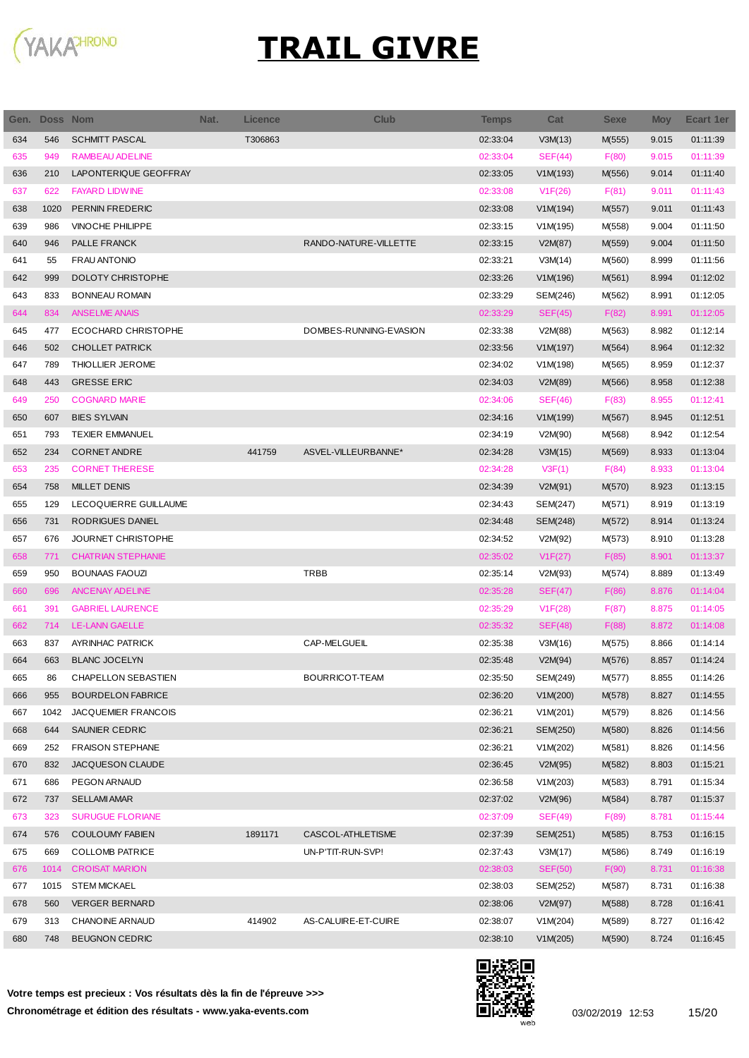

| Gen. | <b>Doss Nom</b> |                            | Nat. | <b>Licence</b> | <b>Club</b>            | Temps    | Cat            | <b>Sexe</b> | <b>Moy</b> | Ecart 1er |
|------|-----------------|----------------------------|------|----------------|------------------------|----------|----------------|-------------|------------|-----------|
| 634  | 546             | <b>SCHMITT PASCAL</b>      |      | T306863        |                        | 02:33:04 | V3M(13)        | M(555)      | 9.015      | 01:11:39  |
| 635  | 949             | RAMBEAU ADELINE            |      |                |                        | 02:33:04 | SEF(44)        | F(80)       | 9.015      | 01:11:39  |
| 636  | 210             | LAPONTERIQUE GEOFFRAY      |      |                |                        | 02:33:05 | V1M(193)       | M(556)      | 9.014      | 01:11:40  |
| 637  | 622             | <b>FAYARD LIDWINE</b>      |      |                |                        | 02:33:08 | V1F(26)        | F(81)       | 9.011      | 01:11:43  |
| 638  | 1020            | PERNIN FREDERIC            |      |                |                        | 02:33:08 | V1M(194)       | M(557)      | 9.011      | 01:11:43  |
| 639  | 986             | <b>VINOCHE PHILIPPE</b>    |      |                |                        | 02:33:15 | V1M(195)       | M(558)      | 9.004      | 01:11:50  |
| 640  | 946             | PALLE FRANCK               |      |                | RANDO-NATURE-VILLETTE  | 02:33:15 | V2M(87)        | M(559)      | 9.004      | 01:11:50  |
| 641  | 55              | <b>FRAU ANTONIO</b>        |      |                |                        | 02:33:21 | V3M(14)        | M(560)      | 8.999      | 01:11:56  |
| 642  | 999             | <b>DOLOTY CHRISTOPHE</b>   |      |                |                        | 02:33:26 | V1M(196)       | M(561)      | 8.994      | 01:12:02  |
| 643  | 833             | <b>BONNEAU ROMAIN</b>      |      |                |                        | 02:33:29 | SEM(246)       | M(562)      | 8.991      | 01:12:05  |
| 644  | 834             | <b>ANSELME ANAIS</b>       |      |                |                        | 02:33:29 | SEF(45)        | F(82)       | 8.991      | 01:12:05  |
| 645  | 477             | ECOCHARD CHRISTOPHE        |      |                | DOMBES-RUNNING-EVASION | 02:33:38 | V2M(88)        | M(563)      | 8.982      | 01:12:14  |
| 646  | 502             | <b>CHOLLET PATRICK</b>     |      |                |                        | 02:33:56 | V1M(197)       | M(564)      | 8.964      | 01:12:32  |
| 647  | 789             | THIOLLIER JEROME           |      |                |                        | 02:34:02 | V1M(198)       | M(565)      | 8.959      | 01:12:37  |
| 648  | 443             | <b>GRESSE ERIC</b>         |      |                |                        | 02:34:03 | V2M(89)        | M(566)      | 8.958      | 01:12:38  |
| 649  | 250             | <b>COGNARD MARIE</b>       |      |                |                        | 02:34:06 | SEF(46)        | F(83)       | 8.955      | 01:12:41  |
| 650  | 607             | <b>BIES SYLVAIN</b>        |      |                |                        | 02:34:16 | V1M(199)       | M(567)      | 8.945      | 01:12:51  |
| 651  | 793             | <b>TEXIER EMMANUEL</b>     |      |                |                        | 02:34:19 | V2M(90)        | M(568)      | 8.942      | 01:12:54  |
| 652  | 234             | <b>CORNET ANDRE</b>        |      | 441759         | ASVEL-VILLEURBANNE*    | 02:34:28 | V3M(15)        | M(569)      | 8.933      | 01:13:04  |
| 653  | 235             | <b>CORNET THERESE</b>      |      |                |                        | 02:34:28 | V3F(1)         | F(84)       | 8.933      | 01:13:04  |
| 654  | 758             | <b>MILLET DENIS</b>        |      |                |                        | 02:34:39 | V2M(91)        | M(570)      | 8.923      | 01:13:15  |
| 655  | 129             | LECOQUIERRE GUILLAUME      |      |                |                        | 02:34:43 | SEM(247)       | M(571)      | 8.919      | 01:13:19  |
| 656  | 731             | RODRIGUES DANIEL           |      |                |                        | 02:34:48 | SEM(248)       | M(572)      | 8.914      | 01:13:24  |
| 657  | 676             | JOURNET CHRISTOPHE         |      |                |                        | 02:34:52 | V2M(92)        | M(573)      | 8.910      | 01:13:28  |
| 658  | 771             | <b>CHATRIAN STEPHANIE</b>  |      |                |                        | 02:35:02 | V1F(27)        | F(85)       | 8.901      | 01:13:37  |
| 659  | 950             | <b>BOUNAAS FAOUZI</b>      |      |                | <b>TRBB</b>            | 02:35:14 | V2M(93)        | M(574)      | 8.889      | 01:13:49  |
| 660  | 696             | ANCENAY ADELINE            |      |                |                        | 02:35:28 | SEF(47)        | F(86)       | 8.876      | 01:14:04  |
| 661  | 391             | <b>GABRIEL LAURENCE</b>    |      |                |                        | 02:35:29 | V1F(28)        | F(87)       | 8.875      | 01:14:05  |
| 662  | 714             | <b>LE-LANN GAELLE</b>      |      |                |                        | 02:35:32 | SEF(48)        | F(88)       | 8.872      | 01:14:08  |
| 663  | 837             | <b>AYRINHAC PATRICK</b>    |      |                | CAP-MELGUEIL           | 02:35:38 | V3M(16)        | M(575)      | 8.866      | 01:14:14  |
| 664  | 663             | <b>BLANC JOCELYN</b>       |      |                |                        | 02:35:48 | V2M(94)        | M(576)      | 8.857      | 01:14:24  |
| 665  | 86              | CHAPELLON SEBASTIEN        |      |                | BOURRICOT-TEAM         | 02:35:50 | SEM(249)       | M(577)      | 8.855      | 01:14:26  |
| 666  | 955             | <b>BOURDELON FABRICE</b>   |      |                |                        | 02:36:20 | V1M(200)       | M(578)      | 8.827      | 01:14:55  |
| 667  | 1042            | <b>JACQUEMIER FRANCOIS</b> |      |                |                        | 02:36:21 | V1M(201)       | M(579)      | 8.826      | 01:14:56  |
| 668  | 644             | SAUNIER CEDRIC             |      |                |                        | 02:36:21 | SEM(250)       | M(580)      | 8.826      | 01:14:56  |
| 669  | 252             | <b>FRAISON STEPHANE</b>    |      |                |                        | 02:36:21 | V1M(202)       | M(581)      | 8.826      | 01:14:56  |
| 670  | 832             | JACQUESON CLAUDE           |      |                |                        | 02:36:45 | V2M(95)        | M(582)      | 8.803      | 01:15:21  |
| 671  | 686             | PEGON ARNAUD               |      |                |                        | 02:36:58 | V1M(203)       | M(583)      | 8.791      | 01:15:34  |
| 672  | 737             | <b>SELLAMI AMAR</b>        |      |                |                        | 02:37:02 | V2M(96)        | M(584)      | 8.787      | 01:15:37  |
| 673  | 323             | <b>SURUGUE FLORIANE</b>    |      |                |                        | 02:37:09 | SEF(49)        | F(89)       | 8.781      | 01:15:44  |
| 674  | 576             | <b>COULOUMY FABIEN</b>     |      | 1891171        | CASCOL-ATHLETISME      | 02:37:39 | SEM(251)       | M(585)      | 8.753      | 01:16:15  |
| 675  | 669             | <b>COLLOMB PATRICE</b>     |      |                | UN-P'TIT-RUN-SVP!      | 02:37:43 | V3M(17)        | M(586)      | 8.749      | 01:16:19  |
| 676  | 1014            | <b>CROISAT MARION</b>      |      |                |                        | 02:38:03 | <b>SEF(50)</b> | F(90)       | 8.731      | 01:16:38  |
| 677  | 1015            | <b>STEM MICKAEL</b>        |      |                |                        | 02:38:03 | SEM(252)       | M(587)      | 8.731      | 01:16:38  |
| 678  | 560             | <b>VERGER BERNARD</b>      |      |                |                        | 02:38:06 | V2M(97)        | M(588)      | 8.728      | 01:16:41  |
| 679  | 313             | <b>CHANOINE ARNAUD</b>     |      | 414902         | AS-CALUIRE-ET-CUIRE    | 02:38:07 | V1M(204)       | M(589)      | 8.727      | 01:16:42  |
| 680  | 748             | <b>BEUGNON CEDRIC</b>      |      |                |                        | 02:38:10 | V1M(205)       | M(590)      | 8.724      | 01:16:45  |
|      |                 |                            |      |                |                        |          |                |             |            |           |

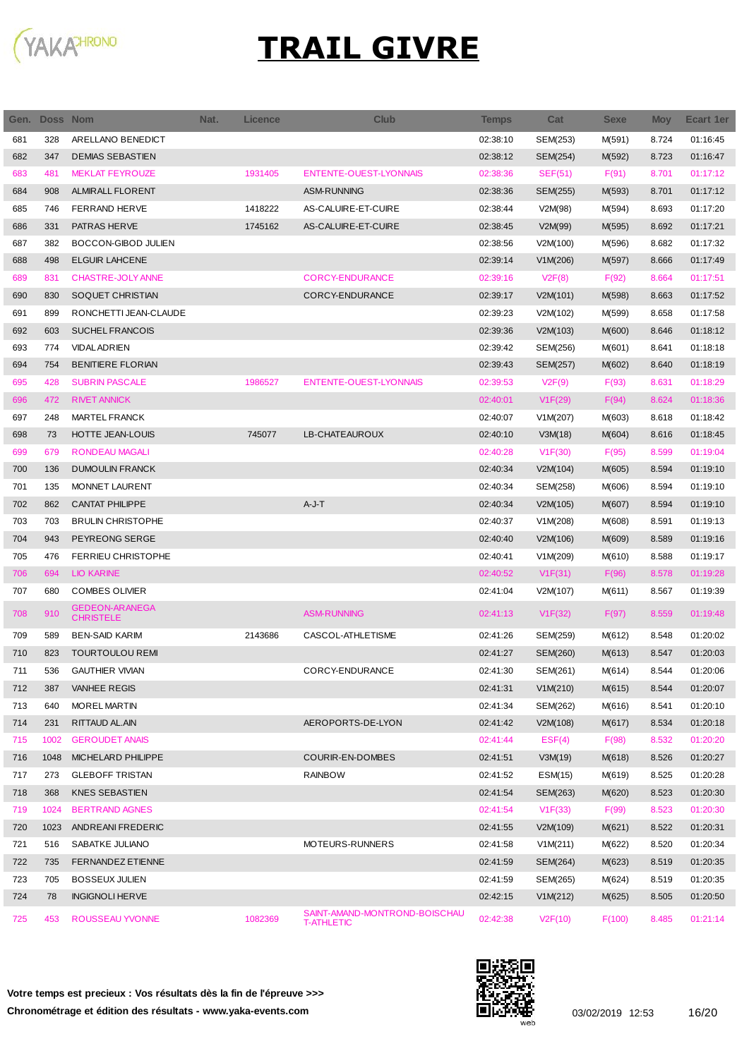

| Gen. | Doss Nom |                                           | Nat. | <b>Licence</b> | Club                                               | Temps    | Cat      | <b>Sexe</b> | <b>Moy</b> | Ecart 1er |
|------|----------|-------------------------------------------|------|----------------|----------------------------------------------------|----------|----------|-------------|------------|-----------|
| 681  | 328      | ARELLANO BENEDICT                         |      |                |                                                    | 02:38:10 | SEM(253) | M(591)      | 8.724      | 01:16:45  |
| 682  | 347      | <b>DEMIAS SEBASTIEN</b>                   |      |                |                                                    | 02:38:12 | SEM(254) | M(592)      | 8.723      | 01:16:47  |
| 683  | 481      | <b>MEKLAT FEYROUZE</b>                    |      | 1931405        | <b>ENTENTE-OUEST-LYONNAIS</b>                      | 02:38:36 | SEF(51)  | F(91)       | 8.701      | 01:17:12  |
| 684  | 908      | <b>ALMIRALL FLORENT</b>                   |      |                | ASM-RUNNING                                        | 02:38:36 | SEM(255) | M(593)      | 8.701      | 01:17:12  |
| 685  | 746      | <b>FERRAND HERVE</b>                      |      | 1418222        | AS-CALUIRE-ET-CUIRE                                | 02:38:44 | V2M(98)  | M(594)      | 8.693      | 01:17:20  |
| 686  | 331      | PATRAS HERVE                              |      | 1745162        | AS-CALUIRE-ET-CUIRE                                | 02:38:45 | V2M(99)  | M(595)      | 8.692      | 01:17:21  |
| 687  | 382      | <b>BOCCON-GIBOD JULIEN</b>                |      |                |                                                    | 02:38:56 | V2M(100) | M(596)      | 8.682      | 01:17:32  |
| 688  | 498      | <b>ELGUIR LAHCENE</b>                     |      |                |                                                    | 02:39:14 | V1M(206) | M(597)      | 8.666      | 01:17:49  |
| 689  | 831      | CHASTRE-JOLY ANNE                         |      |                | <b>CORCY-ENDURANCE</b>                             | 02:39:16 | V2F(8)   | F(92)       | 8.664      | 01:17:51  |
| 690  | 830      | SOQUET CHRISTIAN                          |      |                | CORCY-ENDURANCE                                    | 02:39:17 | V2M(101) | M(598)      | 8.663      | 01:17:52  |
| 691  | 899      | RONCHETTI JEAN-CLAUDE                     |      |                |                                                    | 02:39:23 | V2M(102) | M(599)      | 8.658      | 01:17:58  |
| 692  | 603      | <b>SUCHEL FRANCOIS</b>                    |      |                |                                                    | 02:39:36 | V2M(103) | M(600)      | 8.646      | 01:18:12  |
| 693  | 774      | <b>VIDAL ADRIEN</b>                       |      |                |                                                    | 02:39:42 | SEM(256) | M(601)      | 8.641      | 01:18:18  |
| 694  | 754      | <b>BENITIERE FLORIAN</b>                  |      |                |                                                    | 02:39:43 | SEM(257) | M(602)      | 8.640      | 01:18:19  |
| 695  | 428      | <b>SUBRIN PASCALE</b>                     |      | 1986527        | <b>ENTENTE-OUEST-LYONNAIS</b>                      | 02:39:53 | V2F(9)   | F(93)       | 8.631      | 01:18:29  |
| 696  | 472      | <b>RIVET ANNICK</b>                       |      |                |                                                    | 02:40:01 | V1F(29)  | F(94)       | 8.624      | 01:18:36  |
| 697  | 248      | <b>MARTEL FRANCK</b>                      |      |                |                                                    | 02:40:07 | V1M(207) | M(603)      | 8.618      | 01:18:42  |
| 698  | 73       | HOTTE JEAN-LOUIS                          |      | 745077         | LB-CHATEAUROUX                                     | 02:40:10 | V3M(18)  | M(604)      | 8.616      | 01:18:45  |
| 699  | 679      | <b>RONDEAU MAGALI</b>                     |      |                |                                                    | 02:40:28 | V1F(30)  | F(95)       | 8.599      | 01:19:04  |
| 700  | 136      | <b>DUMOULIN FRANCK</b>                    |      |                |                                                    | 02:40:34 | V2M(104) | M(605)      | 8.594      | 01:19:10  |
| 701  | 135      | <b>MONNET LAURENT</b>                     |      |                |                                                    | 02:40:34 | SEM(258) | M(606)      | 8.594      | 01:19:10  |
| 702  | 862      | <b>CANTAT PHILIPPE</b>                    |      |                | $A-J-T$                                            | 02:40:34 | V2M(105) | M(607)      | 8.594      | 01:19:10  |
| 703  | 703      | <b>BRULIN CHRISTOPHE</b>                  |      |                |                                                    | 02:40:37 | V1M(208) | M(608)      | 8.591      | 01:19:13  |
| 704  | 943      | PEYREONG SERGE                            |      |                |                                                    | 02:40:40 | V2M(106) | M(609)      | 8.589      | 01:19:16  |
| 705  | 476      | <b>FERRIEU CHRISTOPHE</b>                 |      |                |                                                    | 02:40:41 | V1M(209) | M(610)      | 8.588      | 01:19:17  |
| 706  | 694      | <b>LIO KARINE</b>                         |      |                |                                                    | 02:40:52 | V1F(31)  | F(96)       | 8.578      | 01:19:28  |
| 707  | 680      | <b>COMBES OLIVIER</b>                     |      |                |                                                    | 02:41:04 | V2M(107) | M(611)      | 8.567      | 01:19:39  |
| 708  | 910      | <b>GEDEON-ARANEGA</b><br><b>CHRISTELE</b> |      |                | <b>ASM-RUNNING</b>                                 | 02:41:13 | V1F(32)  | F(97)       | 8.559      | 01:19:48  |
| 709  | 589      | <b>BEN-SAID KARIM</b>                     |      | 2143686        | CASCOL-ATHLETISME                                  | 02:41:26 | SEM(259) | M(612)      | 8.548      | 01:20:02  |
| 710  | 823      | <b>TOURTOULOU REMI</b>                    |      |                |                                                    | 02:41:27 | SEM(260) | M(613)      | 8.547      | 01:20:03  |
| 711  | 536      | <b>GAUTHIER VIVIAN</b>                    |      |                | CORCY-ENDURANCE                                    | 02:41:30 | SEM(261) | M(614)      | 8.544      | 01:20:06  |
| 712  | 387      | <b>VANHEE REGIS</b>                       |      |                |                                                    | 02:41:31 | V1M(210) | M(615)      | 8.544      | 01:20:07  |
| 713  | 640      | MOREL MARTIN                              |      |                |                                                    | 02:41:34 | SEM(262) | M(616)      | 8.541      | 01:20:10  |
| 714  | 231      | RITTAUD AL.AIN                            |      |                | AEROPORTS-DE-LYON                                  | 02:41:42 | V2M(108) | M(617)      | 8.534      | 01:20:18  |
| 715  | 1002     | <b>GEROUDET ANAIS</b>                     |      |                |                                                    | 02:41:44 | EST(4)   | F(98)       | 8.532      | 01:20:20  |
| 716  | 1048     | MICHELARD PHILIPPE                        |      |                | COURIR-EN-DOMBES                                   | 02:41:51 | V3M(19)  | M(618)      | 8.526      | 01:20:27  |
| 717  | 273      | <b>GLEBOFF TRISTAN</b>                    |      |                | <b>RAINBOW</b>                                     | 02:41:52 | ESM(15)  | M(619)      | 8.525      | 01:20:28  |
| 718  | 368      | <b>KNES SEBASTIEN</b>                     |      |                |                                                    | 02:41:54 | SEM(263) | M(620)      | 8.523      | 01:20:30  |
| 719  | 1024     | <b>BERTRAND AGNES</b>                     |      |                |                                                    | 02:41:54 | V1F(33)  | F(99)       | 8.523      | 01:20:30  |
| 720  | 1023     | ANDREANI FREDERIC                         |      |                |                                                    | 02:41:55 | V2M(109) | M(621)      | 8.522      | 01:20:31  |
| 721  | 516      | SABATKE JULIANO                           |      |                | MOTEURS-RUNNERS                                    | 02:41:58 | V1M(211) | M(622)      | 8.520      | 01:20:34  |
| 722  | 735      | <b>FERNANDEZ ETIENNE</b>                  |      |                |                                                    | 02:41:59 | SEM(264) | M(623)      | 8.519      | 01:20:35  |
| 723  | 705      | <b>BOSSEUX JULIEN</b>                     |      |                |                                                    | 02:41:59 | SEM(265) | M(624)      | 8.519      | 01:20:35  |
| 724  | 78       | <b>INGIGNOLI HERVE</b>                    |      |                |                                                    | 02:42:15 | V1M(212) | M(625)      | 8.505      | 01:20:50  |
| 725  | 453      | ROUSSEAU YVONNE                           |      | 1082369        | SAINT-AMAND-MONTROND-BOISCHAU<br><b>T-ATHLETIC</b> | 02:42:38 | V2F(10)  | F(100)      | 8.485      | 01:21:14  |

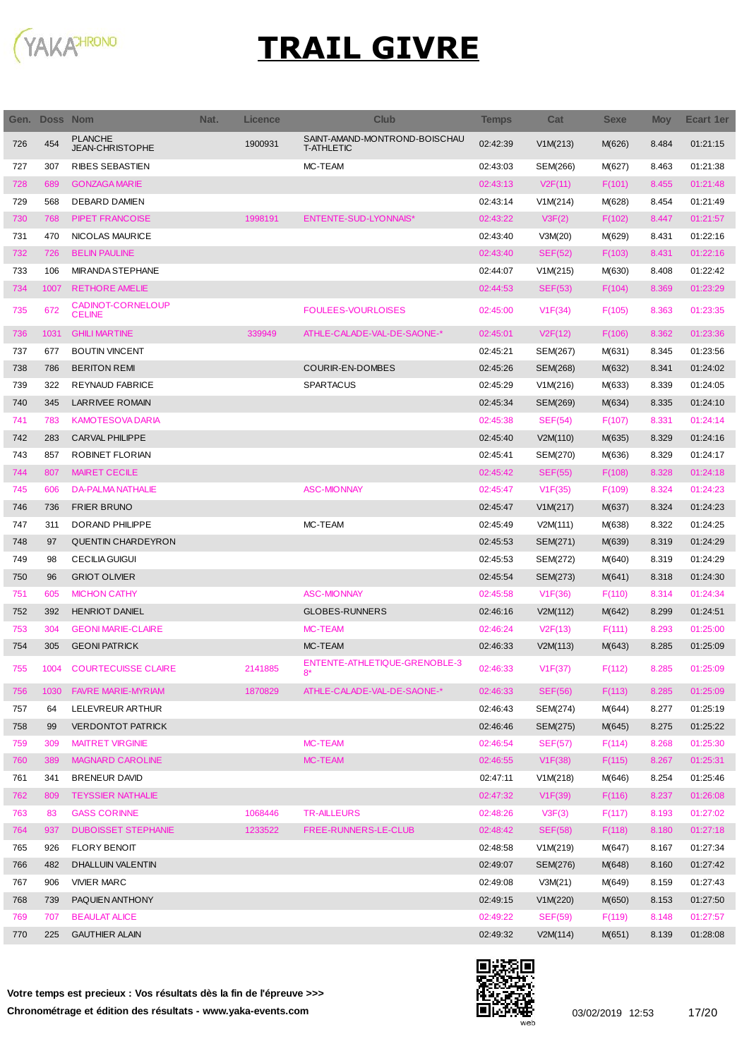

| Gen. | Doss Nom |                                          | Nat. | Licence | Club                                               | <b>Temps</b> | Cat             | <b>Sexe</b> | <b>Moy</b> | <b>Ecart 1er</b> |
|------|----------|------------------------------------------|------|---------|----------------------------------------------------|--------------|-----------------|-------------|------------|------------------|
| 726  | 454      | <b>PLANCHE</b><br><b>JEAN-CHRISTOPHE</b> |      | 1900931 | SAINT-AMAND-MONTROND-BOISCHAU<br><b>T-ATHLETIC</b> | 02:42:39     | V1M(213)        | M(626)      | 8.484      | 01:21:15         |
| 727  | 307      | <b>RIBES SEBASTIEN</b>                   |      |         | MC-TEAM                                            | 02:43:03     | SEM(266)        | M(627)      | 8.463      | 01:21:38         |
| 728  | 689      | <b>GONZAGA MARIE</b>                     |      |         |                                                    | 02:43:13     | V2F(11)         | F(101)      | 8.455      | 01:21:48         |
| 729  | 568      | <b>DEBARD DAMIEN</b>                     |      |         |                                                    | 02:43:14     | V1M(214)        | M(628)      | 8.454      | 01:21:49         |
| 730  | 768      | <b>PIPET FRANCOISE</b>                   |      | 1998191 | ENTENTE-SUD-LYONNAIS*                              | 02:43:22     | V3F(2)          | F(102)      | 8.447      | 01:21:57         |
| 731  | 470      | <b>NICOLAS MAURICE</b>                   |      |         |                                                    | 02:43:40     | V3M(20)         | M(629)      | 8.431      | 01:22:16         |
| 732  | 726      | <b>BELIN PAULINE</b>                     |      |         |                                                    | 02:43:40     | <b>SEF(52)</b>  | F(103)      | 8.431      | 01:22:16         |
| 733  | 106      | <b>MIRANDA STEPHANE</b>                  |      |         |                                                    | 02:44:07     | V1M(215)        | M(630)      | 8.408      | 01:22:42         |
| 734  | 1007     | <b>RETHORE AMELIE</b>                    |      |         |                                                    | 02:44:53     | <b>SEF(53)</b>  | F(104)      | 8.369      | 01:23:29         |
| 735  | 672      | CADINOT-CORNELOUP<br><b>CELINE</b>       |      |         | <b>FOULEES-VOURLOISES</b>                          | 02:45:00     | V1F(34)         | F(105)      | 8.363      | 01:23:35         |
| 736  | 1031     | <b>GHILI MARTINE</b>                     |      | 339949  | ATHLE-CALADE-VAL-DE-SAONE-*                        | 02:45:01     | V2F(12)         | F(106)      | 8.362      | 01:23:36         |
| 737  | 677      | <b>BOUTIN VINCENT</b>                    |      |         |                                                    | 02:45:21     | SEM(267)        | M(631)      | 8.345      | 01:23:56         |
| 738  | 786      | <b>BERITON REMI</b>                      |      |         | <b>COURIR-EN-DOMBES</b>                            | 02:45:26     | SEM(268)        | M(632)      | 8.341      | 01:24:02         |
| 739  | 322      | <b>REYNAUD FABRICE</b>                   |      |         | <b>SPARTACUS</b>                                   | 02:45:29     | V1M(216)        | M(633)      | 8.339      | 01:24:05         |
| 740  | 345      | LARRIVEE ROMAIN                          |      |         |                                                    | 02:45:34     | SEM(269)        | M(634)      | 8.335      | 01:24:10         |
| 741  | 783      | <b>KAMOTESOVA DARIA</b>                  |      |         |                                                    | 02:45:38     | SEF(54)         | F(107)      | 8.331      | 01:24:14         |
| 742  | 283      | <b>CARVAL PHILIPPE</b>                   |      |         |                                                    | 02:45:40     | V2M(110)        | M(635)      | 8.329      | 01:24:16         |
| 743  | 857      | ROBINET FLORIAN                          |      |         |                                                    | 02:45:41     | SEM(270)        | M(636)      | 8.329      | 01:24:17         |
| 744  | 807      | <b>MAIRET CECILE</b>                     |      |         |                                                    | 02:45:42     | <b>SEF(55)</b>  | F(108)      | 8.328      | 01:24:18         |
| 745  | 606      | <b>DA-PALMA NATHALIE</b>                 |      |         | <b>ASC-MIONNAY</b>                                 | 02:45:47     | V1F(35)         | F(109)      | 8.324      | 01:24:23         |
| 746  | 736      | <b>FRIER BRUNO</b>                       |      |         |                                                    | 02:45:47     | V1M(217)        | M(637)      | 8.324      | 01:24:23         |
| 747  | 311      | DORAND PHILIPPE                          |      |         | MC-TEAM                                            | 02:45:49     | V2M(111)        | M(638)      | 8.322      | 01:24:25         |
| 748  | 97       | <b>QUENTIN CHARDEYRON</b>                |      |         |                                                    | 02:45:53     | SEM(271)        | M(639)      | 8.319      | 01:24:29         |
| 749  | 98       | <b>CECILIA GUIGUI</b>                    |      |         |                                                    | 02:45:53     | SEM(272)        | M(640)      | 8.319      | 01:24:29         |
| 750  | 96       | <b>GRIOT OLIVIER</b>                     |      |         |                                                    | 02:45:54     | SEM(273)        | M(641)      | 8.318      | 01:24:30         |
| 751  | 605      | <b>MICHON CATHY</b>                      |      |         | <b>ASC-MIONNAY</b>                                 | 02:45:58     | V1F(36)         | F(110)      | 8.314      | 01:24:34         |
| 752  | 392      | <b>HENRIOT DANIEL</b>                    |      |         | <b>GLOBES-RUNNERS</b>                              | 02:46:16     | V2M(112)        | M(642)      | 8.299      | 01:24:51         |
| 753  | 304      | <b>GEONI MARIE-CLAIRE</b>                |      |         | <b>MC-TEAM</b>                                     | 02:46:24     | V2F(13)         | F(111)      | 8.293      | 01:25:00         |
| 754  | 305      | <b>GEONI PATRICK</b>                     |      |         | MC-TEAM                                            | 02:46:33     | V2M(113)        | M(643)      | 8.285      | 01:25:09         |
| 755  | 1004     | <b>COURTECUISSE CLAIRE</b>               |      | 2141885 | ENTENTE-ATHLETIQUE-GRENOBLE-3                      | 02:46:33     | V1F(37)         | F(112)      | 8.285      | 01:25:09         |
| 756  | 1030     | <b>FAVRE MARIE-MYRIAM</b>                |      | 1870829 | ATHLE-CALADE-VAL-DE-SAONE-*                        | 02:46:33     | <b>SEF(56)</b>  | F(113)      | 8.285      | 01:25:09         |
| 757  | 64       | LELEVREUR ARTHUR                         |      |         |                                                    | 02:46:43     | SEM(274)        | M(644)      | 8.277      | 01:25:19         |
| 758  | 99       | <b>VERDONTOT PATRICK</b>                 |      |         |                                                    | 02:46:46     | <b>SEM(275)</b> | M(645)      | 8.275      | 01:25:22         |
| 759  | 309      | <b>MAITRET VIRGINIE</b>                  |      |         | <b>MC-TEAM</b>                                     | 02:46:54     | <b>SEF(57)</b>  | F(114)      | 8.268      | 01:25:30         |
| 760  | 389      | <b>MAGNARD CAROLINE</b>                  |      |         | MC-TEAM                                            | 02:46:55     | V1F(38)         | F(115)      | 8.267      | 01:25:31         |
| 761  | 341      | <b>BRENEUR DAVID</b>                     |      |         |                                                    | 02:47:11     | V1M(218)        | M(646)      | 8.254      | 01:25:46         |
| 762  | 809      | <b>TEYSSIER NATHALIE</b>                 |      |         |                                                    | 02:47:32     | V1F(39)         | F(116)      | 8.237      | 01:26:08         |
| 763  | 83       | <b>GASS CORINNE</b>                      |      | 1068446 | <b>TR-AILLEURS</b>                                 | 02:48:26     | V3F(3)          | F(117)      | 8.193      | 01:27:02         |
| 764  | 937      | <b>DUBOISSET STEPHANIE</b>               |      | 1233522 | FREE-RUNNERS-LE-CLUB                               | 02:48:42     | <b>SEF(58)</b>  | F(118)      | 8.180      | 01:27:18         |
| 765  | 926      | <b>FLORY BENOIT</b>                      |      |         |                                                    | 02:48:58     | V1M(219)        | M(647)      | 8.167      | 01:27:34         |
| 766  | 482      | DHALLUIN VALENTIN                        |      |         |                                                    | 02:49:07     | SEM(276)        | M(648)      | 8.160      | 01:27:42         |
| 767  | 906      | <b>VIVIER MARC</b>                       |      |         |                                                    | 02:49:08     | V3M(21)         | M(649)      | 8.159      | 01:27:43         |
| 768  | 739      | PAQUIEN ANTHONY                          |      |         |                                                    | 02:49:15     | V1M(220)        | M(650)      | 8.153      | 01:27:50         |
| 769  | 707      | <b>BEAULAT ALICE</b>                     |      |         |                                                    | 02:49:22     | <b>SEF(59)</b>  | F(119)      | 8.148      | 01:27:57         |
| 770  | 225      | <b>GAUTHIER ALAIN</b>                    |      |         |                                                    | 02:49:32     | V2M(114)        | M(651)      | 8.139      | 01:28:08         |

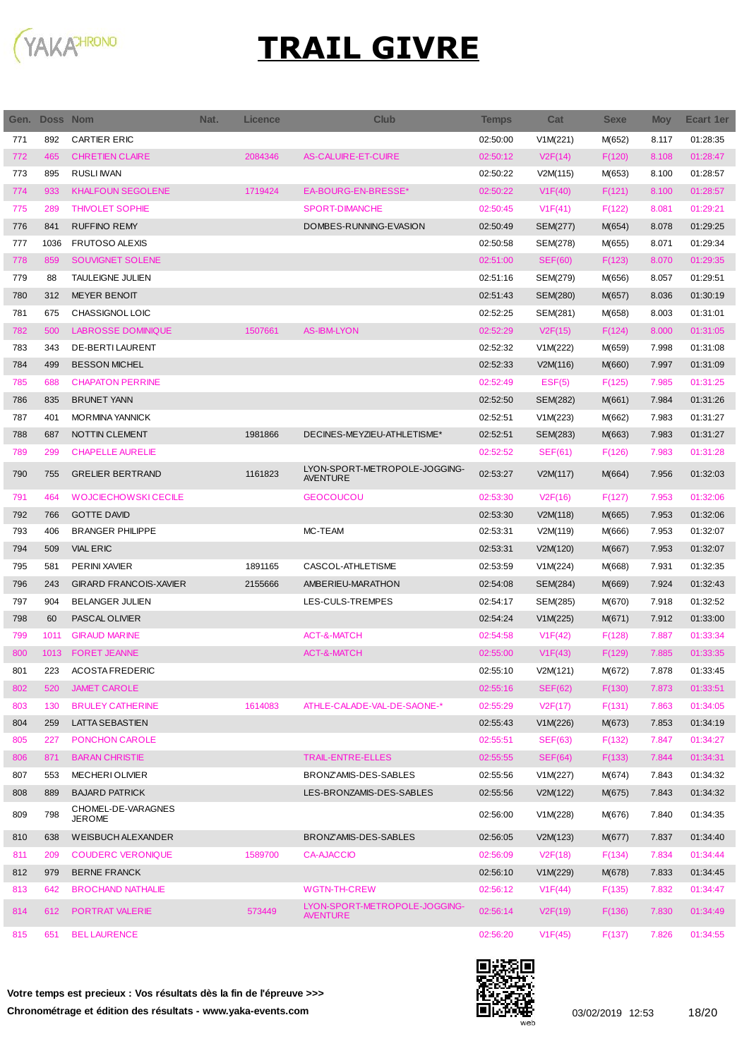

 $\overline{\phantom{a}}$ 

| Gen. | Doss Nom |                               | Nat. | Licence | <b>Club</b>                                      | <b>Temps</b> | Cat            | <b>Sexe</b> | <b>Moy</b> | Ecart 1er |
|------|----------|-------------------------------|------|---------|--------------------------------------------------|--------------|----------------|-------------|------------|-----------|
| 771  | 892      | <b>CARTIER ERIC</b>           |      |         |                                                  | 02:50:00     | V1M(221)       | M(652)      | 8.117      | 01:28:35  |
| 772  | 465      | <b>CHRETIEN CLAIRE</b>        |      | 2084346 | AS-CALUIRE-ET-CUIRE                              | 02:50:12     | V2F(14)        | F(120)      | 8.108      | 01:28:47  |
| 773  | 895      | <b>RUSLI IWAN</b>             |      |         |                                                  | 02:50:22     | V2M(115)       | M(653)      | 8.100      | 01:28:57  |
| 774  | 933      | <b>KHALFOUN SEGOLENE</b>      |      | 1719424 | EA-BOURG-EN-BRESSE*                              | 02:50:22     | V1F(40)        | F(121)      | 8.100      | 01:28:57  |
| 775  | 289      | <b>THIVOLET SOPHIE</b>        |      |         | <b>SPORT-DIMANCHE</b>                            | 02:50:45     | V1F(41)        | F(122)      | 8.081      | 01:29:21  |
| 776  | 841      | <b>RUFFINO REMY</b>           |      |         | DOMBES-RUNNING-EVASION                           | 02:50:49     | SEM(277)       | M(654)      | 8.078      | 01:29:25  |
| 777  | 1036     | <b>FRUTOSO ALEXIS</b>         |      |         |                                                  | 02:50:58     | SEM(278)       | M(655)      | 8.071      | 01:29:34  |
| 778  | 859      | SOUVIGNET SOLENE              |      |         |                                                  | 02:51:00     | <b>SEF(60)</b> | F(123)      | 8.070      | 01:29:35  |
| 779  | 88       | <b>TAULEIGNE JULIEN</b>       |      |         |                                                  | 02:51:16     | SEM(279)       | M(656)      | 8.057      | 01:29:51  |
| 780  | 312      | <b>MEYER BENOIT</b>           |      |         |                                                  | 02:51:43     | SEM(280)       | M(657)      | 8.036      | 01:30:19  |
| 781  | 675      | CHASSIGNOL LOIC               |      |         |                                                  | 02:52:25     | SEM(281)       | M(658)      | 8.003      | 01:31:01  |
| 782  | 500      | <b>LABROSSE DOMINIQUE</b>     |      | 1507661 | <b>AS-IBM-LYON</b>                               | 02:52:29     | V2F(15)        | F(124)      | 8.000      | 01:31:05  |
| 783  | 343      | DE-BERTI LAURENT              |      |         |                                                  | 02:52:32     | V1M(222)       | M(659)      | 7.998      | 01:31:08  |
| 784  | 499      | <b>BESSON MICHEL</b>          |      |         |                                                  | 02:52:33     | V2M(116)       | M(660)      | 7.997      | 01:31:09  |
| 785  | 688      | <b>CHAPATON PERRINE</b>       |      |         |                                                  | 02:52:49     | EST(5)         | F(125)      | 7.985      | 01:31:25  |
| 786  | 835      | <b>BRUNET YANN</b>            |      |         |                                                  | 02:52:50     | SEM(282)       | M(661)      | 7.984      | 01:31:26  |
| 787  | 401      | <b>MORMINA YANNICK</b>        |      |         |                                                  | 02:52:51     | V1M(223)       | M(662)      | 7.983      | 01:31:27  |
| 788  | 687      | NOTTIN CLEMENT                |      | 1981866 | DECINES-MEYZIEU-ATHLETISME*                      | 02:52:51     | SEM(283)       | M(663)      | 7.983      | 01:31:27  |
| 789  | 299      | <b>CHAPELLE AURELIE</b>       |      |         |                                                  | 02:52:52     | SEF(61)        | F(126)      | 7.983      | 01:31:28  |
|      |          |                               |      |         | LYON-SPORT-METROPOLE-JOGGING-                    |              |                |             |            |           |
| 790  | 755      | <b>GRELIER BERTRAND</b>       |      | 1161823 | <b>AVENTURE</b>                                  | 02:53:27     | V2M(117)       | M(664)      | 7.956      | 01:32:03  |
| 791  | 464      | <b>WOJCIECHOWSKI CECILE</b>   |      |         | <b>GEOCOUCOU</b>                                 | 02:53:30     | V2F(16)        | F(127)      | 7.953      | 01:32:06  |
| 792  | 766      | <b>GOTTE DAVID</b>            |      |         |                                                  | 02:53:30     | V2M(118)       | M(665)      | 7.953      | 01:32:06  |
| 793  | 406      | <b>BRANGER PHILIPPE</b>       |      |         | MC-TEAM                                          | 02:53:31     | V2M(119)       | M(666)      | 7.953      | 01:32:07  |
| 794  | 509      | <b>VIAL ERIC</b>              |      |         |                                                  | 02:53:31     | V2M(120)       | M(667)      | 7.953      | 01:32:07  |
| 795  | 581      | PERINI XAVIER                 |      | 1891165 | CASCOL-ATHLETISME                                | 02:53:59     | V1M(224)       | M(668)      | 7.931      | 01:32:35  |
| 796  | 243      | <b>GIRARD FRANCOIS-XAVIER</b> |      | 2155666 | AMBERIEU-MARATHON                                | 02:54:08     | SEM(284)       | M(669)      | 7.924      | 01:32:43  |
| 797  | 904      | <b>BELANGER JULIEN</b>        |      |         | LES-CULS-TREMPES                                 | 02:54:17     | SEM(285)       | M(670)      | 7.918      | 01:32:52  |
| 798  | 60       | PASCAL OLIVIER                |      |         |                                                  | 02:54:24     | V1M(225)       | M(671)      | 7.912      | 01:33:00  |
| 799  | 1011     | <b>GIRAUD MARINE</b>          |      |         | ACT-&-MATCH                                      | 02:54:58     | V1F(42)        | F(128)      | 7.887      | 01:33:34  |
| 800  | 1013     | <b>FORET JEANNE</b>           |      |         | <b>ACT-&amp;-MATCH</b>                           | 02:55:00     | V1F(43)        | F(129)      | 7.885      | 01:33:35  |
| 801  | 223      | <b>ACOSTA FREDERIC</b>        |      |         |                                                  | 02:55:10     | V2M(121)       | M(672)      | 7.878      | 01:33:45  |
| 802  | 520      | <b>JAMET CAROLE</b>           |      |         |                                                  | 02:55:16     | <b>SEF(62)</b> | F(130)      | 7.873      | 01:33:51  |
| 803  | 130      | <b>BRULEY CATHERINE</b>       |      | 1614083 | ATHLE-CALADE-VAL-DE-SAONE-*                      | 02:55:29     | V2F(17)        | F(131)      | 7.863      | 01:34:05  |
| 804  | 259      | LATTA SEBASTIEN               |      |         |                                                  | 02:55:43     | V1M(226)       | M(673)      | 7.853      | 01:34:19  |
| 805  | 227      | PONCHON CAROLE                |      |         |                                                  | 02:55:51     | <b>SEF(63)</b> | F(132)      | 7.847      | 01:34:27  |
| 806  | 871      | <b>BARAN CHRISTIE</b>         |      |         | TRAIL-ENTRE-ELLES                                | 02:55:55     | SEF(64)        | F(133)      | 7.844      | 01:34:31  |
| 807  | 553      | <b>MECHERIOLIVIER</b>         |      |         | BRONZAMIS-DES-SABLES                             | 02:55:56     | V1M(227)       | M(674)      | 7.843      | 01:34:32  |
| 808  | 889      | <b>BAJARD PATRICK</b>         |      |         | LES-BRONZAMIS-DES-SABLES                         | 02:55:56     | V2M(122)       | M(675)      | 7.843      | 01:34:32  |
| 809  | 798      | CHOMEL-DE-VARAGNES            |      |         |                                                  | 02:56:00     | V1M(228)       | M(676)      | 7.840      | 01:34:35  |
|      |          | <b>JEROME</b>                 |      |         |                                                  |              |                |             |            |           |
| 810  | 638      | WEISBUCH ALEXANDER            |      |         | BRONZAMIS-DES-SABLES                             | 02:56:05     | V2M(123)       | M(677)      | 7.837      | 01:34:40  |
| 811  | 209      | <b>COUDERC VERONIQUE</b>      |      | 1589700 | <b>CA-AJACCIO</b>                                | 02:56:09     | V2F(18)        | F(134)      | 7.834      | 01:34:44  |
| 812  | 979      | <b>BERNE FRANCK</b>           |      |         |                                                  | 02:56:10     | V1M(229)       | M(678)      | 7.833      | 01:34:45  |
| 813  | 642      | <b>BROCHAND NATHALIE</b>      |      |         | <b>WGTN-TH-CREW</b>                              | 02:56:12     | V1F(44)        | F(135)      | 7.832      | 01:34:47  |
| 814  | 612      | <b>PORTRAT VALERIE</b>        |      | 573449  | LYON-SPORT-METROPOLE-JOGGING-<br><b>AVENTURE</b> | 02:56:14     | V2F(19)        | F(136)      | 7.830      | 01:34:49  |
| 815  | 651      | <b>BEL LAURENCE</b>           |      |         |                                                  | 02:56:20     | V1F(45)        | F(137)      | 7.826      | 01:34:55  |

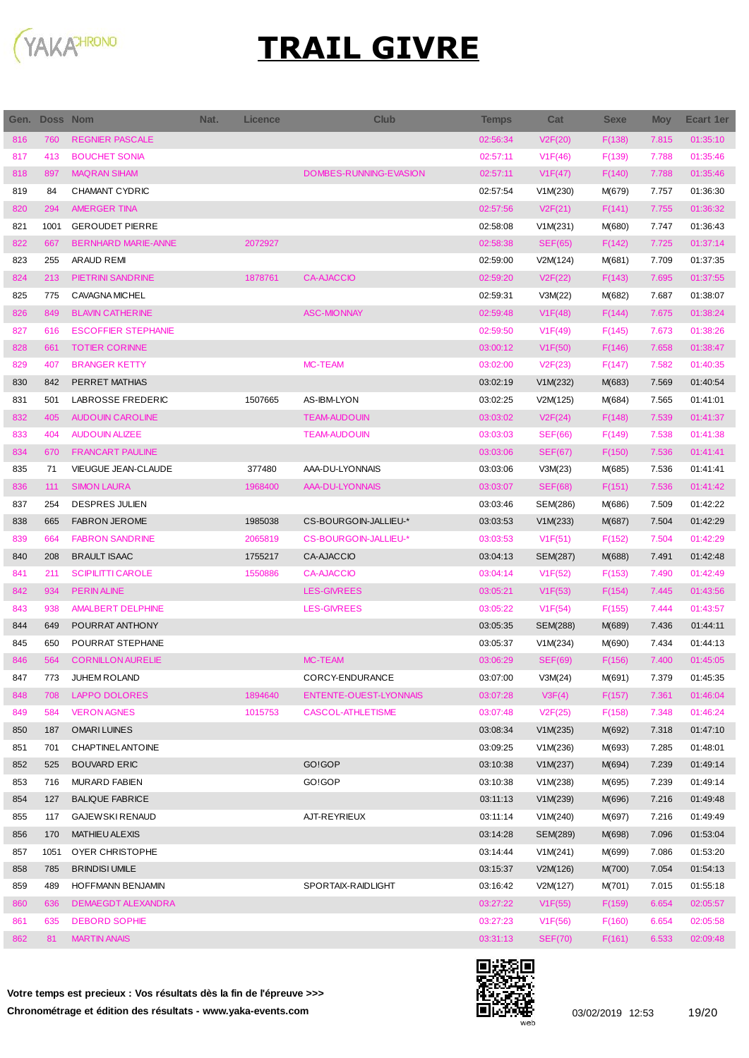

| Gen. | <b>Doss Nom</b> |                            | Nat. | <b>Licence</b> | <b>Club</b>            | <b>Temps</b> | Cat            | <b>Sexe</b> | <b>Moy</b> | Ecart 1er |
|------|-----------------|----------------------------|------|----------------|------------------------|--------------|----------------|-------------|------------|-----------|
| 816  | 760             | <b>REGNIER PASCALE</b>     |      |                |                        | 02:56:34     | V2F(20)        | F(138)      | 7.815      | 01:35:10  |
| 817  | 413             | <b>BOUCHET SONIA</b>       |      |                |                        | 02:57:11     | V1F(46)        | F(139)      | 7.788      | 01:35:46  |
| 818  | 897             | <b>MAQRAN SIHAM</b>        |      |                | DOMBES-RUNNING-EVASION | 02:57:11     | V1F(47)        | F(140)      | 7.788      | 01:35:46  |
| 819  | 84              | CHAMANT CYDRIC             |      |                |                        | 02:57:54     | V1M(230)       | M(679)      | 7.757      | 01:36:30  |
| 820  | 294             | <b>AMERGER TINA</b>        |      |                |                        | 02:57:56     | V2F(21)        | F(141)      | 7.755      | 01:36:32  |
| 821  | 1001            | <b>GEROUDET PIERRE</b>     |      |                |                        | 02:58:08     | V1M(231)       | M(680)      | 7.747      | 01:36:43  |
| 822  | 667             | <b>BERNHARD MARIE-ANNE</b> |      | 2072927        |                        | 02:58:38     | <b>SEF(65)</b> | F(142)      | 7.725      | 01:37:14  |
| 823  | 255             | ARAUD REMI                 |      |                |                        | 02:59:00     | V2M(124)       | M(681)      | 7.709      | 01:37:35  |
| 824  | 213             | PIETRINI SANDRINE          |      | 1878761        | <b>CA-AJACCIO</b>      | 02:59:20     | V2F(22)        | F(143)      | 7.695      | 01:37:55  |
| 825  | 775             | CAVAGNA MICHEL             |      |                |                        | 02:59:31     | V3M(22)        | M(682)      | 7.687      | 01:38:07  |
| 826  | 849             | <b>BLAVIN CATHERINE</b>    |      |                | <b>ASC-MIONNAY</b>     | 02:59:48     | V1F(48)        | F(144)      | 7.675      | 01:38:24  |
| 827  | 616             | <b>ESCOFFIER STEPHANIE</b> |      |                |                        | 02:59:50     | V1F(49)        | F(145)      | 7.673      | 01:38:26  |
| 828  | 661             | <b>TOTIER CORINNE</b>      |      |                |                        | 03:00:12     | V1F(50)        | F(146)      | 7.658      | 01:38:47  |
| 829  | 407             | <b>BRANGER KETTY</b>       |      |                | <b>MC-TEAM</b>         | 03:02:00     | V2F(23)        | F(147)      | 7.582      | 01:40:35  |
| 830  | 842             | PERRET MATHIAS             |      |                |                        | 03:02:19     | V1M(232)       | M(683)      | 7.569      | 01:40:54  |
| 831  | 501             | LABROSSE FREDERIC          |      | 1507665        | AS-IBM-LYON            | 03:02:25     | V2M(125)       | M(684)      | 7.565      | 01:41:01  |
| 832  | 405             | <b>AUDOUIN CAROLINE</b>    |      |                | <b>TEAM-AUDOUIN</b>    | 03:03:02     | V2F(24)        | F(148)      | 7.539      | 01:41:37  |
| 833  | 404             | <b>AUDOUIN ALIZEE</b>      |      |                | <b>TEAM-AUDOUIN</b>    | 03:03:03     | <b>SEF(66)</b> | F(149)      | 7.538      | 01:41:38  |
| 834  | 670             | <b>FRANCART PAULINE</b>    |      |                |                        | 03:03:06     | <b>SEF(67)</b> | F(150)      | 7.536      | 01:41:41  |
| 835  | 71              | <b>VIEUGUE JEAN-CLAUDE</b> |      | 377480         | AAA-DU-LYONNAIS        | 03:03:06     | V3M(23)        | M(685)      | 7.536      | 01:41:41  |
| 836  | 111             | <b>SIMON LAURA</b>         |      | 1968400        | AAA-DU-LYONNAIS        | 03:03:07     | <b>SEF(68)</b> | F(151)      | 7.536      | 01:41:42  |
| 837  | 254             | <b>DESPRES JULIEN</b>      |      |                |                        | 03:03:46     | SEM(286)       | M(686)      | 7.509      | 01:42:22  |
| 838  | 665             | <b>FABRON JEROME</b>       |      | 1985038        | CS-BOURGOIN-JALLIEU-*  | 03:03:53     | V1M(233)       | M(687)      | 7.504      | 01:42:29  |
| 839  | 664             | <b>FABRON SANDRINE</b>     |      | 2065819        | CS-BOURGOIN-JALLIEU-*  | 03:03:53     | V1F(51)        | F(152)      | 7.504      | 01:42:29  |
| 840  | 208             | <b>BRAULT ISAAC</b>        |      | 1755217        | CA-AJACCIO             | 03:04:13     | SEM(287)       | M(688)      | 7.491      | 01:42:48  |
| 841  | 211             | <b>SCIPILITTI CAROLE</b>   |      | 1550886        | <b>CA-AJACCIO</b>      | 03:04:14     | V1F(52)        | F(153)      | 7.490      | 01:42:49  |
| 842  | 934             | <b>PERINALINE</b>          |      |                | <b>LES-GIVREES</b>     | 03:05:21     | V1F(53)        | F(154)      | 7.445      | 01:43:56  |
| 843  | 938             | <b>AMALBERT DELPHINE</b>   |      |                | <b>LES-GIVREES</b>     | 03:05:22     | V1F(54)        | F(155)      | 7.444      | 01:43:57  |
| 844  | 649             | POURRAT ANTHONY            |      |                |                        | 03:05:35     | SEM(288)       | M(689)      | 7.436      | 01:44:11  |
| 845  | 650             | POURRAT STEPHANE           |      |                |                        | 03:05:37     | V1M(234)       | M(690)      | 7.434      | 01:44:13  |
| 846  | 564             | <b>CORNILLON AURELIE</b>   |      |                | <b>MC-TEAM</b>         | 03:06:29     | <b>SEF(69)</b> | F(156)      | 7.400      | 01:45:05  |
| 847  | 773             | JUHEM ROLAND               |      |                | CORCY-ENDURANCE        | 03:07:00     | V3M(24)        | M(691)      | 7.379      | 01:45:35  |
| 848  | 708             | <b>LAPPO DOLORES</b>       |      | 1894640        | ENTENTE-OUEST-LYONNAIS | 03:07:28     | V3F(4)         | F(157)      | 7.361      | 01:46:04  |
| 849  | 584             | <b>VERON AGNES</b>         |      | 1015753        | CASCOL-ATHLETISME      | 03:07:48     | V2F(25)        | F(158)      | 7.348      | 01:46:24  |
| 850  | 187             | <b>OMARILUINES</b>         |      |                |                        | 03:08:34     | V1M(235)       | M(692)      | 7.318      | 01:47:10  |
| 851  | 701             | <b>CHAPTINEL ANTOINE</b>   |      |                |                        | 03:09:25     | V1M(236)       | M(693)      | 7.285      | 01:48:01  |
| 852  | 525             | <b>BOUVARD ERIC</b>        |      |                | GO!GOP                 | 03:10:38     | V1M(237)       | M(694)      | 7.239      | 01:49:14  |
| 853  | 716             | <b>MURARD FABIEN</b>       |      |                | GO!GOP                 | 03:10:38     | V1M(238)       | M(695)      | 7.239      | 01:49:14  |
| 854  | 127             | <b>BALIQUE FABRICE</b>     |      |                |                        | 03:11:13     | V1M(239)       | M(696)      | 7.216      | 01:49:48  |
| 855  | 117             | <b>GAJEWSKI RENAUD</b>     |      |                | AJT-REYRIEUX           | 03:11:14     | V1M(240)       | M(697)      | 7.216      | 01:49:49  |
| 856  | 170             | <b>MATHIEU ALEXIS</b>      |      |                |                        | 03:14:28     | SEM(289)       | M(698)      | 7.096      | 01:53:04  |
| 857  | 1051            | OYER CHRISTOPHE            |      |                |                        | 03:14:44     | V1M(241)       | M(699)      | 7.086      | 01:53:20  |
| 858  | 785             | <b>BRINDISI UMILE</b>      |      |                |                        | 03:15:37     | V2M(126)       | M(700)      | 7.054      | 01:54:13  |
| 859  | 489             | HOFFMANN BENJAMIN          |      |                | SPORTAIX-RAIDLIGHT     | 03:16:42     | V2M(127)       | M(701)      | 7.015      | 01:55:18  |
| 860  | 636             | DEMAEGDT ALEXANDRA         |      |                |                        | 03:27:22     | V1F(55)        | F(159)      | 6.654      | 02:05:57  |
| 861  | 635             | <b>DEBORD SOPHIE</b>       |      |                |                        | 03:27:23     | V1F(56)        | F(160)      | 6.654      | 02:05:58  |
| 862  | 81              | <b>MARTIN ANAIS</b>        |      |                |                        | 03:31:13     | <b>SEF(70)</b> | F(161)      | 6.533      | 02:09:48  |
|      |                 |                            |      |                |                        |              |                |             |            |           |